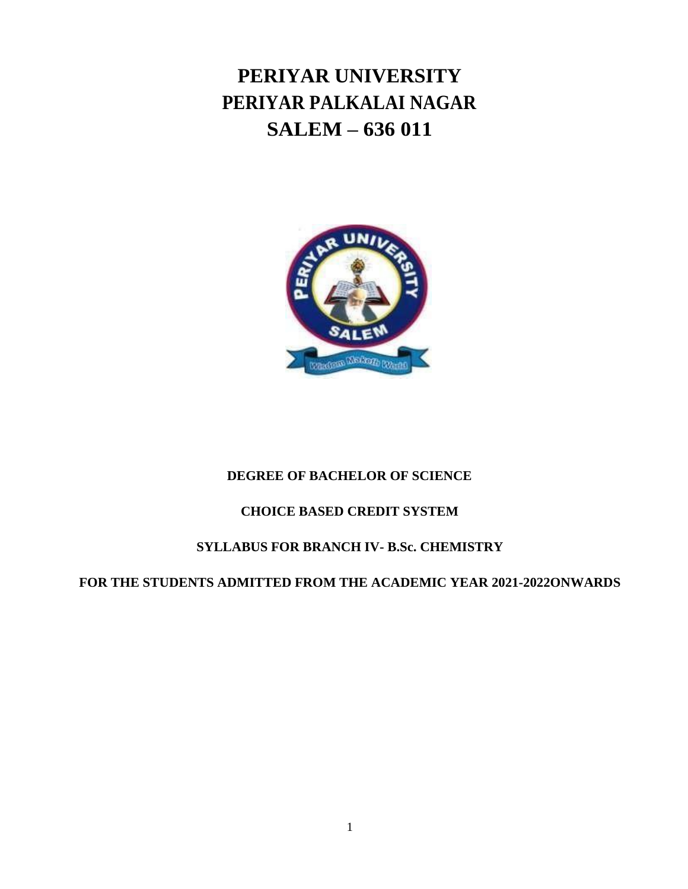# **PERIYAR UNIVERSITY PERIYAR PALKALAI NAGAR SALEM – 636 011**



# **DEGREE OF BACHELOR OF SCIENCE**

# **CHOICE BASED CREDIT SYSTEM**

# **SYLLABUS FOR BRANCH IV- B.Sc. CHEMISTRY**

# **FOR THE STUDENTS ADMITTED FROM THE ACADEMIC YEAR 2021-2022ONWARDS**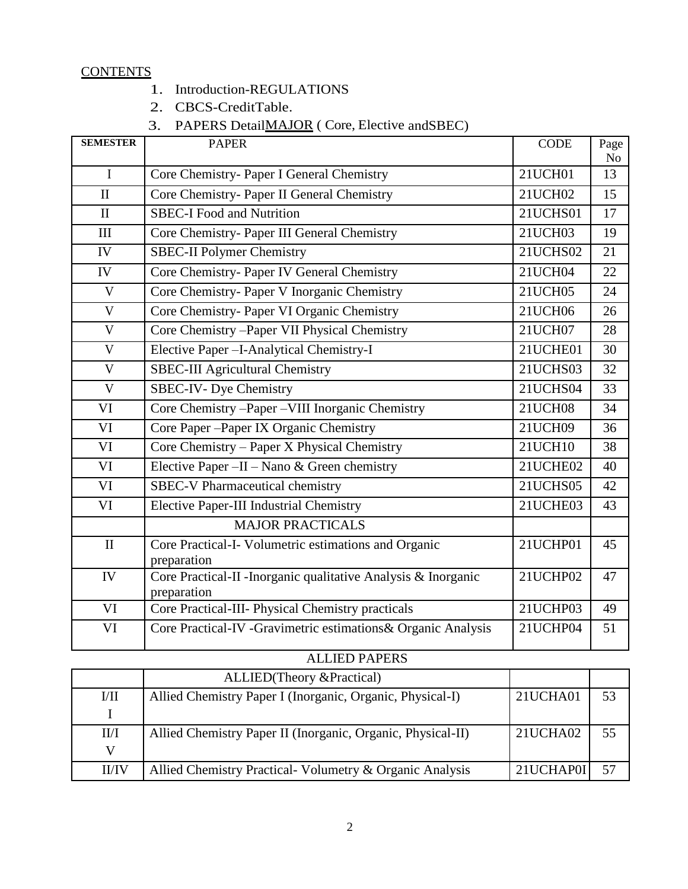## **CONTENTS**

- 1. Introduction-REGULATIONS
- 2. CBCS-CreditTable.
- 3. PAPERS DetailMAJOR ( Core, Elective andSBEC)

| <b>SEMESTER</b> | <b>PAPER</b>                                                                  | <b>CODE</b>     | Page<br>No |
|-----------------|-------------------------------------------------------------------------------|-----------------|------------|
| $\mathbf I$     | Core Chemistry- Paper I General Chemistry                                     | 21UCH01         | 13         |
| $\mathbf{I}$    | Core Chemistry- Paper II General Chemistry                                    | 21UCH02         | 15         |
| $\mathbf{I}$    | <b>SBEC-I Food and Nutrition</b>                                              | 21UCHS01        | 17         |
| III             | Core Chemistry- Paper III General Chemistry                                   | 21UCH03         | 19         |
| IV              | <b>SBEC-II Polymer Chemistry</b>                                              | 21UCHS02        | 21         |
| IV              | Core Chemistry- Paper IV General Chemistry                                    | 21UCH04         | 22         |
| $\mathbf{V}$    | Core Chemistry- Paper V Inorganic Chemistry                                   | <b>21UCH05</b>  | 24         |
| $\mathbf{V}$    | Core Chemistry- Paper VI Organic Chemistry                                    | 21UCH06         | 26         |
| $\mathbf{V}$    | Core Chemistry - Paper VII Physical Chemistry                                 | 21UCH07         | 28         |
| V               | Elective Paper - I-Analytical Chemistry-I                                     | 21UCHE01        | 30         |
| V               | <b>SBEC-III Agricultural Chemistry</b>                                        | 21UCHS03        | 32         |
| $\mathbf{V}$    | <b>SBEC-IV- Dye Chemistry</b>                                                 | 21UCHS04        | 33         |
| VI              | Core Chemistry - Paper - VIII Inorganic Chemistry                             | <b>21UCH08</b>  | 34         |
| VI              | Core Paper - Paper IX Organic Chemistry                                       | 21UCH09         | 36         |
| VI              | Core Chemistry - Paper X Physical Chemistry                                   | 21UCH10         | 38         |
| VI              | Elective Paper - II - Nano & Green chemistry                                  | 21UCHE02        | 40         |
| VI              | <b>SBEC-V Pharmaceutical chemistry</b>                                        | <b>21UCHS05</b> | 42         |
| VI              | <b>Elective Paper-III Industrial Chemistry</b>                                | 21UCHE03        | 43         |
|                 | <b>MAJOR PRACTICALS</b>                                                       |                 |            |
| $\mathbf{I}$    | Core Practical-I- Volumetric estimations and Organic<br>preparation           | 21UCHP01        | 45         |
| IV              | Core Practical-II - Inorganic qualitative Analysis & Inorganic<br>preparation | 21UCHP02        | 47         |
| VI              | Core Practical-III- Physical Chemistry practicals                             | 21UCHP03        | 49         |
| VI              | Core Practical-IV -Gravimetric estimations& Organic Analysis                  | 21UCHP04        | 51         |

| <b>ALLIED PAPERS</b> |                                                             |           |    |  |  |
|----------------------|-------------------------------------------------------------|-----------|----|--|--|
|                      | ALLIED(Theory & Practical)                                  |           |    |  |  |
| VII                  | Allied Chemistry Paper I (Inorganic, Organic, Physical-I)   | 21UCHA01  | 53 |  |  |
|                      |                                                             |           |    |  |  |
| II/I                 | Allied Chemistry Paper II (Inorganic, Organic, Physical-II) | 21UCHA02  | 55 |  |  |
| W                    |                                                             |           |    |  |  |
| II/IV                | Allied Chemistry Practical- Volumetry & Organic Analysis    | 21UCHAP0I | 57 |  |  |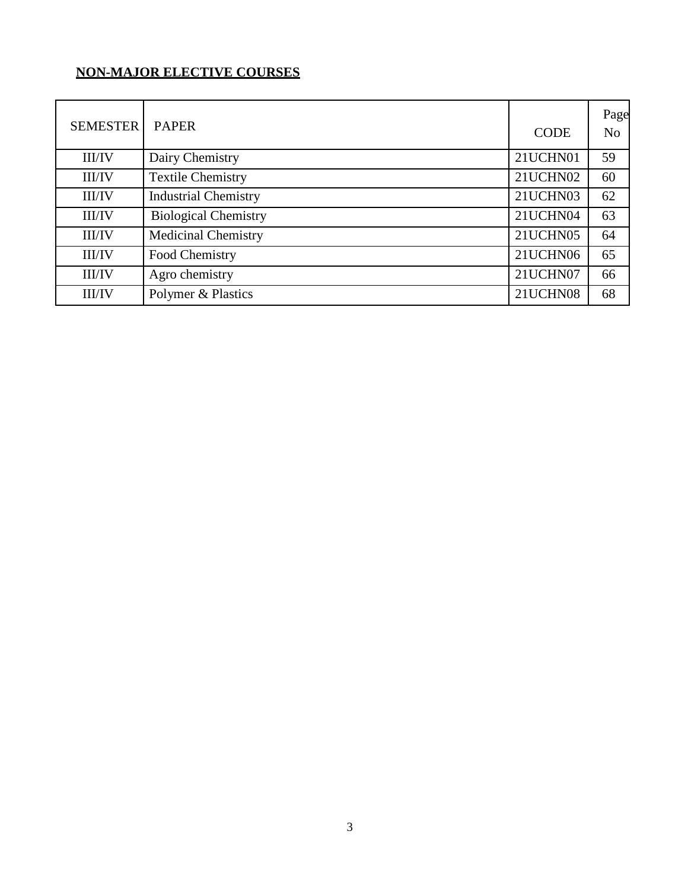# **NON-MAJOR ELECTIVE COURSES**

| <b>SEMESTER</b> | <b>PAPER</b>                |             | Page           |
|-----------------|-----------------------------|-------------|----------------|
|                 |                             | <b>CODE</b> | N <sub>o</sub> |
| <b>III/IV</b>   | Dairy Chemistry             | 21UCHN01    | 59             |
| <b>III/IV</b>   | <b>Textile Chemistry</b>    | 21UCHN02    | 60             |
| <b>III/IV</b>   | <b>Industrial Chemistry</b> | 21UCHN03    | 62             |
| <b>III/IV</b>   | <b>Biological Chemistry</b> | 21UCHN04    | 63             |
| <b>III/IV</b>   | <b>Medicinal Chemistry</b>  | 21UCHN05    | 64             |
| <b>III/IV</b>   | Food Chemistry              | 21UCHN06    | 65             |
| <b>III/IV</b>   | Agro chemistry              | 21UCHN07    | 66             |
| <b>III/IV</b>   | Polymer & Plastics          | 21UCHN08    | 68             |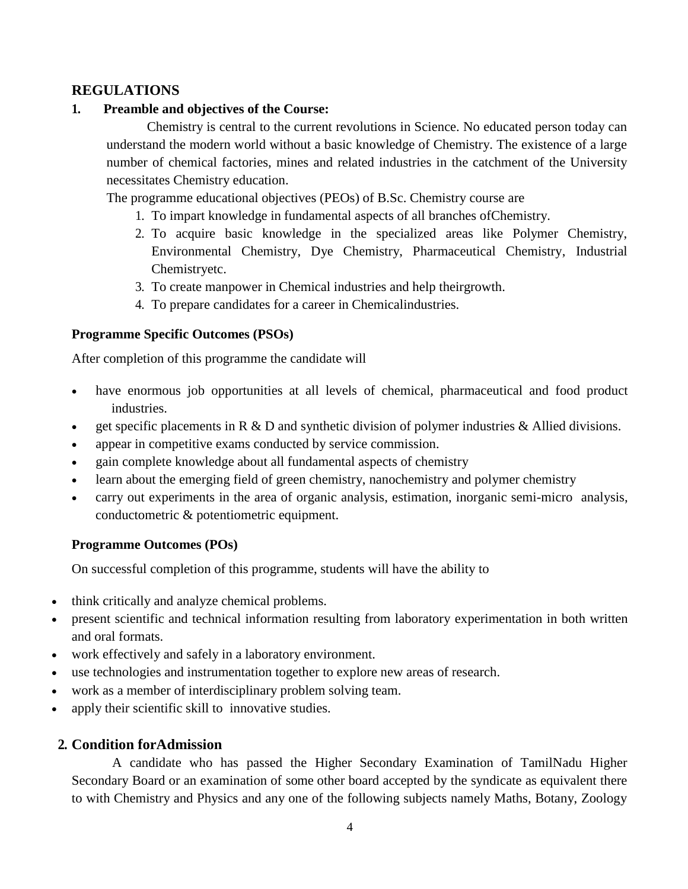# **REGULATIONS**

## **1. Preamble and objectives of the Course:**

Chemistry is central to the current revolutions in Science. No educated person today can understand the modern world without a basic knowledge of Chemistry. The existence of a large number of chemical factories, mines and related industries in the catchment of the University necessitates Chemistry education.

The programme educational objectives (PEOs) of B.Sc. Chemistry course are

- 1. To impart knowledge in fundamental aspects of all branches ofChemistry.
- 2. To acquire basic knowledge in the specialized areas like Polymer Chemistry, Environmental Chemistry, Dye Chemistry, Pharmaceutical Chemistry, Industrial Chemistryetc.
- 3. To create manpower in Chemical industries and help theirgrowth.
- 4. To prepare candidates for a career in Chemicalindustries.

## **Programme Specific Outcomes (PSOs)**

After completion of this programme the candidate will

- have enormous job opportunities at all levels of chemical, pharmaceutical and food product industries.
- get specific placements in R  $\&$  D and synthetic division of polymer industries  $\&$  Allied divisions.
- appear in competitive exams conducted by service commission.
- gain complete knowledge about all fundamental aspects of chemistry
- learn about the emerging field of green chemistry, nanochemistry and polymer chemistry
- carry out experiments in the area of organic analysis, estimation, inorganic semi-micro analysis, conductometric & potentiometric equipment.

### **Programme Outcomes (POs)**

On successful completion of this programme, students will have the ability to

- think critically and analyze chemical problems.
- present scientific and technical information resulting from laboratory experimentation in both written and oral formats.
- work effectively and safely in a laboratory environment.
- use technologies and instrumentation together to explore new areas of research.
- work as a member of interdisciplinary problem solving team.
- apply their scientific skill to innovative studies.

# **2. Condition forAdmission**

A candidate who has passed the Higher Secondary Examination of TamilNadu Higher Secondary Board or an examination of some other board accepted by the syndicate as equivalent there to with Chemistry and Physics and any one of the following subjects namely Maths, Botany, Zoology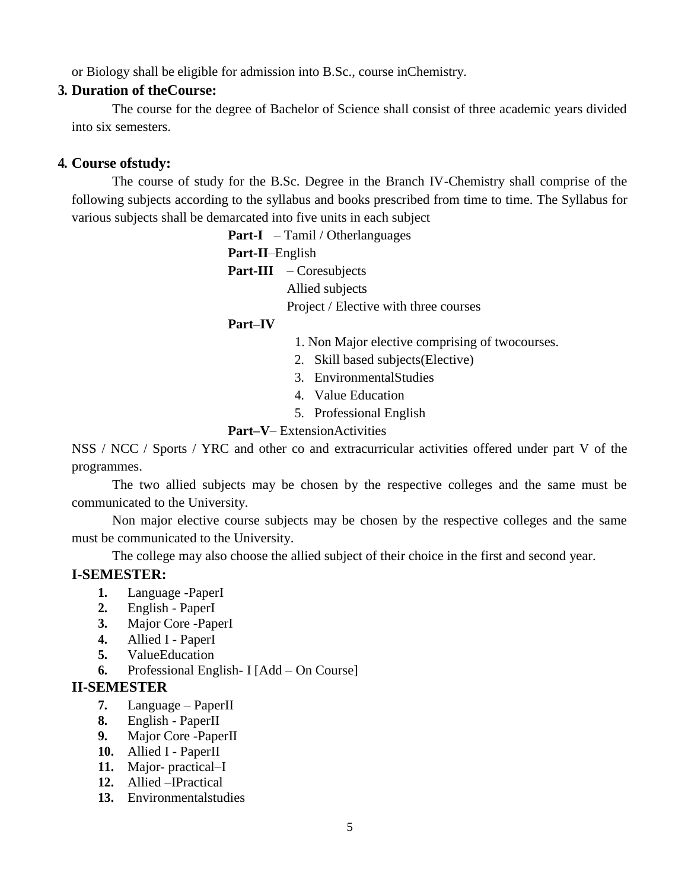or Biology shall be eligible for admission into B.Sc., course inChemistry.

# **3. Duration of theCourse:**

The course for the degree of Bachelor of Science shall consist of three academic years divided into six semesters.

# **4. Course ofstudy:**

The course of study for the B.Sc. Degree in the Branch IV-Chemistry shall comprise of the following subjects according to the syllabus and books prescribed from time to time. The Syllabus for various subjects shall be demarcated into five units in each subject

**Part-I** – Tamil / Otherlanguages

**Part-II**–English

Part-III – Coresubjects Allied subjects

Project / Elective with three courses

# **Part–IV**

- 1. Non Major elective comprising of twocourses.
- 2. Skill based subjects(Elective)
- 3. EnvironmentalStudies
- 4. Value Education
- 5. Professional English

## **Part–V**– ExtensionActivities

NSS / NCC / Sports / YRC and other co and extracurricular activities offered under part V of the programmes.

The two allied subjects may be chosen by the respective colleges and the same must be communicated to the University.

Non major elective course subjects may be chosen by the respective colleges and the same must be communicated to the University.

The college may also choose the allied subject of their choice in the first and second year.

# **I-SEMESTER:**

- **1.** Language -PaperI
- **2.** English PaperI
- **3.** Major Core -PaperI
- **4.** Allied I PaperI
- **5.** ValueEducation
- **6.** Professional English- I [Add On Course]

# **II-SEMESTER**

- **7.** Language PaperII
- **8.** English PaperII
- **9.** Major Core -PaperII
- **10.** Allied I PaperII
- **11.** Major- practical–I
- **12.** Allied –IPractical
- **13.** Environmentalstudies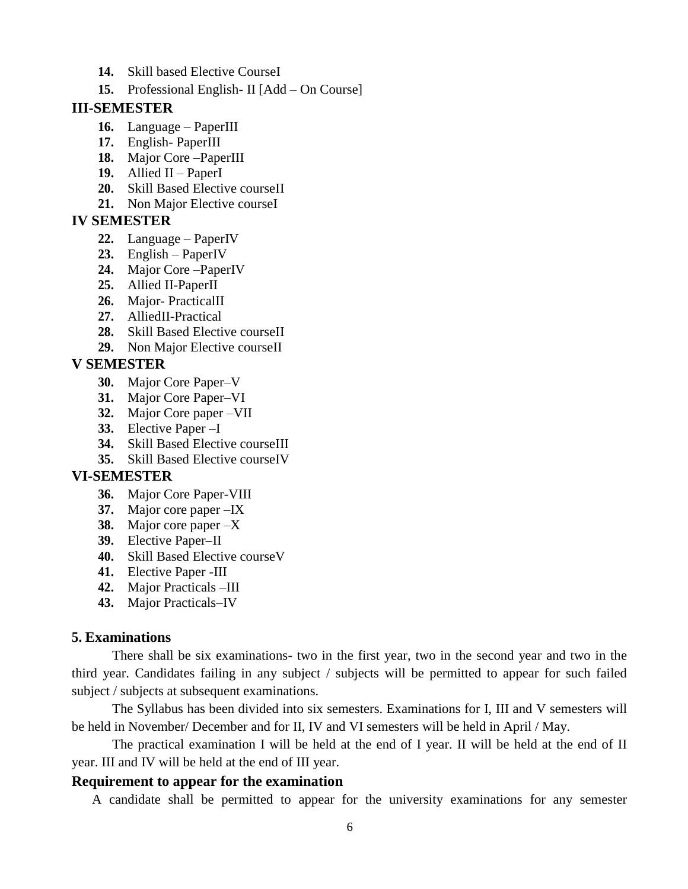- **14.** Skill based Elective CourseI
- **15.** Professional English- II [Add On Course]

#### **III-SEMESTER**

- **16.** Language PaperIII
- **17.** English- PaperIII
- **18.** Major Core –PaperIII
- **19.** Allied II PaperI
- **20.** Skill Based Elective courseII
- **21.** Non Major Elective courseI

## **IV SEMESTER**

- **22.** Language PaperIV
- **23.** English PaperIV
- **24.** Major Core –PaperIV
- **25.** Allied II-PaperII
- **26.** Major- PracticalII
- **27.** AlliedII-Practical
- **28.** Skill Based Elective courseII
- **29.** Non Major Elective courseII

# **V SEMESTER**

- **30.** Major Core Paper–V
- **31.** Major Core Paper–VI
- **32.** Major Core paper –VII
- **33.** Elective Paper –I
- **34.** Skill Based Elective courseIII
- **35.** Skill Based Elective courseIV

# **VI-SEMESTER**

- **36.** Major Core Paper-VIII
- **37.** Major core paper –IX
- **38.** Major core paper –X
- **39.** Elective Paper–II
- **40.** Skill Based Elective courseV
- **41.** Elective Paper -III
- **42.** Major Practicals –III
- **43.** Major Practicals–IV

# **5. Examinations**

There shall be six examinations- two in the first year, two in the second year and two in the third year. Candidates failing in any subject / subjects will be permitted to appear for such failed subject / subjects at subsequent examinations.

The Syllabus has been divided into six semesters. Examinations for I, III and V semesters will be held in November/ December and for II, IV and VI semesters will be held in April / May.

The practical examination I will be held at the end of I year. II will be held at the end of II year. III and IV will be held at the end of III year.

# **Requirement to appear for the examination**

A candidate shall be permitted to appear for the university examinations for any semester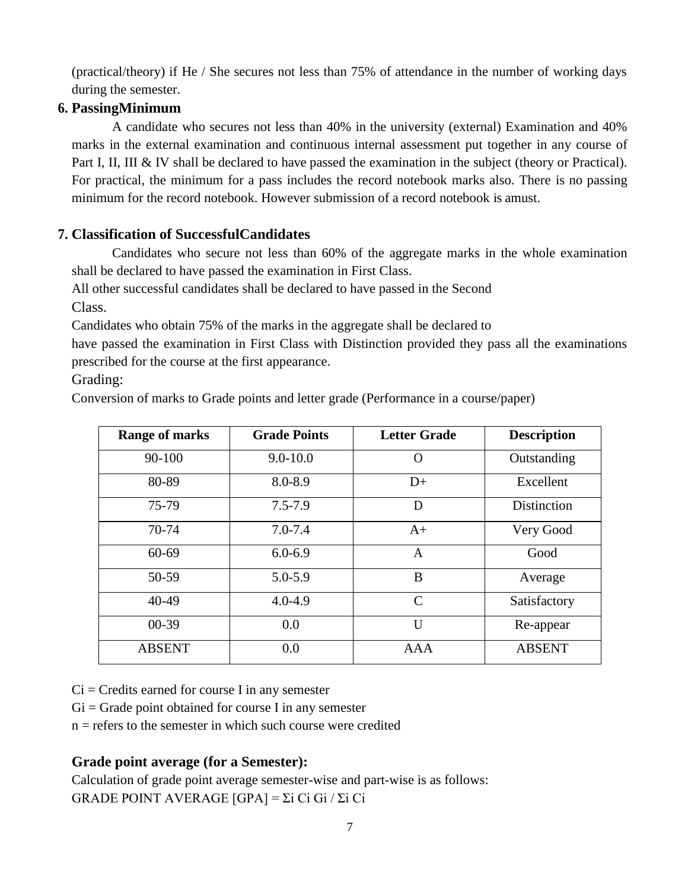(practical/theory) if He / She secures not less than 75% of attendance in the number of working days during the semester.

# **6. PassingMinimum**

A candidate who secures not less than 40% in the university (external) Examination and 40% marks in the external examination and continuous internal assessment put together in any course of Part I, II, III & IV shall be declared to have passed the examination in the subject (theory or Practical). For practical, the minimum for a pass includes the record notebook marks also. There is no passing minimum for the record notebook. However submission of a record notebook is amust.

# **7. Classification of SuccessfulCandidates**

Candidates who secure not less than 60% of the aggregate marks in the whole examination shall be declared to have passed the examination in First Class.

All other successful candidates shall be declared to have passed in the Second Class.

Candidates who obtain 75% of the marks in the aggregate shall be declared to

have passed the examination in First Class with Distinction provided they pass all the examinations prescribed for the course at the first appearance.

Grading:

Conversion of marks to Grade points and letter grade (Performance in a course/paper)

| <b>Range of marks</b> | <b>Grade Points</b> | <b>Letter Grade</b> | <b>Description</b> |
|-----------------------|---------------------|---------------------|--------------------|
| 90-100                | $9.0 - 10.0$        | $\Omega$            | Outstanding        |
| 80-89                 | 8.0-8.9             | $D+$                | Excellent          |
| 75-79                 | $7.5 - 7.9$         | D                   | Distinction        |
| 70-74                 | $7.0 - 7.4$         | $A+$                | Very Good          |
| $60 - 69$             | $6.0 - 6.9$         | $\mathbf{A}$        | Good               |
| 50-59                 | $5.0 - 5.9$         | B                   | Average            |
| $40-49$               | $4.0 - 4.9$         | $\mathcal{C}$       | Satisfactory       |
| $00-39$               | 0.0                 | $\mathbf{U}$        | Re-appear          |
| <b>ABSENT</b>         | 0.0                 | <b>AAA</b>          | <b>ABSENT</b>      |

 $Ci = C$  redits earned for course I in any semester

 $Gi = Grade$  point obtained for course I in any semester

 $n =$  refers to the semester in which such course were credited

# **Grade point average (for a Semester):**

Calculation of grade point average semester-wise and part-wise is as follows: GRADE POINT AVERAGE [GPA] = Σi Ci Gi / Σi Ci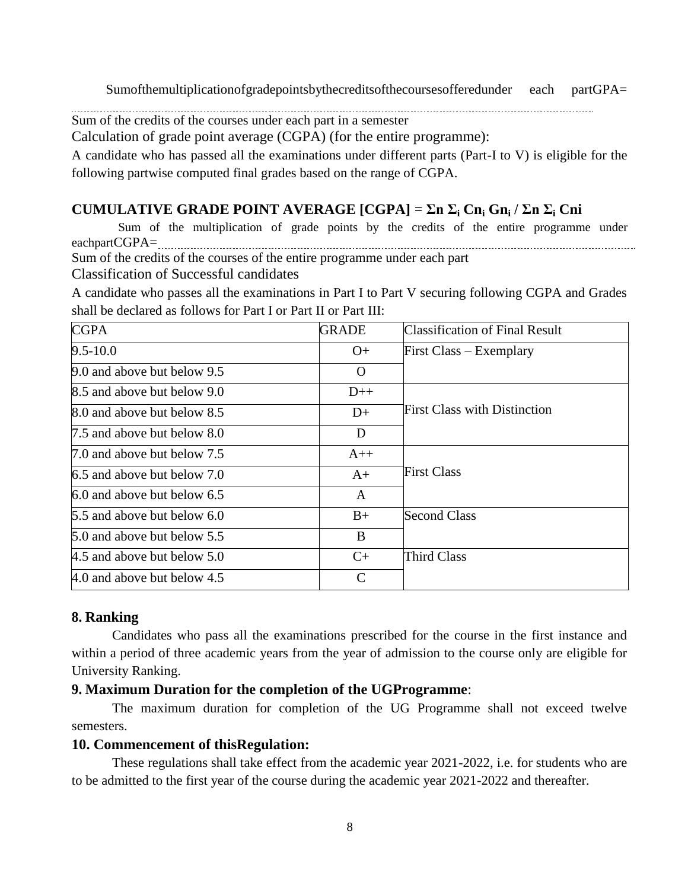Sumofthemultiplicationofgradepointsbythecreditsofthecoursesofferedunder each partGPA=

Sum of the credits of the courses under each part in a semester

Calculation of grade point average (CGPA) (for the entire programme):

A candidate who has passed all the examinations under different parts (Part-I to V) is eligible for the following partwise computed final grades based on the range of CGPA.

# **CUMULATIVE GRADE POINT AVERAGE [CGPA]** = **Σn Σ<sup>i</sup> Cn<sup>i</sup> Gn<sup>i</sup> / Σn Σ<sup>i</sup> Cni**

Sum of the multiplication of grade points by the credits of the entire programme under eachpartCGPA= Sum of the credits of the courses of the entire programme under each part

Classification of Successful candidates

A candidate who passes all the examinations in Part I to Part V securing following CGPA and Grades shall be declared as follows for Part I or Part II or Part III:

| <b>CGPA</b>                 | <b>GRADE</b> | <b>Classification of Final Result</b> |
|-----------------------------|--------------|---------------------------------------|
| $9.5 - 10.0$                | $O+$         | First Class – Exemplary               |
| 9.0 and above but below 9.5 | $\Omega$     |                                       |
| 8.5 and above but below 9.0 | $D++$        |                                       |
| 8.0 and above but below 8.5 | $D+$         | <b>First Class with Distinction</b>   |
| 7.5 and above but below 8.0 | D            |                                       |
| 7.0 and above but below 7.5 | $A++$        |                                       |
| 6.5 and above but below 7.0 | $A+$         | <b>First Class</b>                    |
| 6.0 and above but below 6.5 | $\mathbf{A}$ |                                       |
| 5.5 and above but below 6.0 | $B+$         | <b>Second Class</b>                   |
| 5.0 and above but below 5.5 | B            |                                       |
| 4.5 and above but below 5.0 | $C+$         | Third Class                           |
| 4.0 and above but below 4.5 | $\mathsf{C}$ |                                       |

# **8. Ranking**

Candidates who pass all the examinations prescribed for the course in the first instance and within a period of three academic years from the year of admission to the course only are eligible for University Ranking.

# **9. Maximum Duration for the completion of the UGProgramme**:

The maximum duration for completion of the UG Programme shall not exceed twelve semesters.

### **10. Commencement of thisRegulation:**

These regulations shall take effect from the academic year 2021-2022, i.e. for students who are to be admitted to the first year of the course during the academic year 2021-2022 and thereafter.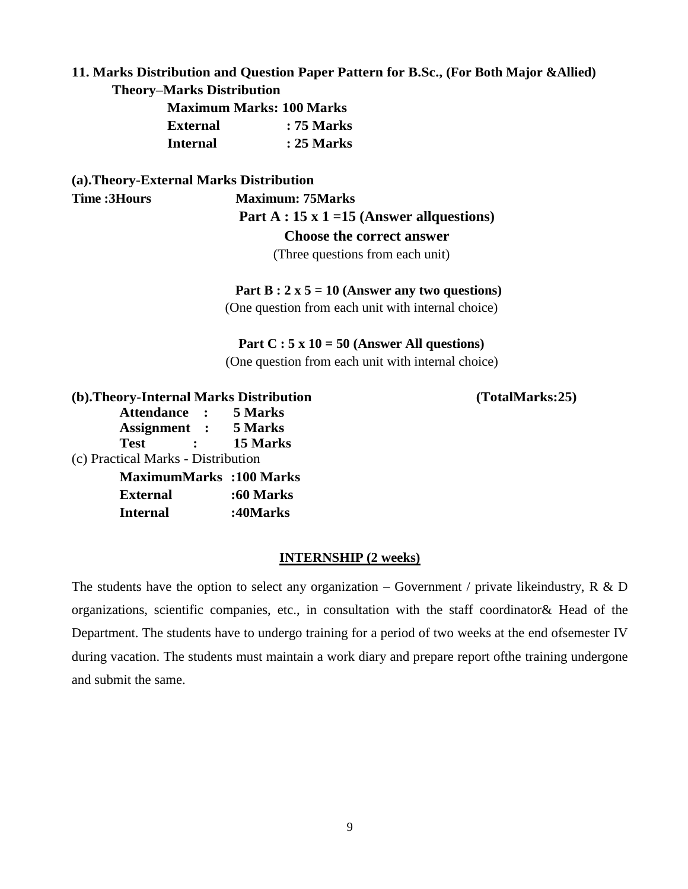# **11. Marks Distribution and Question Paper Pattern for B.Sc., (For Both Major &Allied)**

# **Theory–Marks Distribution**

|                 | <b>Maximum Marks: 100 Marks</b> |
|-----------------|---------------------------------|
| <b>External</b> | : 75 Marks                      |
| <b>Internal</b> | : 25 Marks                      |

# **(a).Theory-External Marks Distribution**

# **Time :3Hours Maximum: 75Marks**

### **Part A : 15 x 1 =15 (Answer allquestions)**

#### **Choose the correct answer**

(Three questions from each unit)

### **Part B : 2 x 5 = 10 (Answer any two questions)**

(One question from each unit with internal choice)

#### **Part C : 5 x 10 = 50 (Answer All questions)**

(One question from each unit with internal choice)

**(b).Theory-Internal Marks Distribution (TotalMarks:25) Attendance : 5 Marks Assignment : 5 Marks Test : 15 Marks** (c) Practical Marks - Distribution **MaximumMarks :100 Marks External :60 Marks Internal :40Marks**

### **INTERNSHIP (2 weeks)**

The students have the option to select any organization – Government / private likeindustry, R & D organizations, scientific companies, etc., in consultation with the staff coordinator& Head of the Department. The students have to undergo training for a period of two weeks at the end ofsemester IV during vacation. The students must maintain a work diary and prepare report ofthe training undergone and submit the same.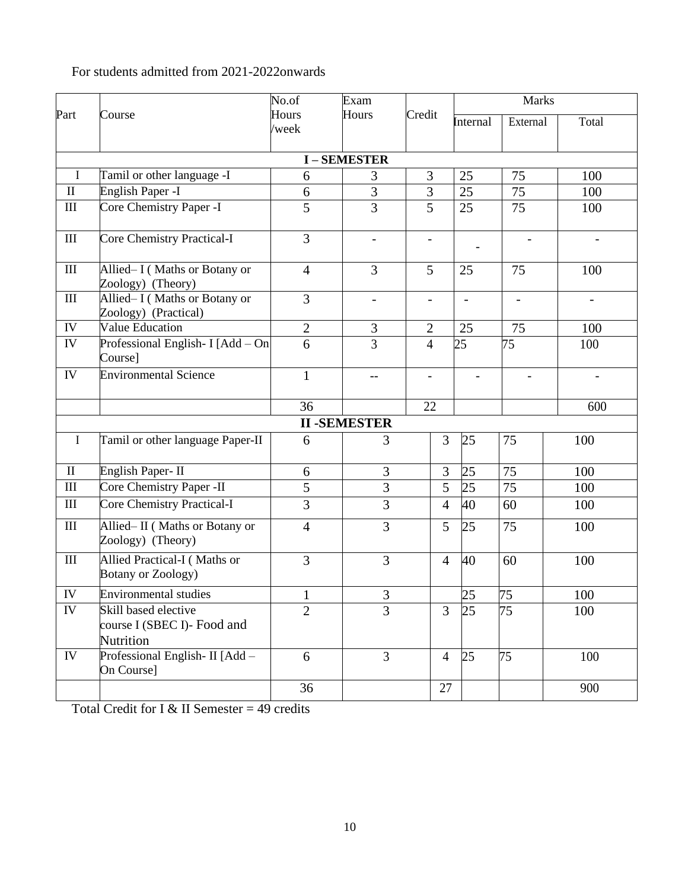# For students admitted from 2021-2022onwards

|                    | No.of<br>Exam                                                    |                |                          | <b>Marks</b>                 |                          |                   |                          |  |
|--------------------|------------------------------------------------------------------|----------------|--------------------------|------------------------------|--------------------------|-------------------|--------------------------|--|
| Part               | Course                                                           | Hours          | Hours                    | Credit                       | Internal                 | External          | Total                    |  |
|                    |                                                                  | /week          |                          |                              |                          |                   |                          |  |
|                    | <b>I-SEMESTER</b>                                                |                |                          |                              |                          |                   |                          |  |
| $\mathbf I$        | Tamil or other language -I                                       | 6              | 3                        | 3                            | 25                       | 75                | 100                      |  |
| $\rm II$           | English Paper -I                                                 | 6              | 3                        | 3                            | 25                       | 75                | 100                      |  |
| $\rm III$          | Core Chemistry Paper -I                                          | 5              | 3                        | $\overline{5}$               | 25                       | 75                | 100                      |  |
| $\rm III$          | Core Chemistry Practical-I                                       | 3              | $\overline{\phantom{a}}$ | $\overline{\phantom{0}}$     |                          |                   |                          |  |
| $\rm III$          | Allied-I (Maths or Botany or<br>Zoology) (Theory)                | $\overline{4}$ | 3                        | 5                            | 25                       | 75                | 100                      |  |
| $\mathop{\rm III}$ | Allied-I (Maths or Botany or<br>Zoology) (Practical)             | $\overline{3}$ | $\overline{\phantom{a}}$ | $\qquad \qquad \blacksquare$ | $\overline{\phantom{a}}$ | $\qquad \qquad -$ | $\overline{\phantom{a}}$ |  |
| ${\rm IV}$         | <b>Value Education</b>                                           | $\overline{2}$ | 3                        | $\mathbf{2}$                 | 25                       | 75                | 100                      |  |
| IV                 | Professional English- I [Add - On<br>Course]                     | $\overline{6}$ | 3                        | $\overline{4}$               | 25                       | 75                | 100                      |  |
| ${\rm IV}$         | <b>Environmental Science</b>                                     | $\mathbf{1}$   | $-$                      | -                            |                          |                   |                          |  |
|                    |                                                                  | 36             |                          | 22                           |                          |                   | 600                      |  |
|                    |                                                                  |                | <b>II-SEMESTER</b>       |                              |                          |                   |                          |  |
| I                  | Tamil or other language Paper-II                                 | 6              | 3                        | 3                            | 25                       | 75                | 100                      |  |
| $\rm II$           | English Paper-II                                                 | 6              | 3                        | 3                            | 25                       | 75                | 100                      |  |
| $\rm III$          | Core Chemistry Paper -II                                         | $\overline{5}$ | $\overline{3}$           | $\overline{5}$               | $\overline{25}$          | 75                | 100                      |  |
| $\rm III$          | Core Chemistry Practical-I                                       | $\overline{3}$ | 3                        | $\overline{4}$               | 40                       | 60                | 100                      |  |
| $\rm III$          | Allied-II (Maths or Botany or<br>Zoology) (Theory)               | $\overline{4}$ | 3                        | 5                            | 25                       | 75                | 100                      |  |
| $\mathop{\rm III}$ | Allied Practical-I (Maths or<br><b>Botany or Zoology)</b>        | 3              | 3                        | $\overline{4}$               | 40                       | 60                | 100                      |  |
| ${\rm IV}$         | <b>Environmental studies</b>                                     | $\mathbf{1}$   | 3                        |                              | 25                       | 75                | 100                      |  |
| ${\rm IV}$         | Skill based elective<br>course I (SBEC I)- Food and<br>Nutrition | $\overline{2}$ | $\overline{3}$           | $\overline{3}$               | 25                       | 75                | 100                      |  |
| IV                 | Professional English- II [Add -<br>On Course]                    | 6              | $\overline{3}$           | $\overline{4}$               | 25                       | 75                | 100                      |  |
|                    |                                                                  | 36             |                          | 27                           |                          |                   | 900                      |  |

Total Credit for I & II Semester =  $49$  credits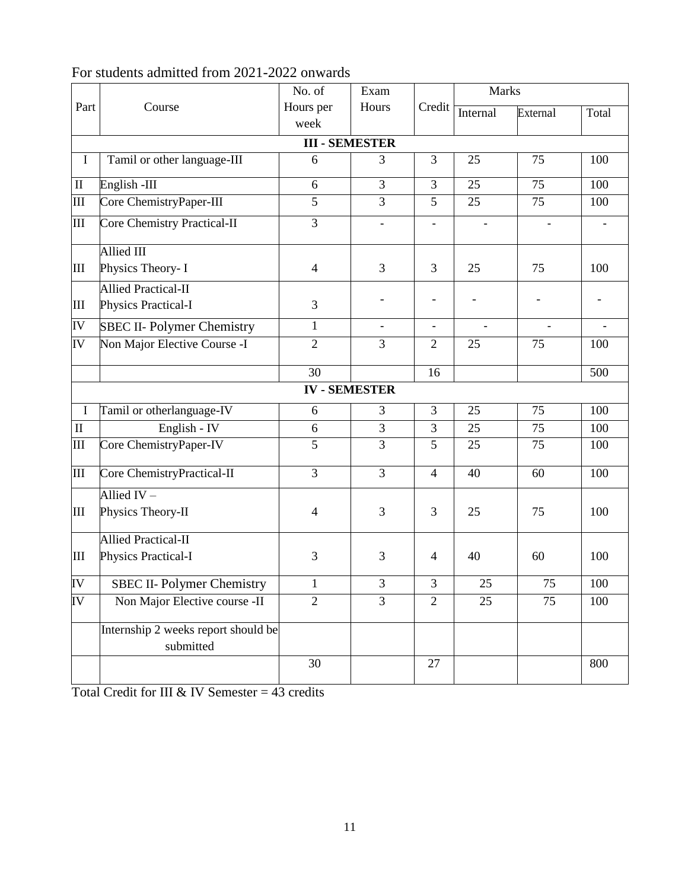|             |                                                  | No. of            | Exam                  |                          | Marks    |          |       |  |
|-------------|--------------------------------------------------|-------------------|-----------------------|--------------------------|----------|----------|-------|--|
| Part        | Course                                           | Hours per<br>week | Hours                 | Credit                   | Internal | External | Total |  |
|             |                                                  |                   | <b>III - SEMESTER</b> |                          |          |          |       |  |
| $\bf{I}$    | Tamil or other language-III                      | 6                 | 3                     | 3                        | 25       | 75       | 100   |  |
| $\rm II$    | English-III                                      | 6                 | $\overline{3}$        | 3                        | 25       | 75       | 100   |  |
| III         | Core ChemistryPaper-III                          | 5                 | $\overline{3}$        | 5                        | 25       | 75       | 100   |  |
| Ш           | Core Chemistry Practical-II                      | $\overline{3}$    |                       |                          |          |          |       |  |
|             | Allied III                                       |                   |                       |                          |          |          |       |  |
| Ш           | Physics Theory- I                                | $\overline{4}$    | 3                     | 3                        | 25       | 75       | 100   |  |
|             | <b>Allied Practical-II</b>                       |                   |                       |                          |          |          |       |  |
| Ш           | Physics Practical-I                              | 3                 |                       |                          |          |          |       |  |
| IV          | <b>SBEC II- Polymer Chemistry</b>                | $\mathbf{1}$      | $\blacksquare$        | $\overline{\phantom{a}}$ |          |          |       |  |
| IV          | Non Major Elective Course -I                     | $\overline{2}$    | 3                     | $\overline{2}$           | 25       | 75       | 100   |  |
|             |                                                  | 30                |                       | 16                       |          |          | 500   |  |
|             |                                                  |                   | <b>IV-SEMESTER</b>    |                          |          |          |       |  |
| $\mathbf I$ | Tamil or otherlanguage-IV                        | 6                 | 3                     | 3                        | 25       | 75       | 100   |  |
| $\mathbf H$ | English - IV                                     | 6                 | 3                     | 3                        | 25       | 75       | 100   |  |
| III         | Core ChemistryPaper-IV                           | 5                 | $\overline{3}$        | 5                        | 25       | 75       | 100   |  |
| III         | Core ChemistryPractical-II                       | 3                 | 3                     | $\overline{4}$           | 40       | 60       | 100   |  |
|             | Allied $IV -$                                    |                   |                       |                          |          |          |       |  |
| Ш           | Physics Theory-II                                | 4                 | 3                     | 3                        | 25       | 75       | 100   |  |
|             | <b>Allied Practical-II</b>                       |                   |                       |                          |          |          |       |  |
| Ш           | Physics Practical-I                              | 3                 | 3                     | $\overline{4}$           | 40       | 60       | 100   |  |
| IV          | <b>SBEC II- Polymer Chemistry</b>                | 1                 | 3                     | 3                        | 25       | 75       | 100   |  |
| IV          | Non Major Elective course -II                    | $\overline{2}$    | $\overline{3}$        | $\overline{2}$           | 25       | 75       | 100   |  |
|             | Internship 2 weeks report should be<br>submitted |                   |                       |                          |          |          |       |  |
|             |                                                  | 30                |                       | $27\,$                   |          |          | 800   |  |

# For students admitted from 2021-2022 onwards

Total Credit for III & IV Semester =  $43$  credits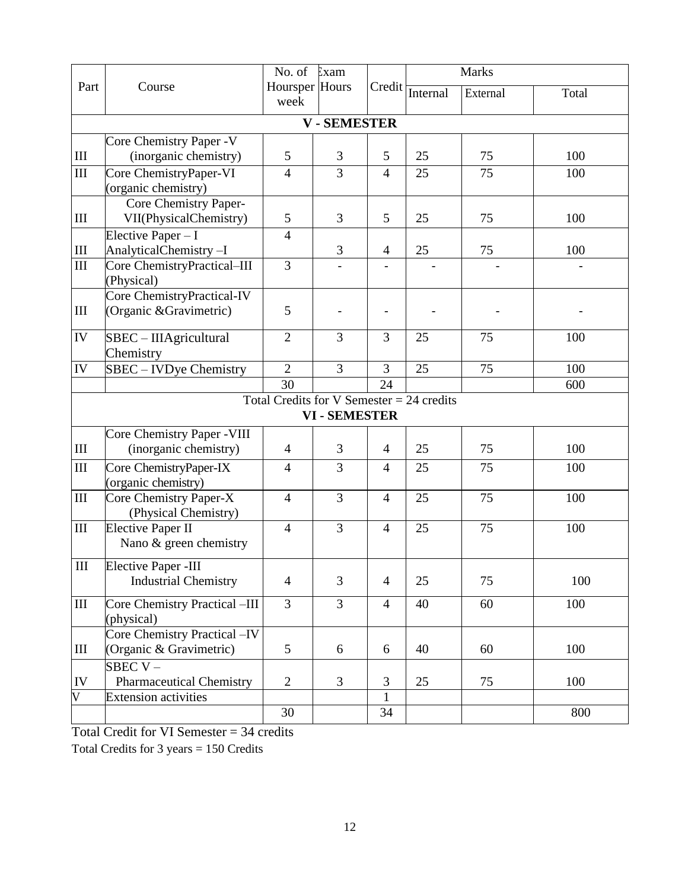|                         |                                                | No. of Exam                                 |                      |                | <b>Marks</b> |          |       |
|-------------------------|------------------------------------------------|---------------------------------------------|----------------------|----------------|--------------|----------|-------|
| Part                    | Course                                         | Hoursper Hours                              |                      | Credit         | Internal     | External | Total |
|                         |                                                | week                                        |                      |                |              |          |       |
|                         |                                                |                                             | <b>V-SEMESTER</b>    |                |              |          |       |
|                         | Core Chemistry Paper - V                       |                                             |                      |                |              |          |       |
| $\rm III$               | (inorganic chemistry)                          | 5                                           | 3                    | 5              | 25           | 75       | 100   |
| $\rm III$               | Core ChemistryPaper-VI                         | $\overline{4}$                              | 3                    | $\overline{4}$ | 25           | 75       | 100   |
|                         | (organic chemistry)                            |                                             |                      |                |              |          |       |
|                         | Core Chemistry Paper-                          |                                             |                      |                |              |          |       |
| Ш                       | VII(PhysicalChemistry)                         | $\mathfrak{S}$                              | 3                    | 5              | 25           | 75       | 100   |
|                         | Elective Paper $-I$                            | $\overline{4}$                              |                      |                |              |          |       |
| $\rm III$               | AnalyticalChemistry-I                          |                                             | 3                    | $\overline{4}$ | 25           | 75       | 100   |
| $\rm III$               | Core ChemistryPractical-III                    | 3                                           |                      |                |              |          |       |
|                         | (Physical)                                     |                                             |                      |                |              |          |       |
|                         | Core ChemistryPractical-IV                     |                                             |                      |                |              |          |       |
| Ш                       | (Organic & Gravimetric)                        | 5                                           |                      |                |              |          |       |
| IV                      | $SBEC - IIIAgricultural$                       | $\overline{2}$                              | 3                    | 3              | 25           | 75       | 100   |
|                         | Chemistry                                      |                                             |                      |                |              |          |       |
| IV                      | SBEC - IVDye Chemistry                         | $\overline{2}$                              | $\overline{3}$       | $\overline{3}$ | 25           | 75       | 100   |
|                         |                                                | 30                                          |                      | 24             |              |          | 600   |
|                         |                                                | Total Credits for V Semester $= 24$ credits |                      |                |              |          |       |
|                         |                                                |                                             | <b>VI - SEMESTER</b> |                |              |          |       |
|                         | Core Chemistry Paper - VIII                    |                                             |                      |                |              |          |       |
| $\rm III$               | (inorganic chemistry)                          | $\overline{4}$                              | 3                    | $\overline{4}$ | 25           | 75       | 100   |
|                         |                                                |                                             |                      |                |              |          |       |
| $\rm III$               | Core ChemistryPaper-IX                         | $\overline{4}$                              | $\overline{3}$       | $\overline{4}$ | 25           | 75       | 100   |
| $\rm III$               | (organic chemistry)                            | $\overline{4}$                              | $\overline{3}$       | $\overline{4}$ | 25           | 75       | 100   |
|                         | Core Chemistry Paper-X<br>(Physical Chemistry) |                                             |                      |                |              |          |       |
| $\rm III$               | <b>Elective Paper II</b>                       | $\overline{4}$                              | $\overline{3}$       | $\overline{4}$ | 25           | 75       | 100   |
|                         | Nano & green chemistry                         |                                             |                      |                |              |          |       |
|                         |                                                |                                             |                      |                |              |          |       |
| $\rm III$               | Elective Paper -III                            |                                             |                      |                |              |          |       |
|                         | <b>Industrial Chemistry</b>                    | $\overline{4}$                              | 3                    | $\overline{4}$ | 25           | 75       | 100   |
| $\rm III$               | Core Chemistry Practical -III                  | $\overline{3}$                              | 3                    | $\overline{4}$ | 40           | 60       | 100   |
|                         | (physical)                                     |                                             |                      |                |              |          |       |
|                         | Core Chemistry Practical -IV                   |                                             |                      |                |              |          |       |
| $\mathop{\rm III}$      | (Organic & Gravimetric)                        | 5                                           | 6                    | 6              | 40           | 60       | 100   |
|                         | $SBEC V -$                                     |                                             |                      |                |              |          |       |
| IV                      | <b>Pharmaceutical Chemistry</b>                | $\mathbf{2}$                                | 3                    | $\mathfrak{Z}$ | 25           | 75       | 100   |
| $\overline{\mathsf{V}}$ | <b>Extension activities</b>                    |                                             |                      | $\mathbf{1}$   |              |          |       |
|                         |                                                | 30                                          |                      | 34             |              |          | 800   |

Total Credit for VI Semester = 34 credits

Total Credits for 3 years = 150 Credits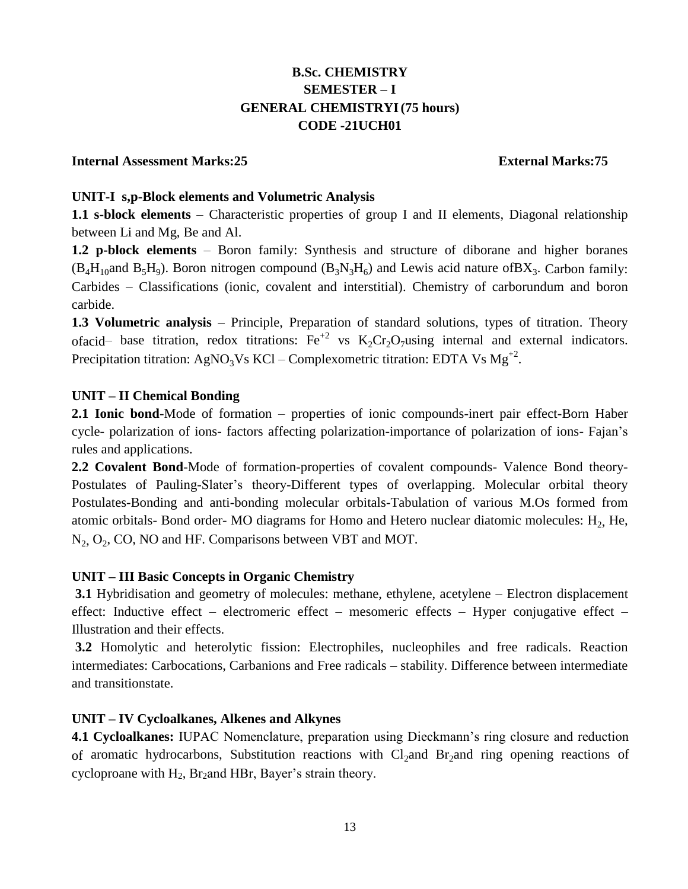# **B.Sc. CHEMISTRY SEMESTER** – **I GENERAL CHEMISTRYI (75 hours) CODE -21UCH01**

### **Internal Assessment Marks:25 External Marks:75**

### **UNIT-I s,p-Block elements and Volumetric Analysis**

**1.1 s-block elements** – Characteristic properties of group I and II elements, Diagonal relationship between Li and Mg, Be and Al.

**1.2 p-block elements** – Boron family: Synthesis and structure of diborane and higher boranes  $(B_4H_{10}$ and  $B_5H_9$ ). Boron nitrogen compound  $(B_3N_3H_6)$  and Lewis acid nature of BX<sub>3</sub>. Carbon family: Carbides – Classifications (ionic, covalent and interstitial). Chemistry of carborundum and boron carbide.

**1.3 Volumetric analysis** – Principle, Preparation of standard solutions, types of titration. Theory ofacid– base titration, redox titrations:  $Fe^{+2}$  vs  $K_2Cr_2O_7$  using internal and external indicators. Precipitation titration: AgNO<sub>3</sub>Vs KCl – Complexometric titration: EDTA Vs  $Mg^{+2}$ .

## **UNIT – II Chemical Bonding**

**2.1 Ionic bond**-Mode of formation – properties of ionic compounds-inert pair effect-Born Haber cycle- polarization of ions- factors affecting polarization-importance of polarization of ions- Fajan's rules and applications.

**2.2 Covalent Bond**-Mode of formation-properties of covalent compounds- Valence Bond theory-Postulates of Pauling-Slater's theory-Different types of overlapping. Molecular orbital theory Postulates-Bonding and anti-bonding molecular orbitals-Tabulation of various M.Os formed from atomic orbitals- Bond order- MO diagrams for Homo and Hetero nuclear diatomic molecules:  $H_2$ , He,  $N_2$ ,  $O_2$ , CO, NO and HF. Comparisons between VBT and MOT.

### **UNIT – III Basic Concepts in Organic Chemistry**

**3.1** Hybridisation and geometry of molecules: methane, ethylene, acetylene – Electron displacement effect: Inductive effect – electromeric effect – mesomeric effects – Hyper conjugative effect – Illustration and their effects.

**3.2** Homolytic and heterolytic fission: Electrophiles, nucleophiles and free radicals. Reaction intermediates: Carbocations, Carbanions and Free radicals – stability. Difference between intermediate and transitionstate.

# **UNIT – IV Cycloalkanes, Alkenes and Alkynes**

**4.1 Cycloalkanes:** IUPAC Nomenclature, preparation using Dieckmann's ring closure and reduction of aromatic hydrocarbons, Substitution reactions with  $Cl<sub>2</sub>$  and Br<sub>2</sub>and ring opening reactions of cycloproane with  $H_2$ , Br<sub>2</sub>and HBr, Bayer's strain theory.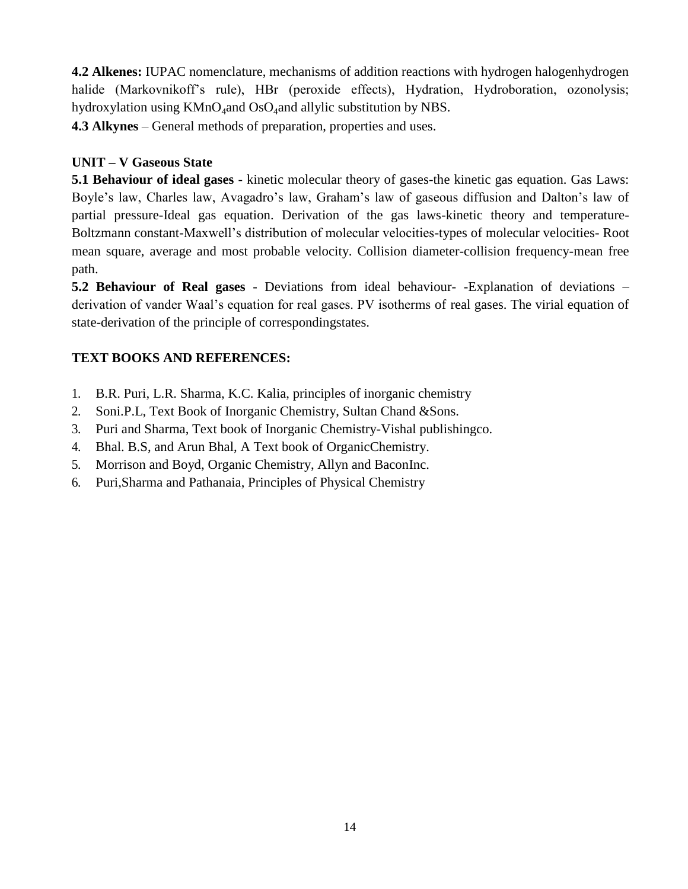**4.2 Alkenes:** IUPAC nomenclature, mechanisms of addition reactions with hydrogen halogenhydrogen halide (Markovnikoff's rule), HBr (peroxide effects), Hydration, Hydroboration, ozonolysis; hydroxylation using  $KMnO_4$ and  $OsO_4$ and allylic substitution by NBS.

**4.3 Alkynes** – General methods of preparation, properties and uses.

# **UNIT – V Gaseous State**

**5.1 Behaviour of ideal gases** - kinetic molecular theory of gases-the kinetic gas equation. Gas Laws: Boyle's law, Charles law, Avagadro's law, Graham's law of gaseous diffusion and Dalton's law of partial pressure-Ideal gas equation. Derivation of the gas laws-kinetic theory and temperature-Boltzmann constant-Maxwell's distribution of molecular velocities-types of molecular velocities- Root mean square, average and most probable velocity. Collision diameter-collision frequency-mean free path.

**5.2 Behaviour of Real gases** - Deviations from ideal behaviour- -Explanation of deviations – derivation of vander Waal's equation for real gases. PV isotherms of real gases. The virial equation of state-derivation of the principle of correspondingstates.

# **TEXT BOOKS AND REFERENCES:**

- 1. B.R. Puri, L.R. Sharma, K.C. Kalia, principles of inorganic chemistry
- 2. Soni.P.L, Text Book of Inorganic Chemistry, Sultan Chand &Sons.
- 3. Puri and Sharma, Text book of Inorganic Chemistry-Vishal publishingco.
- 4. Bhal. B.S, and Arun Bhal, A Text book of OrganicChemistry.
- 5. Morrison and Boyd, Organic Chemistry, Allyn and BaconInc.
- 6. Puri,Sharma and Pathanaia, Principles of Physical Chemistry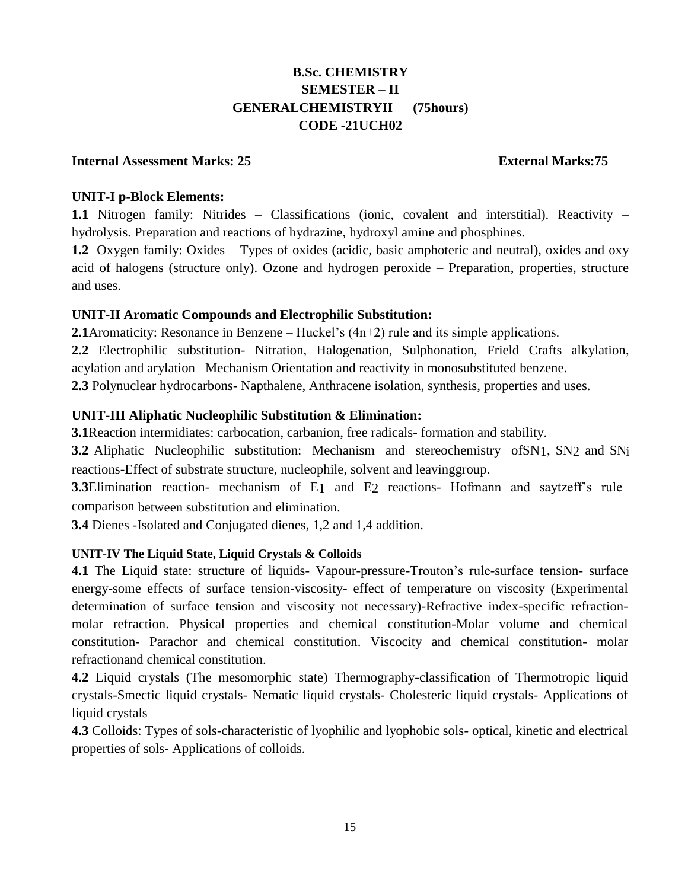# **B.Sc. CHEMISTRY SEMESTER** – **II GENERALCHEMISTRYII (75hours) CODE -21UCH02**

### **Internal Assessment Marks: 25 External Marks:75**

## **UNIT-I p-Block Elements:**

**1.1** Nitrogen family: Nitrides – Classifications (ionic, covalent and interstitial). Reactivity – hydrolysis. Preparation and reactions of hydrazine, hydroxyl amine and phosphines.

**1.2** Oxygen family: Oxides – Types of oxides (acidic, basic amphoteric and neutral), oxides and oxy acid of halogens (structure only). Ozone and hydrogen peroxide – Preparation, properties, structure and uses.

# **UNIT-II Aromatic Compounds and Electrophilic Substitution:**

**2.1**Aromaticity: Resonance in Benzene – Huckel's (4n+2) rule and its simple applications.

**2.2** Electrophilic substitution- Nitration, Halogenation, Sulphonation, Frield Crafts alkylation, acylation and arylation –Mechanism Orientation and reactivity in monosubstituted benzene.

**2.3** Polynuclear hydrocarbons- Napthalene, Anthracene isolation, synthesis, properties and uses.

# **UNIT-III Aliphatic Nucleophilic Substitution & Elimination:**

**3.1**Reaction intermidiates: carbocation, carbanion, free radicals- formation and stability.

**3.2** Aliphatic Nucleophilic substitution: Mechanism and stereochemistry ofSN1, SN2 and SNi reactions-Effect of substrate structure, nucleophile, solvent and leavinggroup.

**3.3**Elimination reaction- mechanism of E1 and E2 reactions- Hofmann and saytzeff's rule– comparison between substitution and elimination.

**3.4** Dienes -Isolated and Conjugated dienes, 1,2 and 1,4 addition.

### **UNIT-IV The Liquid State, Liquid Crystals & Colloids**

**4.1** The Liquid state: structure of liquids- Vapour-pressure-Trouton's rule-surface tension- surface energy-some effects of surface tension-viscosity- effect of temperature on viscosity (Experimental determination of surface tension and viscosity not necessary)-Refractive index-specific refractionmolar refraction. Physical properties and chemical constitution-Molar volume and chemical constitution- Parachor and chemical constitution. Viscocity and chemical constitution- molar refractionand chemical constitution.

**4.2** Liquid crystals (The mesomorphic state) Thermography-classification of Thermotropic liquid crystals-Smectic liquid crystals- Nematic liquid crystals- Cholesteric liquid crystals- Applications of liquid crystals

**4.3** Colloids: Types of sols-characteristic of lyophilic and lyophobic sols- optical, kinetic and electrical properties of sols- Applications of colloids.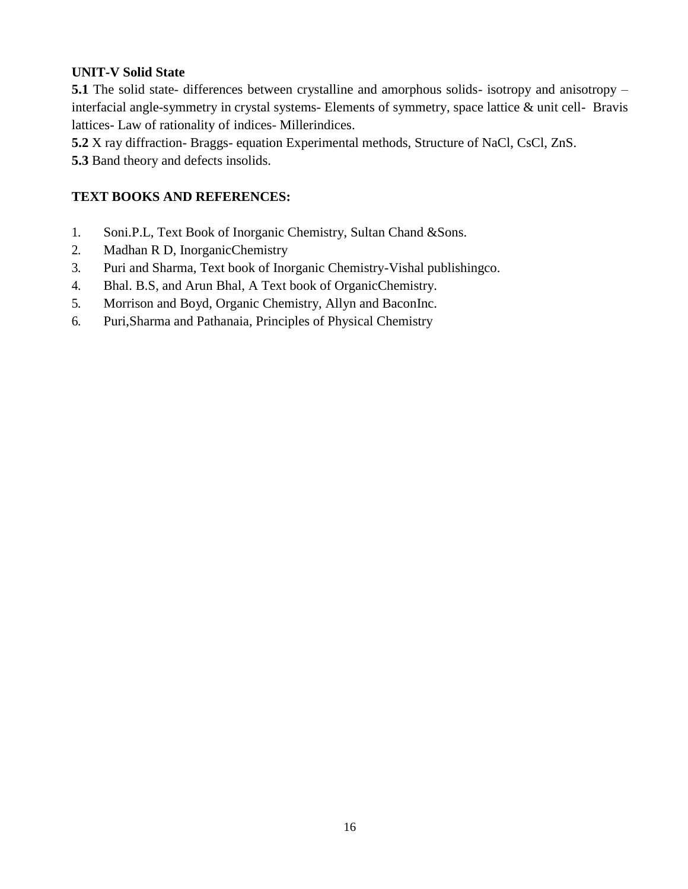# **UNIT-V Solid State**

**5.1** The solid state- differences between crystalline and amorphous solids- isotropy and anisotropy – interfacial angle-symmetry in crystal systems- Elements of symmetry, space lattice & unit cell- Bravis lattices- Law of rationality of indices- Millerindices.

**5.2** X ray diffraction- Braggs- equation Experimental methods, Structure of NaCl, CsCl, ZnS.

**5.3** Band theory and defects insolids.

# **TEXT BOOKS AND REFERENCES:**

- 1. Soni.P.L, Text Book of Inorganic Chemistry, Sultan Chand &Sons.
- 2. Madhan R D, InorganicChemistry
- 3. Puri and Sharma, Text book of Inorganic Chemistry-Vishal publishingco.
- 4. Bhal. B.S, and Arun Bhal, A Text book of OrganicChemistry.
- 5. Morrison and Boyd, Organic Chemistry, Allyn and BaconInc.
- 6. Puri,Sharma and Pathanaia, Principles of Physical Chemistry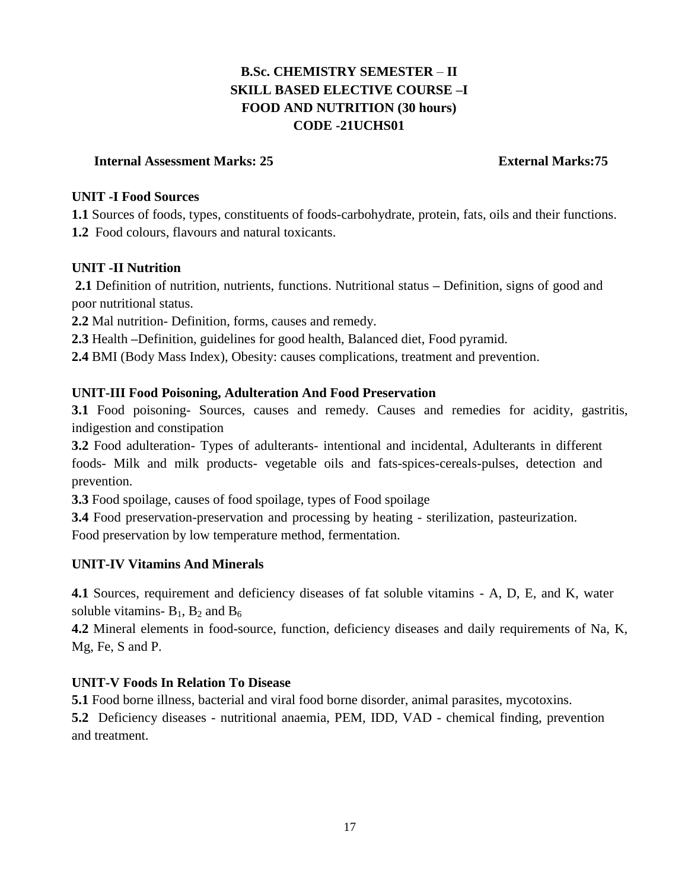# **B.Sc. CHEMISTRY SEMESTER** – **II SKILL BASED ELECTIVE COURSE –I FOOD AND NUTRITION (30 hours) CODE -21UCHS01**

## **Internal Assessment Marks: 25 External Marks:75**

### **UNIT -I Food Sources**

**1.1** Sources of foods, types, constituents of foods-carbohydrate, protein, fats, oils and their functions. **1.2** Food colours, flavours and natural toxicants.

# **UNIT -II Nutrition**

**2.1** Definition of nutrition, nutrients, functions. Nutritional status **–** Definition, signs of good and poor nutritional status.

**2.2** Mal nutrition- Definition, forms, causes and remedy.

**2.3** Health **–**Definition, guidelines for good health, Balanced diet, Food pyramid.

**2.4** BMI (Body Mass Index), Obesity: causes complications, treatment and prevention.

# **UNIT-III Food Poisoning, Adulteration And Food Preservation**

**3.1** Food poisoning- Sources, causes and remedy. Causes and remedies for acidity, gastritis, indigestion and constipation

**3.2** Food adulteration- Types of adulterants- intentional and incidental, Adulterants in different foods- Milk and milk products- vegetable oils and fats-spices-cereals-pulses, detection and prevention.

**3.3** Food spoilage, causes of food spoilage, types of Food spoilage

**3.4** Food preservation-preservation and processing by heating - sterilization, pasteurization. Food preservation by low temperature method, fermentation.

# **UNIT-IV Vitamins And Minerals**

**4.1** Sources, requirement and deficiency diseases of fat soluble vitamins - A, D, E, and K, water soluble vitamins-  $B_1$ ,  $B_2$  and  $B_6$ 

**4.2** Mineral elements in food-source, function, deficiency diseases and daily requirements of Na, K, Mg, Fe, S and P.

# **UNIT-V Foods In Relation To Disease**

**5.1** Food borne illness, bacterial and viral food borne disorder, animal parasites, mycotoxins.

**5.2** Deficiency diseases - nutritional anaemia, PEM, IDD, VAD - chemical finding, prevention and treatment.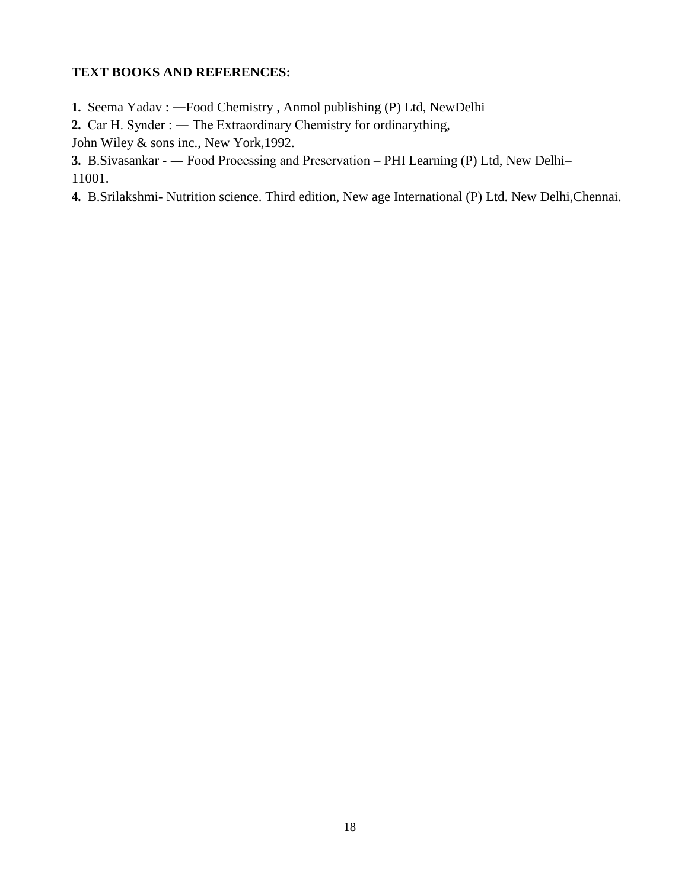## **TEXT BOOKS AND REFERENCES:**

- **1.** Seema Yadav : **―**Food Chemistry , Anmol publishing (P) Ltd, NewDelhi
- 2. Car H. Synder : The Extraordinary Chemistry for ordinarything,

John Wiley & sons inc., New York,1992.

**3.** B.Sivasankar - — Food Processing and Preservation – PHI Learning (P) Ltd, New Delhi–

11001.

**4.** B.Srilakshmi- Nutrition science. Third edition, New age International (P) Ltd. New Delhi,Chennai.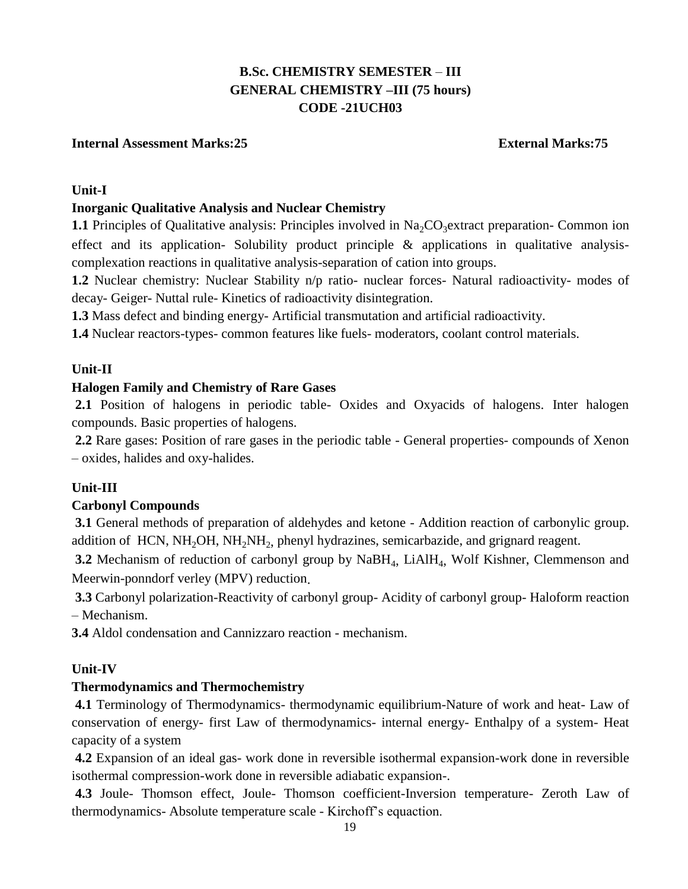# **B.Sc. CHEMISTRY SEMESTER** – **III GENERAL CHEMISTRY –III (75 hours) CODE -21UCH03**

## **Internal Assessment Marks:25 External Marks:75**

### **Unit-I**

## **Inorganic Qualitative Analysis and Nuclear Chemistry**

**1.1** Principles of Qualitative analysis: Principles involved in  $Na_2CO_3$  extract preparation- Common ion effect and its application- Solubility product principle  $\&$  applications in qualitative analysiscomplexation reactions in qualitative analysis-separation of cation into groups.

**1.2** Nuclear chemistry: Nuclear Stability n/p ratio- nuclear forces- Natural radioactivity- modes of decay- Geiger- Nuttal rule- Kinetics of radioactivity disintegration.

**1.3** Mass defect and binding energy- Artificial transmutation and artificial radioactivity.

**1.4** Nuclear reactors-types- common features like fuels- moderators, coolant control materials.

## **Unit-II**

## **Halogen Family and Chemistry of Rare Gases**

**2.1** Position of halogens in periodic table- Oxides and Oxyacids of halogens. Inter halogen compounds. Basic properties of halogens.

**2.2** Rare gases: Position of rare gases in the periodic table - General properties- compounds of Xenon – oxides, halides and oxy-halides.

# **Unit-III**

### **Carbonyl Compounds**

**3.1** General methods of preparation of aldehydes and ketone - Addition reaction of carbonylic group. addition of HCN,  $NH<sub>2</sub>OH$ ,  $NH<sub>2</sub>NH<sub>2</sub>$ , phenyl hydrazines, semicarbazide, and grignard reagent.

**3.2** Mechanism of reduction of carbonyl group by NaBH<sub>4</sub>, LiAlH<sub>4</sub>, Wolf Kishner, Clemmenson and Meerwin-ponndorf verley (MPV) reduction.

**3.3** Carbonyl polarization-Reactivity of carbonyl group- Acidity of carbonyl group- Haloform reaction – Mechanism.

**3.4** Aldol condensation and Cannizzaro reaction - mechanism.

### **Unit-IV**

### **Thermodynamics and Thermochemistry**

**4.1** Terminology of Thermodynamics- thermodynamic equilibrium-Nature of work and heat- Law of conservation of energy- first Law of thermodynamics- internal energy- Enthalpy of a system- Heat capacity of a system

**4.2** Expansion of an ideal gas- work done in reversible isothermal expansion-work done in reversible isothermal compression-work done in reversible adiabatic expansion-.

**4.3** Joule- Thomson effect, Joule- Thomson coefficient-Inversion temperature- Zeroth Law of thermodynamics- Absolute temperature scale - Kirchoff's equaction.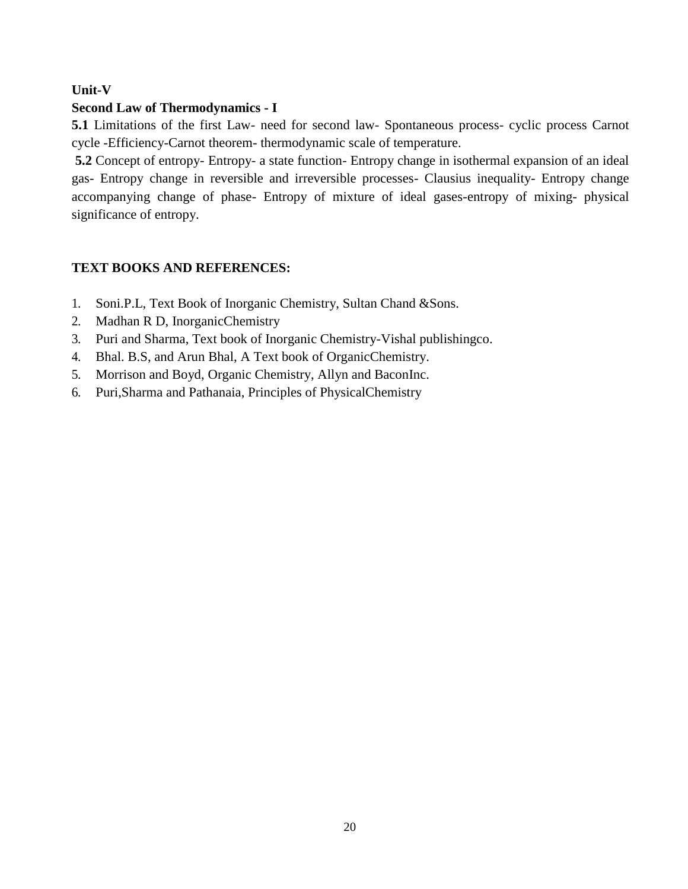# **Unit-V**

# **Second Law of Thermodynamics - I**

**5.1** Limitations of the first Law- need for second law- Spontaneous process- cyclic process Carnot cycle -Efficiency-Carnot theorem- thermodynamic scale of temperature.

**5.2** Concept of entropy- Entropy- a state function- Entropy change in isothermal expansion of an ideal gas- Entropy change in reversible and irreversible processes- Clausius inequality- Entropy change accompanying change of phase- Entropy of mixture of ideal gases-entropy of mixing- physical significance of entropy.

# **TEXT BOOKS AND REFERENCES:**

- 1. Soni.P.L, Text Book of Inorganic Chemistry, Sultan Chand &Sons.
- 2. Madhan R D, InorganicChemistry
- 3. Puri and Sharma, Text book of Inorganic Chemistry-Vishal publishingco.
- 4. Bhal. B.S, and Arun Bhal, A Text book of OrganicChemistry.
- 5. Morrison and Boyd, Organic Chemistry, Allyn and BaconInc.
- 6. Puri,Sharma and Pathanaia, Principles of PhysicalChemistry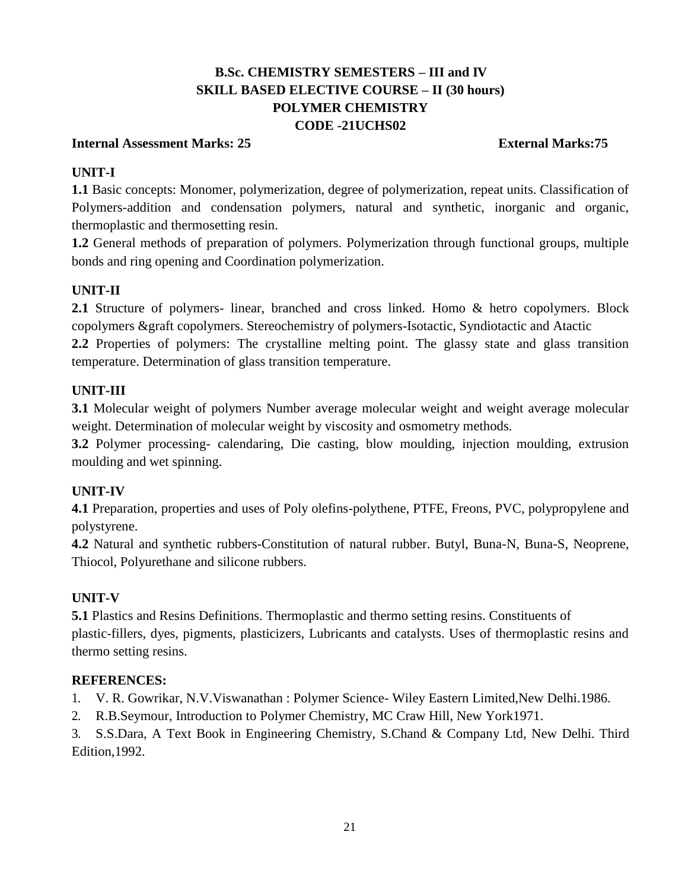# **B.Sc. CHEMISTRY SEMESTERS – III and IV SKILL BASED ELECTIVE COURSE – II (30 hours) POLYMER CHEMISTRY CODE -21UCHS02**

### **Internal Assessment Marks: 25 External Marks:75**

# **UNIT-I**

**1.1** Basic concepts: Monomer, polymerization, degree of polymerization, repeat units. Classification of Polymers-addition and condensation polymers, natural and synthetic, inorganic and organic, thermoplastic and thermosetting resin.

**1.2** General methods of preparation of polymers. Polymerization through functional groups, multiple bonds and ring opening and Coordination polymerization.

# **UNIT-II**

2.1 Structure of polymers- linear, branched and cross linked. Homo & hetro copolymers. Block copolymers &graft copolymers. Stereochemistry of polymers-Isotactic, Syndiotactic and Atactic

**2.2** Properties of polymers: The crystalline melting point. The glassy state and glass transition temperature. Determination of glass transition temperature.

# **UNIT-III**

**3.1** Molecular weight of polymers Number average molecular weight and weight average molecular weight. Determination of molecular weight by viscosity and osmometry methods.

**3.2** Polymer processing- calendaring, Die casting, blow moulding, injection moulding, extrusion moulding and wet spinning.

# **UNIT-IV**

**4.1** Preparation, properties and uses of Poly olefins-polythene, PTFE, Freons, PVC, polypropylene and polystyrene.

**4.2** Natural and synthetic rubbers-Constitution of natural rubber. Butyl, Buna-N, Buna-S, Neoprene, Thiocol, Polyurethane and silicone rubbers.

# **UNIT-V**

**5.1** Plastics and Resins Definitions. Thermoplastic and thermo setting resins. Constituents of plastic-fillers, dyes, pigments, plasticizers, Lubricants and catalysts. Uses of thermoplastic resins and thermo setting resins.

# **REFERENCES:**

1. V. R. Gowrikar, N.V.Viswanathan : Polymer Science- Wiley Eastern Limited,New Delhi.1986.

2. R.B.Seymour, Introduction to Polymer Chemistry, MC Craw Hill, New York1971.

3. S.S.Dara, A Text Book in Engineering Chemistry, S.Chand & Company Ltd, New Delhi. Third Edition,1992.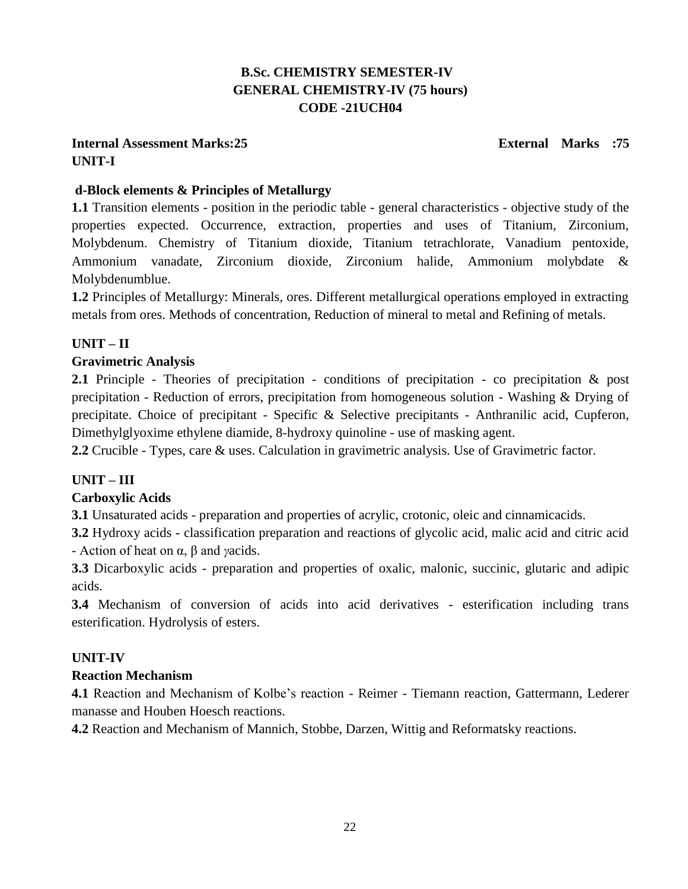# **B.Sc. CHEMISTRY SEMESTER-IV GENERAL CHEMISTRY-IV (75 hours) CODE -21UCH04**

# **Internal Assessment Marks:25 External Marks :75 UNIT-I**

# **d-Block elements & Principles of Metallurgy**

**1.1** Transition elements - position in the periodic table - general characteristics - objective study of the properties expected. Occurrence, extraction, properties and uses of Titanium, Zirconium, Molybdenum. Chemistry of Titanium dioxide, Titanium tetrachlorate, Vanadium pentoxide, Ammonium vanadate, Zirconium dioxide, Zirconium halide, Ammonium molybdate & Molybdenumblue.

**1.2** Principles of Metallurgy: Minerals, ores. Different metallurgical operations employed in extracting metals from ores. Methods of concentration, Reduction of mineral to metal and Refining of metals.

# **UNIT – II**

# **Gravimetric Analysis**

**2.1** Principle - Theories of precipitation - conditions of precipitation - co precipitation & post precipitation - Reduction of errors, precipitation from homogeneous solution - Washing & Drying of precipitate. Choice of precipitant - Specific & Selective precipitants - Anthranilic acid, Cupferon, Dimethylglyoxime ethylene diamide, 8-hydroxy quinoline - use of masking agent.

**2.2** Crucible - Types, care & uses. Calculation in gravimetric analysis. Use of Gravimetric factor.

# **UNIT – III**

# **Carboxylic Acids**

**3.1** Unsaturated acids - preparation and properties of acrylic, crotonic, oleic and cinnamicacids.

**3.2** Hydroxy acids - classification preparation and reactions of glycolic acid, malic acid and citric acid - Action of heat on α, β and *γ*acids.

**3.3** Dicarboxylic acids - preparation and properties of oxalic, malonic, succinic, glutaric and adipic acids.

**3.4** Mechanism of conversion of acids into acid derivatives - esterification including trans esterification. Hydrolysis of esters.

# **UNIT-IV**

# **Reaction Mechanism**

**4.1** Reaction and Mechanism of Kolbe's reaction - Reimer - Tiemann reaction, Gattermann, Lederer manasse and Houben Hoesch reactions.

**4.2** Reaction and Mechanism of Mannich, Stobbe, Darzen, Wittig and Reformatsky reactions.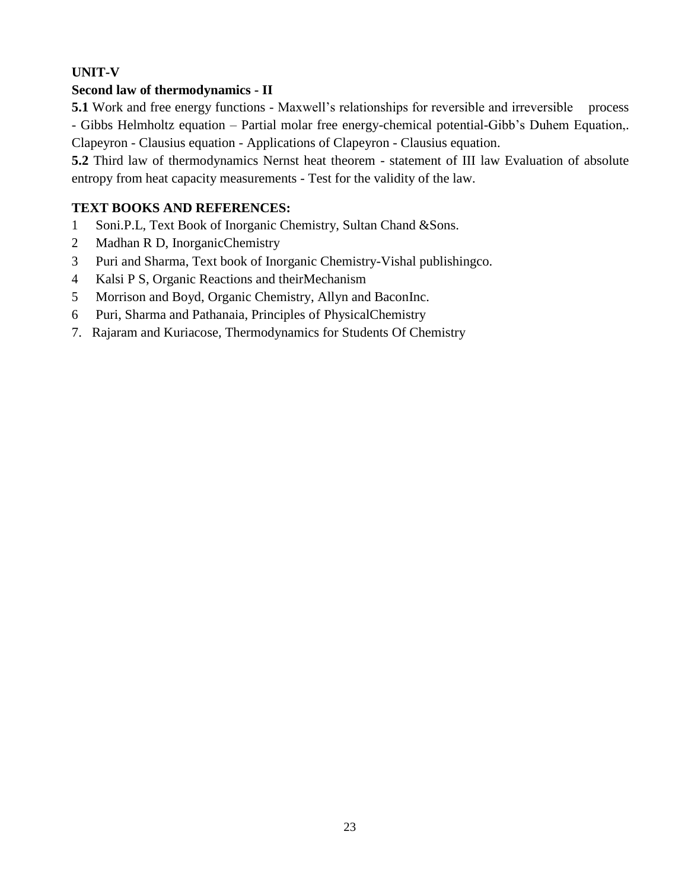# **UNIT-V**

# **Second law of thermodynamics - II**

**5.1** Work and free energy functions - Maxwell's relationships for reversible and irreversible process - Gibbs Helmholtz equation – Partial molar free energy-chemical potential-Gibb's Duhem Equation,. Clapeyron - Clausius equation - Applications of Clapeyron - Clausius equation.

**5.2** Third law of thermodynamics Nernst heat theorem - statement of III law Evaluation of absolute entropy from heat capacity measurements - Test for the validity of the law.

# **TEXT BOOKS AND REFERENCES:**

- 1 Soni.P.L, Text Book of Inorganic Chemistry, Sultan Chand &Sons.
- 2 Madhan R D, InorganicChemistry
- 3 Puri and Sharma, Text book of Inorganic Chemistry-Vishal publishingco.
- 4 Kalsi P S, Organic Reactions and theirMechanism
- 5 Morrison and Boyd, Organic Chemistry, Allyn and BaconInc.
- 6 Puri, Sharma and Pathanaia, Principles of PhysicalChemistry
- 7. Rajaram and Kuriacose, Thermodynamics for Students Of Chemistry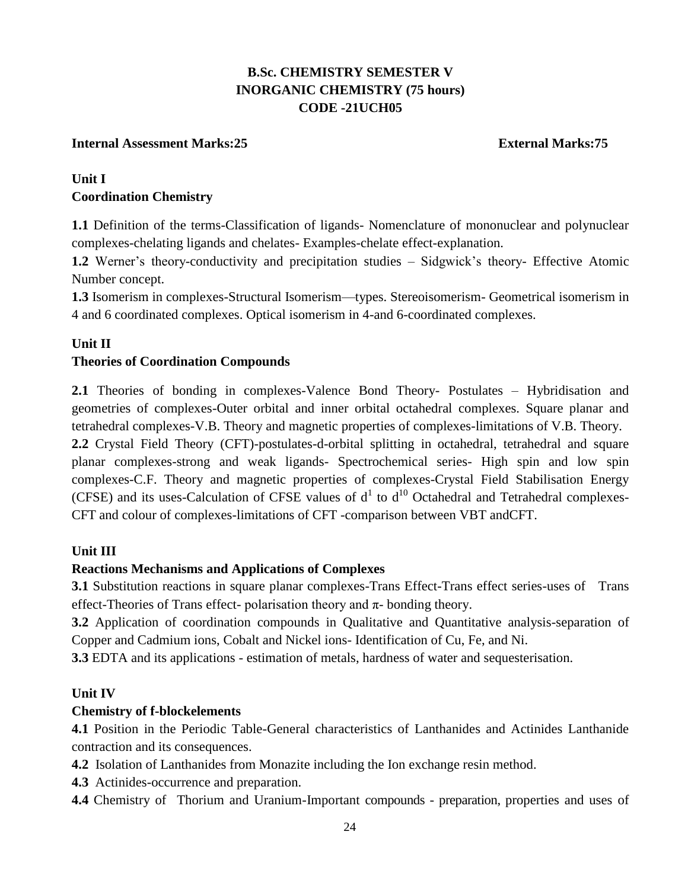# **B.Sc. CHEMISTRY SEMESTER V INORGANIC CHEMISTRY (75 hours) CODE -21UCH05**

## **Internal Assessment Marks:25 External Marks:75**

# **Unit I Coordination Chemistry**

**1.1** Definition of the terms-Classification of ligands- Nomenclature of mononuclear and polynuclear complexes-chelating ligands and chelates- Examples-chelate effect-explanation.

**1.2** Werner's theory-conductivity and precipitation studies – Sidgwick's theory- Effective Atomic Number concept.

**1.3** Isomerism in complexes-Structural Isomerism—types. Stereoisomerism- Geometrical isomerism in 4 and 6 coordinated complexes. Optical isomerism in 4-and 6-coordinated complexes.

## **Unit II**

## **Theories of Coordination Compounds**

**2.1** Theories of bonding in complexes-Valence Bond Theory- Postulates – Hybridisation and geometries of complexes-Outer orbital and inner orbital octahedral complexes. Square planar and tetrahedral complexes-V.B. Theory and magnetic properties of complexes-limitations of V.B. Theory.

**2.2** Crystal Field Theory (CFT)-postulates-d-orbital splitting in octahedral, tetrahedral and square planar complexes-strong and weak ligands- Spectrochemical series- High spin and low spin complexes-C.F. Theory and magnetic properties of complexes-Crystal Field Stabilisation Energy (CFSE) and its uses-Calculation of CFSE values of  $d^1$  to  $d^{10}$  Octahedral and Tetrahedral complexes-CFT and colour of complexes-limitations of CFT -comparison between VBT andCFT.

### **Unit III**

### **Reactions Mechanisms and Applications of Complexes**

**3.1** Substitution reactions in square planar complexes-Trans Effect-Trans effect series-uses of Trans effect-Theories of Trans effect- polarisation theory and  $\pi$ - bonding theory.

**3.2** Application of coordination compounds in Qualitative and Quantitative analysis-separation of Copper and Cadmium ions, Cobalt and Nickel ions- Identification of Cu, Fe, and Ni.

**3.3** EDTA and its applications - estimation of metals, hardness of water and sequesterisation.

### **Unit IV**

### **Chemistry of f-blockelements**

**4.1** Position in the Periodic Table-General characteristics of Lanthanides and Actinides Lanthanide contraction and its consequences.

**4.2** Isolation of Lanthanides from Monazite including the Ion exchange resin method.

- **4.3** Actinides-occurrence and preparation.
- **4.4** Chemistry of Thorium and Uranium-Important compounds preparation, properties and uses of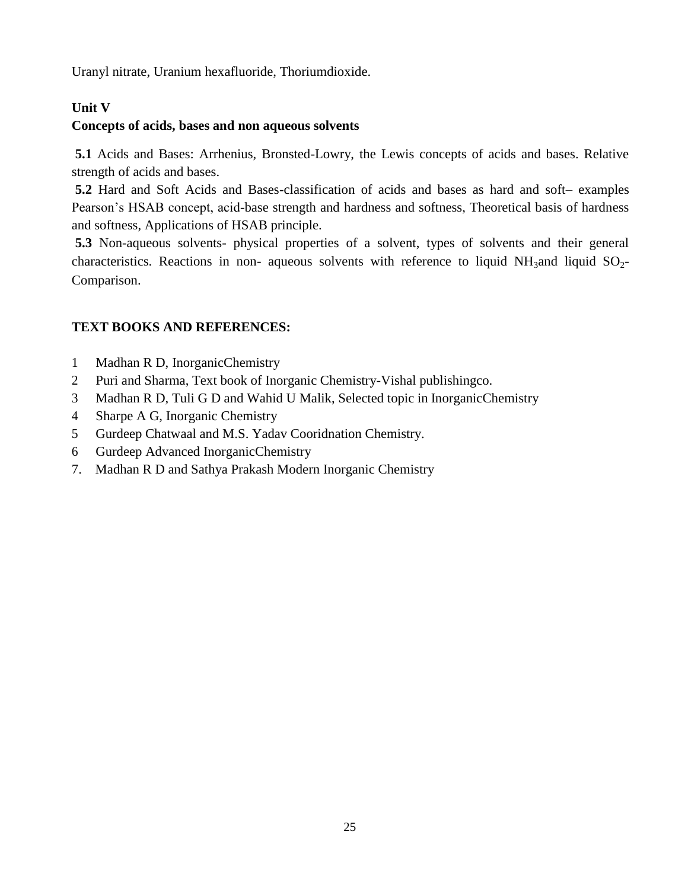Uranyl nitrate, Uranium hexafluoride, Thoriumdioxide.

# **Unit V**

# **Concepts of acids, bases and non aqueous solvents**

**5.1** Acids and Bases: Arrhenius, Bronsted-Lowry, the Lewis concepts of acids and bases. Relative strength of acids and bases.

**5.2** Hard and Soft Acids and Bases-classification of acids and bases as hard and soft– examples Pearson's HSAB concept, acid-base strength and hardness and softness, Theoretical basis of hardness and softness, Applications of HSAB principle.

**5.3** Non-aqueous solvents- physical properties of a solvent, types of solvents and their general characteristics. Reactions in non- aqueous solvents with reference to liquid NH<sub>3</sub>and liquid  $SO_2$ -Comparison.

# **TEXT BOOKS AND REFERENCES:**

- 1 Madhan R D, InorganicChemistry
- 2 Puri and Sharma, Text book of Inorganic Chemistry-Vishal publishingco.
- 3 Madhan R D, Tuli G D and Wahid U Malik, Selected topic in InorganicChemistry
- 4 Sharpe A G, Inorganic Chemistry
- 5 Gurdeep Chatwaal and M.S. Yadav Cooridnation Chemistry.
- 6 Gurdeep Advanced InorganicChemistry
- 7. Madhan R D and Sathya Prakash Modern Inorganic Chemistry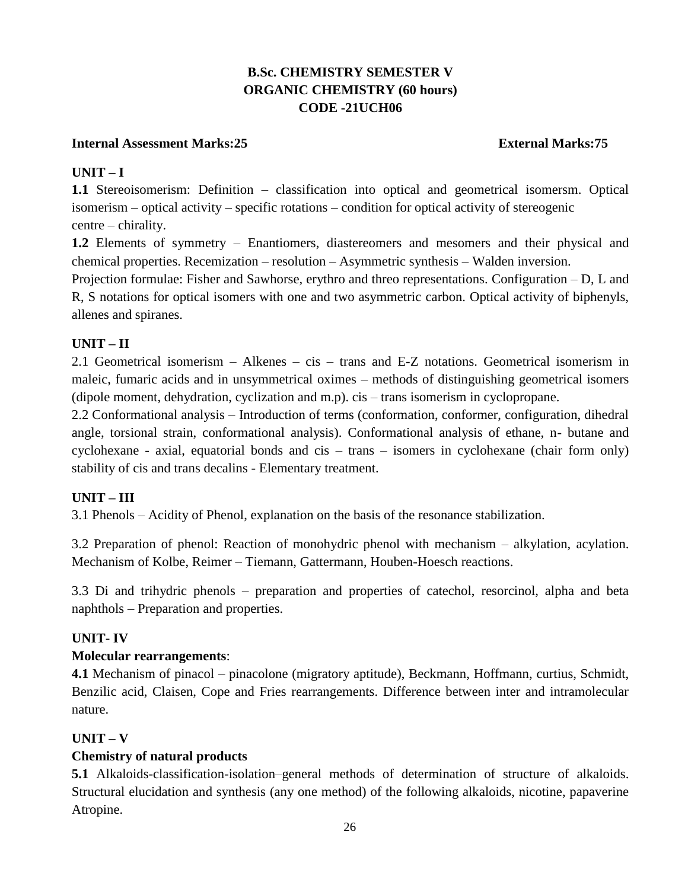# **B.Sc. CHEMISTRY SEMESTER V ORGANIC CHEMISTRY (60 hours) CODE -21UCH06**

## **Internal Assessment Marks:25 External Marks:75**

## **UNIT – I**

**1.1** Stereoisomerism: Definition – classification into optical and geometrical isomersm. Optical isomerism – optical activity – specific rotations – condition for optical activity of stereogenic centre – chirality.

**1.2** Elements of symmetry – Enantiomers, diastereomers and mesomers and their physical and chemical properties. Recemization – resolution – Asymmetric synthesis – Walden inversion.

Projection formulae: Fisher and Sawhorse, erythro and threo representations. Configuration – D, L and R, S notations for optical isomers with one and two asymmetric carbon. Optical activity of biphenyls, allenes and spiranes.

# **UNIT – II**

2.1 Geometrical isomerism – Alkenes – cis – trans and E-Z notations. Geometrical isomerism in maleic, fumaric acids and in unsymmetrical oximes – methods of distinguishing geometrical isomers (dipole moment, dehydration, cyclization and m.p). cis – trans isomerism in cyclopropane.

2.2 Conformational analysis – Introduction of terms (conformation, conformer, configuration, dihedral angle, torsional strain, conformational analysis). Conformational analysis of ethane, n- butane and cyclohexane - axial, equatorial bonds and cis – trans – isomers in cyclohexane (chair form only) stability of cis and trans decalins - Elementary treatment.

# **UNIT – III**

3.1 Phenols – Acidity of Phenol, explanation on the basis of the resonance stabilization.

3.2 Preparation of phenol: Reaction of monohydric phenol with mechanism – alkylation, acylation. Mechanism of Kolbe, Reimer – Tiemann, Gattermann, Houben-Hoesch reactions.

3.3 Di and trihydric phenols – preparation and properties of catechol, resorcinol, alpha and beta naphthols – Preparation and properties.

### **UNIT- IV**

### **Molecular rearrangements**:

**4.1** Mechanism of pinacol – pinacolone (migratory aptitude), Beckmann, Hoffmann, curtius, Schmidt, Benzilic acid, Claisen, Cope and Fries rearrangements. Difference between inter and intramolecular nature.

# **UNIT – V**

### **Chemistry of natural products**

**5.1** Alkaloids-classification-isolation–general methods of determination of structure of alkaloids. Structural elucidation and synthesis (any one method) of the following alkaloids, nicotine, papaverine Atropine.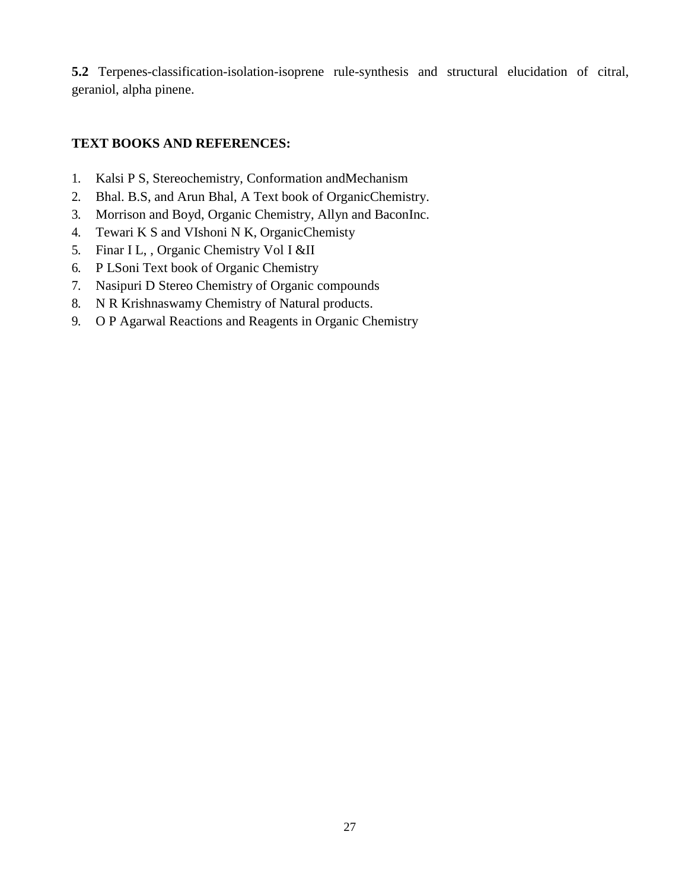**5.2** Terpenes-classification-isolation-isoprene rule-synthesis and structural elucidation of citral, geraniol, alpha pinene.

# **TEXT BOOKS AND REFERENCES:**

- 1. Kalsi P S, Stereochemistry, Conformation andMechanism
- 2. Bhal. B.S, and Arun Bhal, A Text book of OrganicChemistry.
- 3. Morrison and Boyd, Organic Chemistry, Allyn and BaconInc.
- 4. Tewari K S and VIshoni N K, OrganicChemisty
- 5. Finar I L, , Organic Chemistry Vol I &II
- 6. P LSoni Text book of Organic Chemistry
- 7. Nasipuri D Stereo Chemistry of Organic compounds
- 8. N R Krishnaswamy Chemistry of Natural products.
- 9. O P Agarwal Reactions and Reagents in Organic Chemistry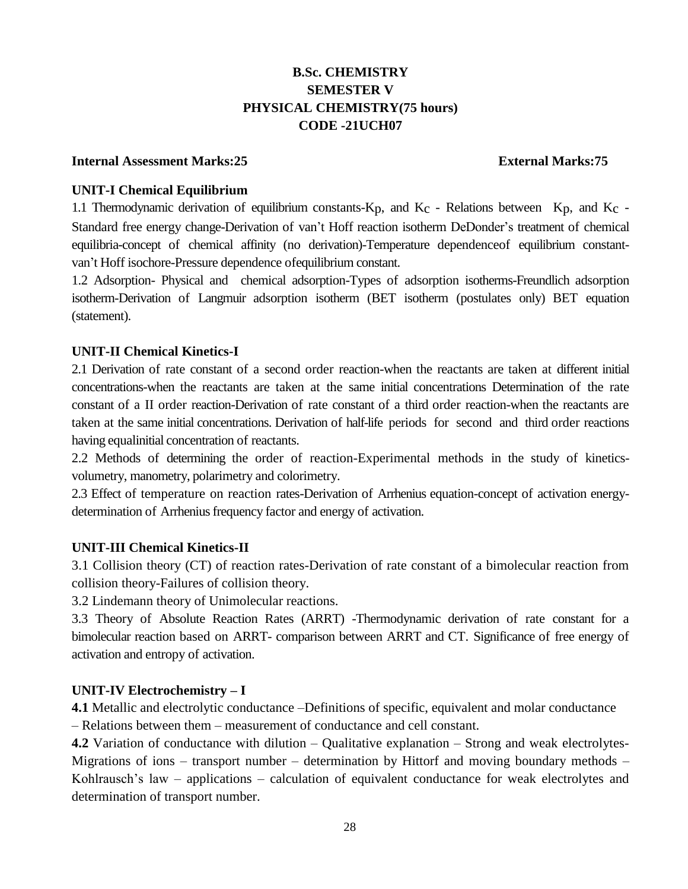# **B.Sc. CHEMISTRY SEMESTER V PHYSICAL CHEMISTRY(75 hours) CODE -21UCH07**

#### **Internal Assessment Marks:25 External Marks:75**

### **UNIT-I Chemical Equilibrium**

1.1 Thermodynamic derivation of equilibrium constants- $K_p$ , and  $K_c$  - Relations between  $K_p$ , and  $K_c$  -Standard free energy change-Derivation of van't Hoff reaction isotherm DeDonder's treatment of chemical equilibria-concept of chemical affinity (no derivation)-Temperature dependenceof equilibrium constantvan't Hoff isochore-Pressure dependence ofequilibrium constant.

1.2 Adsorption- Physical and chemical adsorption-Types of adsorption isotherms-Freundlich adsorption isotherm-Derivation of Langmuir adsorption isotherm (BET isotherm (postulates only) BET equation (statement).

## **UNIT-II Chemical Kinetics-I**

2.1 Derivation of rate constant of a second order reaction-when the reactants are taken at different initial concentrations-when the reactants are taken at the same initial concentrations Determination of the rate constant of a II order reaction-Derivation of rate constant of a third order reaction-when the reactants are taken at the same initial concentrations. Derivation of half-life periods for second and third order reactions having equalinitial concentration of reactants.

2.2 Methods of determining the order of reaction-Experimental methods in the study of kineticsvolumetry, manometry, polarimetry and colorimetry.

2.3 Effect of temperature on reaction rates-Derivation of Arrhenius equation-concept of activation energydetermination of Arrhenius frequency factor and energy of activation.

### **UNIT-III Chemical Kinetics-II**

3.1 Collision theory (CT) of reaction rates-Derivation of rate constant of a bimolecular reaction from collision theory-Failures of collision theory.

3.2 Lindemann theory of Unimolecular reactions.

3.3 Theory of Absolute Reaction Rates (ARRT) -Thermodynamic derivation of rate constant for a bimolecular reaction based on ARRT- comparison between ARRT and CT. Significance of free energy of activation and entropy of activation.

### **UNIT-IV Electrochemistry – I**

**4.1** Metallic and electrolytic conductance –Definitions of specific, equivalent and molar conductance – Relations between them – measurement of conductance and cell constant.

**4.2** Variation of conductance with dilution – Qualitative explanation – Strong and weak electrolytes-Migrations of ions – transport number – determination by Hittorf and moving boundary methods – Kohlrausch's law – applications – calculation of equivalent conductance for weak electrolytes and determination of transport number.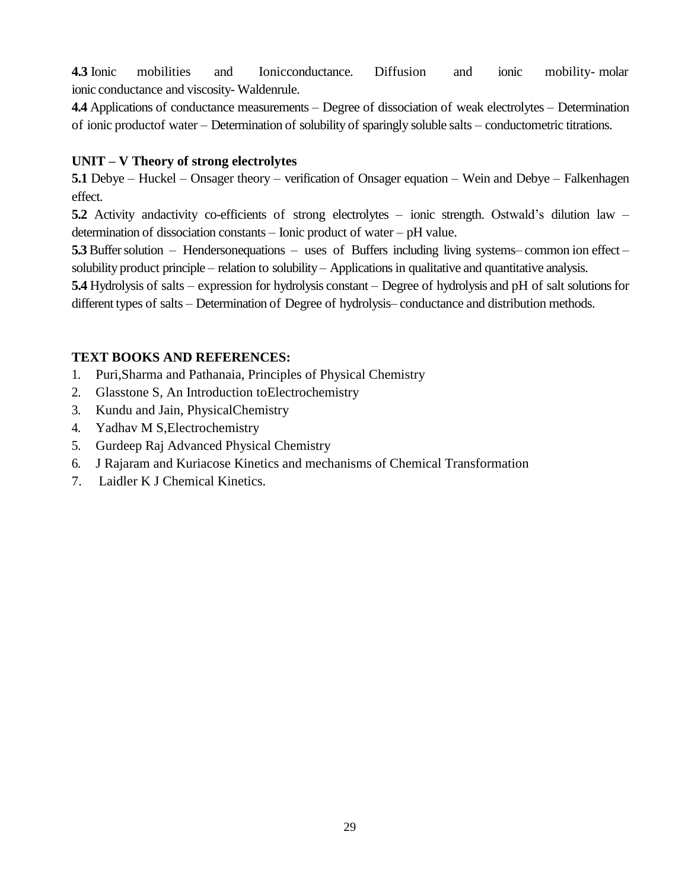**4.3** Ionic mobilities and Ionicconductance. Diffusion and ionic mobility- molar ionic conductance and viscosity- Waldenrule.

**4.4** Applications of conductance measurements – Degree of dissociation of weak electrolytes – Determination of ionic productof water – Determination of solubility of sparingly soluble salts – conductometric titrations.

## **UNIT – V Theory of strong electrolytes**

**5.1** Debye – Huckel – Onsager theory – verification of Onsager equation – Wein and Debye – Falkenhagen effect.

**5.2** Activity andactivity co-efficients of strong electrolytes – ionic strength. Ostwald's dilution law – determination of dissociation constants – Ionic product of water – pH value.

**5.3** Buffer solution – Hendersonequations – uses of Buffers including living systems– common ion effect – solubility product principle – relation to solubility – Applications in qualitative and quantitative analysis.

**5.4** Hydrolysis of salts – expression for hydrolysis constant – Degree of hydrolysis and pH of salt solutions for different types of salts – Determination of Degree of hydrolysis– conductance and distribution methods.

# **TEXT BOOKS AND REFERENCES:**

- 1. Puri,Sharma and Pathanaia, Principles of Physical Chemistry
- 2. Glasstone S, An Introduction toElectrochemistry
- 3. Kundu and Jain, PhysicalChemistry
- 4. Yadhav M S,Electrochemistry
- 5. Gurdeep Raj Advanced Physical Chemistry
- 6. J Rajaram and Kuriacose Kinetics and mechanisms of Chemical Transformation
- 7. Laidler K J Chemical Kinetics.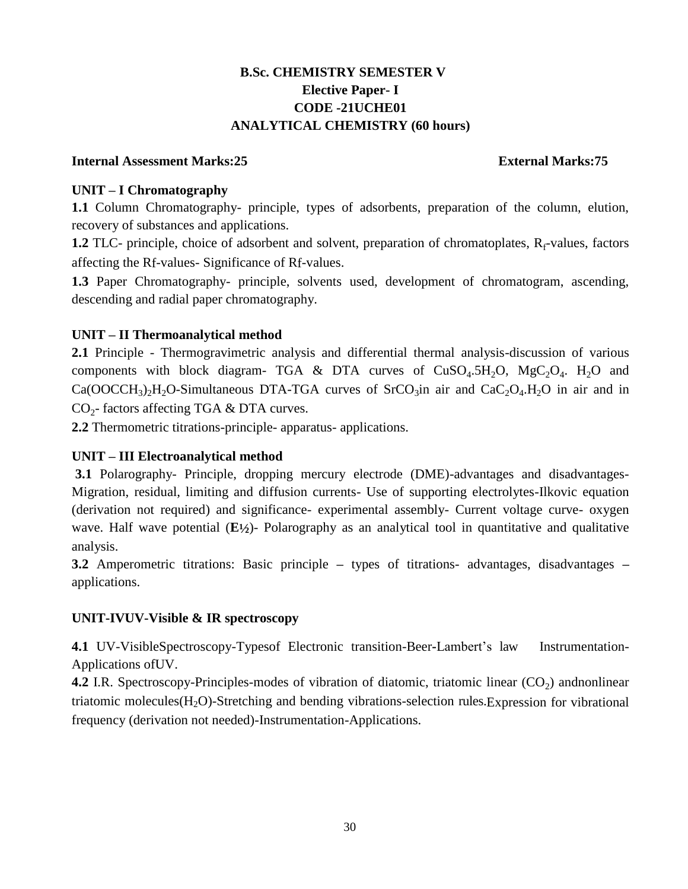# **B.Sc. CHEMISTRY SEMESTER V Elective Paper- I CODE -21UCHE01 ANALYTICAL CHEMISTRY (60 hours)**

### **Internal Assessment Marks:25 External Marks:75**

## **UNIT – I Chromatography**

**1.1** Column Chromatography- principle, types of adsorbents, preparation of the column, elution, recovery of substances and applications.

**1.2** TLC- principle, choice of adsorbent and solvent, preparation of chromatoplates, R<sub>f</sub>-values, factors affecting the Rf-values- Significance of Rf-values.

**1.3** Paper Chromatography- principle, solvents used, development of chromatogram, ascending, descending and radial paper chromatography.

## **UNIT – II Thermoanalytical method**

**2.1** Principle - Thermogravimetric analysis and differential thermal analysis-discussion of various components with block diagram- TGA & DTA curves of  $CuSO<sub>4</sub>.5H<sub>2</sub>O$ ,  $MgC<sub>2</sub>O<sub>4</sub>$ . H<sub>2</sub>O and  $Ca(OOCCH<sub>3</sub>)<sub>2</sub>H<sub>2</sub>O-Simultaneous DTA-TGA curves of SrCO<sub>3</sub> in air and  $CaC<sub>2</sub>O<sub>4</sub>H<sub>2</sub>O$  in air and in$  $CO<sub>2</sub>$ - factors affecting TGA & DTA curves.

**2.2** Thermometric titrations-principle- apparatus- applications.

# **UNIT – III Electroanalytical method**

**3.1** Polarography- Principle, dropping mercury electrode (DME)-advantages and disadvantages-Migration, residual, limiting and diffusion currents- Use of supporting electrolytes-Ilkovic equation (derivation not required) and significance- experimental assembly- Current voltage curve- oxygen wave. Half wave potential (E1/2)- Polarography as an analytical tool in quantitative and qualitative analysis.

**3.2** Amperometric titrations: Basic principle **–** types of titrations- advantages, disadvantages **–** applications.

# **UNIT-IVUV-Visible & IR spectroscopy**

**4.1** UV-VisibleSpectroscopy-Typesof Electronic transition-Beer**-**Lambert's law Instrumentation-Applications ofUV.

**4.2** I.R. Spectroscopy-Principles-modes of vibration of diatomic, triatomic linear (CO<sub>2</sub>) andnonlinear triatomic molecules  $(H_2O)$ -Stretching and bending vibrations-selection rules. Expression for vibrational frequency (derivation not needed)-Instrumentation-Applications.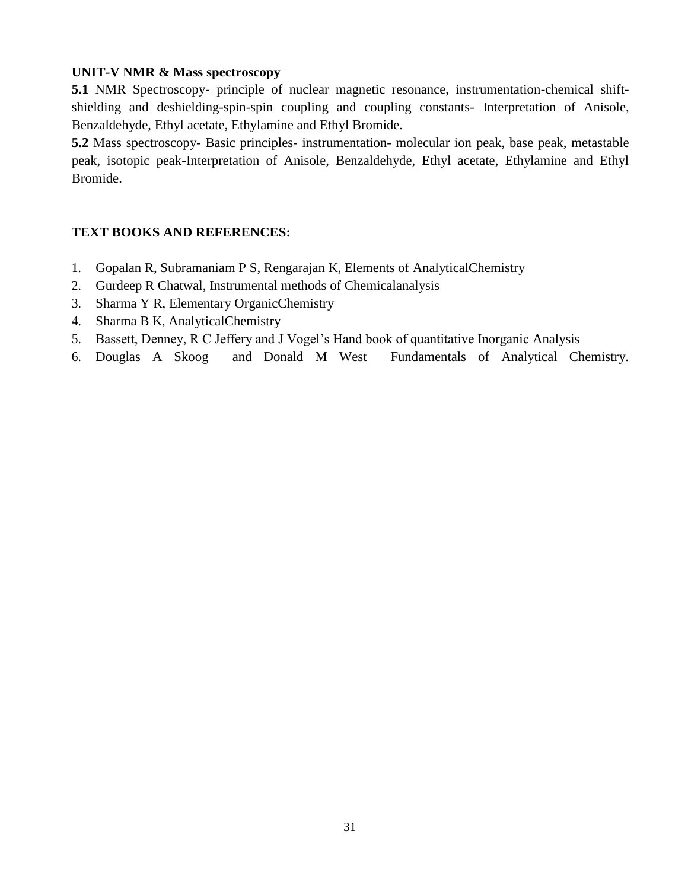# **UNIT-V NMR & Mass spectroscopy**

**5.1** NMR Spectroscopy- principle of nuclear magnetic resonance, instrumentation-chemical shiftshielding and deshielding-spin-spin coupling and coupling constants- Interpretation of Anisole, Benzaldehyde, Ethyl acetate, Ethylamine and Ethyl Bromide.

**5.2** Mass spectroscopy- Basic principles- instrumentation- molecular ion peak, base peak, metastable peak, isotopic peak-Interpretation of Anisole, Benzaldehyde, Ethyl acetate, Ethylamine and Ethyl Bromide.

# **TEXT BOOKS AND REFERENCES:**

- 1. Gopalan R, Subramaniam P S, Rengarajan K, Elements of AnalyticalChemistry
- 2. Gurdeep R Chatwal, Instrumental methods of Chemicalanalysis
- 3. Sharma Y R, Elementary OrganicChemistry
- 4. Sharma B K, AnalyticalChemistry
- 5. Bassett, Denney, R C Jeffery and J Vogel's Hand book of quantitative Inorganic Analysis
- 6. Douglas A Skoog and Donald M West Fundamentals of Analytical Chemistry.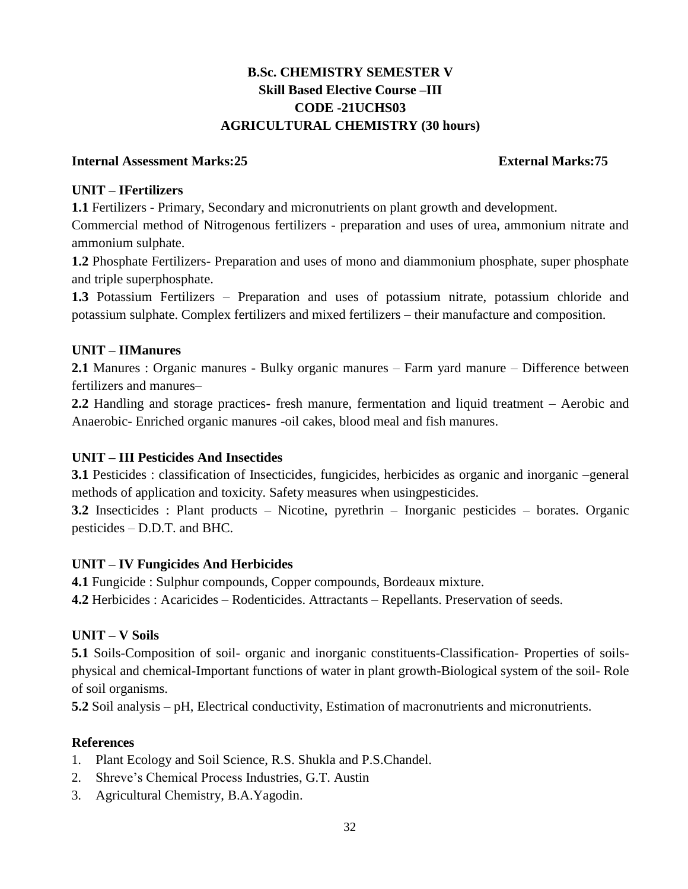# **B.Sc. CHEMISTRY SEMESTER V Skill Based Elective Course –III CODE -21UCHS03 AGRICULTURAL CHEMISTRY (30 hours)**

### **Internal Assessment Marks:25 External Marks:75**

## **UNIT – IFertilizers**

**1.1** Fertilizers - Primary, Secondary and micronutrients on plant growth and development.

Commercial method of Nitrogenous fertilizers - preparation and uses of urea, ammonium nitrate and ammonium sulphate.

**1.2** Phosphate Fertilizers- Preparation and uses of mono and diammonium phosphate, super phosphate and triple superphosphate.

**1.3** Potassium Fertilizers – Preparation and uses of potassium nitrate, potassium chloride and potassium sulphate. Complex fertilizers and mixed fertilizers – their manufacture and composition.

# **UNIT – IIManures**

**2.1** Manures : Organic manures - Bulky organic manures – Farm yard manure – Difference between fertilizers and manures–

**2.2** Handling and storage practices- fresh manure, fermentation and liquid treatment – Aerobic and Anaerobic- Enriched organic manures -oil cakes, blood meal and fish manures.

# **UNIT – III Pesticides And Insectides**

**3.1** Pesticides : classification of Insecticides, fungicides, herbicides as organic and inorganic –general methods of application and toxicity. Safety measures when usingpesticides.

**3.2** Insecticides : Plant products – Nicotine, pyrethrin – Inorganic pesticides – borates. Organic pesticides – D.D.T. and BHC.

# **UNIT – IV Fungicides And Herbicides**

**4.1** Fungicide : Sulphur compounds, Copper compounds, Bordeaux mixture.

**4.2** Herbicides : Acaricides – Rodenticides. Attractants – Repellants. Preservation of seeds.

# **UNIT – V Soils**

**5.1** Soils-Composition of soil- organic and inorganic constituents-Classification- Properties of soilsphysical and chemical-Important functions of water in plant growth-Biological system of the soil- Role of soil organisms.

**5.2** Soil analysis – pH, Electrical conductivity, Estimation of macronutrients and micronutrients.

# **References**

- 1. Plant Ecology and Soil Science, R.S. Shukla and P.S.Chandel.
- 2. Shreve's Chemical Process Industries, G.T. Austin
- 3. Agricultural Chemistry, B.A.Yagodin.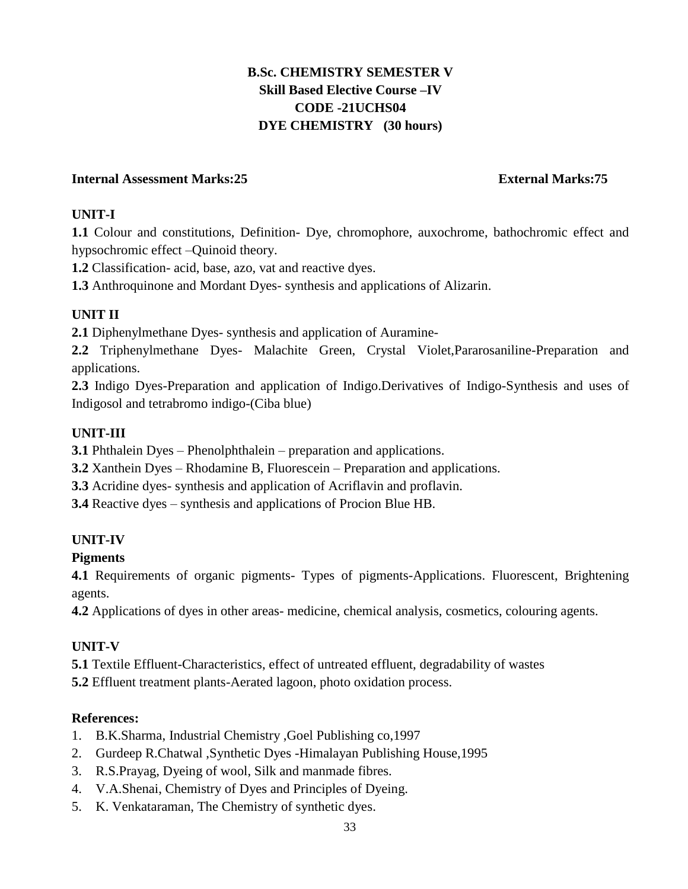# **B.Sc. CHEMISTRY SEMESTER V Skill Based Elective Course –IV CODE -21UCHS04 DYE CHEMISTRY (30 hours)**

# **Internal Assessment Marks:25 External Marks:75**

# **UNIT-I**

**1.1** Colour and constitutions, Definition- Dye, chromophore, auxochrome, bathochromic effect and hypsochromic effect –Quinoid theory.

**1.2** Classification- acid, base, azo, vat and reactive dyes.

**1.3** Anthroquinone and Mordant Dyes- synthesis and applications of Alizarin.

# **UNIT II**

**2.1** Diphenylmethane Dyes- synthesis and application of Auramine-

**2.2** Triphenylmethane Dyes- Malachite Green, Crystal Violet,Pararosaniline-Preparation and applications.

**2.3** Indigo Dyes-Preparation and application of Indigo.Derivatives of Indigo-Synthesis and uses of Indigosol and tetrabromo indigo-(Ciba blue)

# **UNIT-III**

**3.1** Phthalein Dyes – Phenolphthalein – preparation and applications.

**3.2** Xanthein Dyes – Rhodamine B, Fluorescein – Preparation and applications.

**3.3** Acridine dyes- synthesis and application of Acriflavin and proflavin.

**3.4** Reactive dyes – synthesis and applications of Procion Blue HB.

# **UNIT-IV**

# **Pigments**

**4.1** Requirements of organic pigments- Types of pigments-Applications. Fluorescent, Brightening agents.

**4.2** Applications of dyes in other areas- medicine, chemical analysis, cosmetics, colouring agents.

# **UNIT-V**

**5.1** Textile Effluent-Characteristics, effect of untreated effluent, degradability of wastes

**5.2** Effluent treatment plants-Aerated lagoon, photo oxidation process.

# **References:**

- 1. B.K.Sharma, Industrial Chemistry ,Goel Publishing co,1997
- 2. Gurdeep R.Chatwal ,Synthetic Dyes -Himalayan Publishing House,1995
- 3. R.S.Prayag, Dyeing of wool, Silk and manmade fibres.
- 4. V.A.Shenai, Chemistry of Dyes and Principles of Dyeing.
- 5. K. Venkataraman, The Chemistry of synthetic dyes.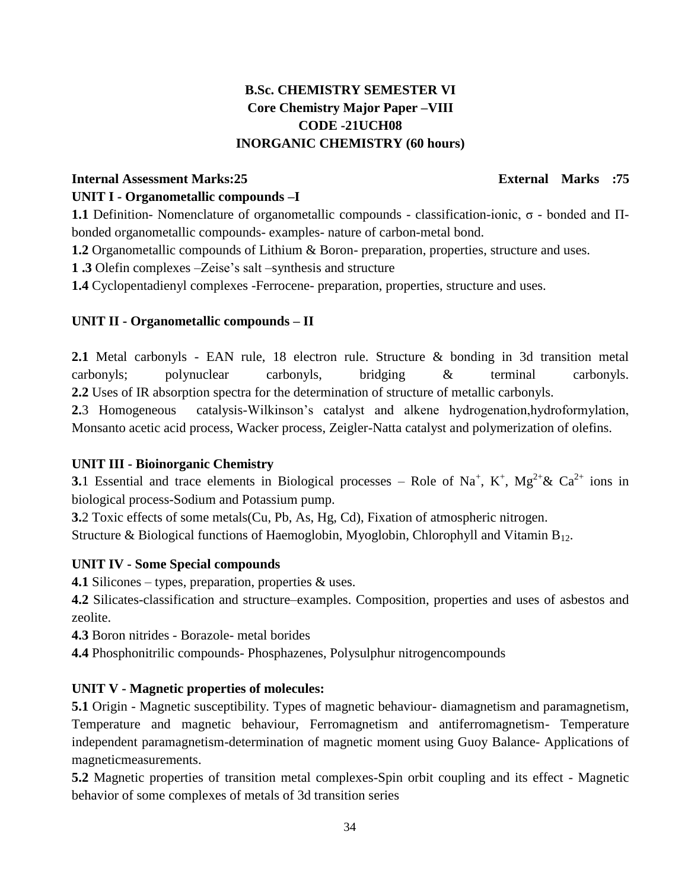# **B.Sc. CHEMISTRY SEMESTER VI Core Chemistry Major Paper –VIII CODE -21UCH08 INORGANIC CHEMISTRY (60 hours)**

# **Internal Assessment Marks:25 External Marks :75 UNIT I - Organometallic compounds –I**

**1.1** Definition- Nomenclature of organometallic compounds - classification-ionic, σ - bonded and Πbonded organometallic compounds- examples- nature of carbon-metal bond.

**1.2** Organometallic compounds of Lithium & Boron- preparation, properties, structure and uses.

**1 .3** Olefin complexes –Zeise's salt –synthesis and structure

**1.4** Cyclopentadienyl complexes -Ferrocene- preparation, properties, structure and uses.

# **UNIT II - Organometallic compounds – II**

**2.1** Metal carbonyls - EAN rule, 18 electron rule. Structure & bonding in 3d transition metal carbonyls; polynuclear carbonyls, bridging & terminal carbonyls. **2.2** Uses of IR absorption spectra for the determination of structure of metallic carbonyls.

**2.**3 Homogeneous catalysis-Wilkinson's catalyst and alkene hydrogenation,hydroformylation, Monsanto acetic acid process, Wacker process, Zeigler-Natta catalyst and polymerization of olefins.

# **UNIT III - Bioinorganic Chemistry**

**3.**1 Essential and trace elements in Biological processes – Role of Na<sup>+</sup>, K<sup>+</sup>, Mg<sup>2+</sup>& Ca<sup>2+</sup> ions in biological process-Sodium and Potassium pump.

**3.**2 Toxic effects of some metals(Cu, Pb, As, Hg, Cd), Fixation of atmospheric nitrogen. Structure & Biological functions of Haemoglobin, Myoglobin, Chlorophyll and Vitamin  $B_{12}$ .

# **UNIT IV - Some Special compounds**

**4.1** Silicones – types, preparation, properties & uses.

**4.2** Silicates-classification and structure–examples. Composition, properties and uses of asbestos and zeolite.

**4.3** Boron nitrides - Borazole- metal borides

**4.4** Phosphonitrilic compounds- Phosphazenes, Polysulphur nitrogencompounds

# **UNIT V - Magnetic properties of molecules:**

**5.1** Origin - Magnetic susceptibility. Types of magnetic behaviour- diamagnetism and paramagnetism, Temperature and magnetic behaviour, Ferromagnetism and antiferromagnetism- Temperature independent paramagnetism-determination of magnetic moment using Guoy Balance- Applications of magneticmeasurements.

**5.2** Magnetic properties of transition metal complexes-Spin orbit coupling and its effect - Magnetic behavior of some complexes of metals of 3d transition series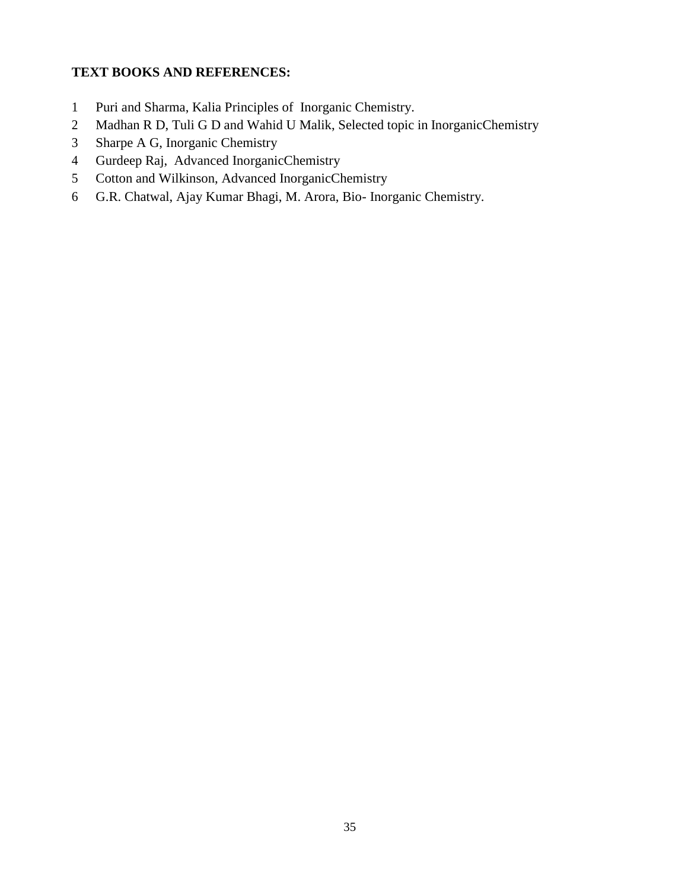# **TEXT BOOKS AND REFERENCES:**

- Puri and Sharma, Kalia Principles of Inorganic Chemistry.
- Madhan R D, Tuli G D and Wahid U Malik, Selected topic in InorganicChemistry
- Sharpe A G, Inorganic Chemistry
- Gurdeep Raj, Advanced InorganicChemistry
- Cotton and Wilkinson, Advanced InorganicChemistry
- G.R. Chatwal, Ajay Kumar Bhagi, M. Arora, Bio- Inorganic Chemistry.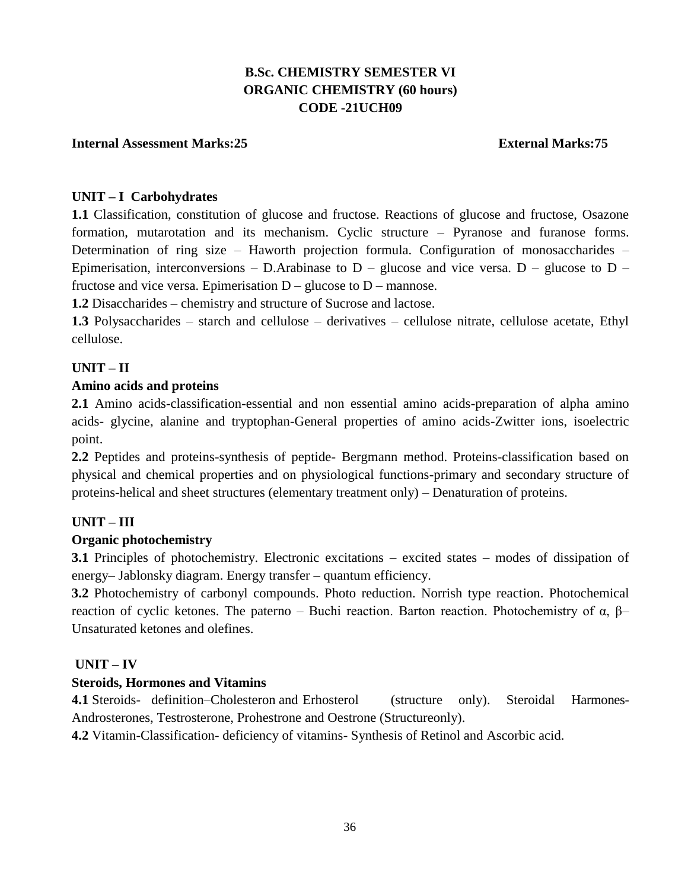# **B.Sc. CHEMISTRY SEMESTER VI ORGANIC CHEMISTRY (60 hours) CODE -21UCH09**

### **Internal Assessment Marks:25 External Marks:75**

#### **UNIT – I Carbohydrates**

**1.1** Classification, constitution of glucose and fructose. Reactions of glucose and fructose, Osazone formation, mutarotation and its mechanism. Cyclic structure – Pyranose and furanose forms. Determination of ring size – Haworth projection formula. Configuration of monosaccharides – Epimerisation, interconversions – D.Arabinase to  $D$  – glucose and vice versa.  $D$  – glucose to  $D$  – fructose and vice versa. Epimerisation  $D -$  glucose to  $D -$  mannose.

**1.2** Disaccharides – chemistry and structure of Sucrose and lactose.

**1.3** Polysaccharides – starch and cellulose – derivatives – cellulose nitrate, cellulose acetate, Ethyl cellulose.

## **UNIT – II**

#### **Amino acids and proteins**

**2.1** Amino acids-classification-essential and non essential amino acids-preparation of alpha amino acids- glycine, alanine and tryptophan-General properties of amino acids-Zwitter ions, isoelectric point.

**2.2** Peptides and proteins-synthesis of peptide- Bergmann method. Proteins-classification based on physical and chemical properties and on physiological functions-primary and secondary structure of proteins-helical and sheet structures (elementary treatment only) – Denaturation of proteins.

#### **UNIT – III**

#### **Organic photochemistry**

**3.1** Principles of photochemistry. Electronic excitations – excited states – modes of dissipation of energy– Jablonsky diagram. Energy transfer – quantum efficiency.

**3.2** Photochemistry of carbonyl compounds. Photo reduction. Norrish type reaction. Photochemical reaction of cyclic ketones. The paterno – Buchi reaction. Barton reaction. Photochemistry of α,  $β$ – Unsaturated ketones and olefines.

### **UNIT – IV**

#### **Steroids, Hormones and Vitamins**

**4.1** Steroids- definition–Cholesteron and Erhosterol (structure only). Steroidal Harmones-Androsterones, Testrosterone, Prohestrone and Oestrone (Structureonly).

**4.2** Vitamin-Classification- deficiency of vitamins- Synthesis of Retinol and Ascorbic acid.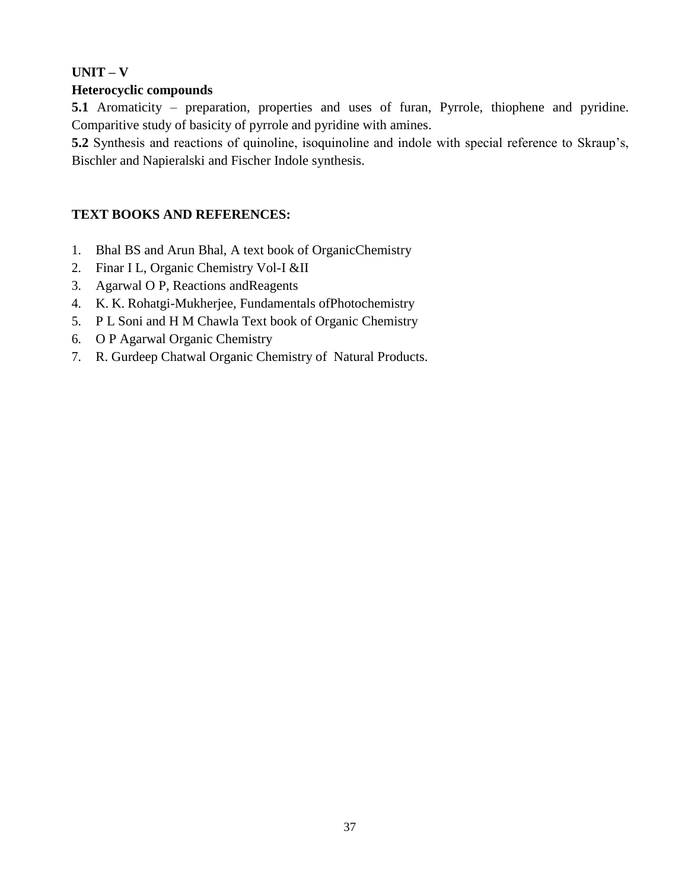# **UNIT – V**

# **Heterocyclic compounds**

**5.1** Aromaticity – preparation, properties and uses of furan, Pyrrole, thiophene and pyridine. Comparitive study of basicity of pyrrole and pyridine with amines.

**5.2** Synthesis and reactions of quinoline, isoquinoline and indole with special reference to Skraup's, Bischler and Napieralski and Fischer Indole synthesis.

# **TEXT BOOKS AND REFERENCES:**

- 1. Bhal BS and Arun Bhal, A text book of OrganicChemistry
- 2. Finar I L, Organic Chemistry Vol-I &II
- 3. Agarwal O P, Reactions andReagents
- 4. [K. K. Rohatgi-Mukherjee, F](https://www.google.co.in/search?tbo=p&tbm=bks&q=inauthor%3A%22K.%2BK.%2BRohatgi-Mukherjee%22)undamentals ofPhotochemistry
- 5. P L Soni and H M Chawla Text book of Organic Chemistry
- 6. O P Agarwal Organic Chemistry
- 7. R. Gurdeep Chatwal Organic Chemistry of Natural Products.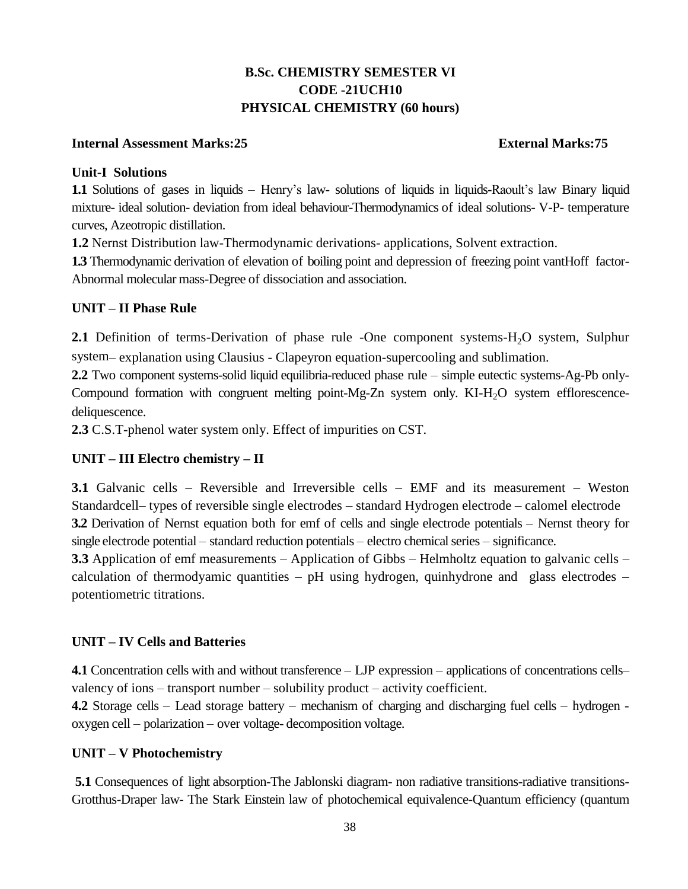# **B.Sc. CHEMISTRY SEMESTER VI CODE -21UCH10 PHYSICAL CHEMISTRY (60 hours)**

### **Internal Assessment Marks:25 External Marks:75**

## **Unit-I Solutions**

**1.1** Solutions of gases in liquids – Henry's law- solutions of liquids in liquids-Raoult's law Binary liquid mixture- ideal solution- deviation from ideal behaviour-Thermodynamics of ideal solutions- V-P- temperature curves, Azeotropic distillation.

**1.2** Nernst Distribution law-Thermodynamic derivations- applications, Solvent extraction.

**1.3** Thermodynamic derivation of elevation of boiling point and depression of freezing point vantHoff factor-Abnormal molecular mass-Degree of dissociation and association.

# **UNIT – II Phase Rule**

**2.1** Definition of terms-Derivation of phase rule -One component systems-H<sub>2</sub>O system, Sulphur system– explanation using Clausius - Clapeyron equation-supercooling and sublimation.

**2.2** Two component systems-solid liquid equilibria-reduced phase rule – simple eutectic systems-Ag-Pb only-Compound formation with congruent melting point-Mg-Zn system only.  $KI-H_2O$  system efflorescencedeliquescence.

**2.3** C.S.T-phenol water system only. Effect of impurities on CST.

# **UNIT – III Electro chemistry – II**

**3.1** Galvanic cells – Reversible and Irreversible cells – EMF and its measurement – Weston Standardcell– types of reversible single electrodes – standard Hydrogen electrode – calomel electrode **3.2** Derivation of Nernst equation both for emf of cells and single electrode potentials – Nernst theory for single electrode potential – standard reduction potentials – electro chemical series – significance.

**3.3** Application of emf measurements – Application of Gibbs – Helmholtz equation to galvanic cells – calculation of thermodyamic quantities – pH using hydrogen, quinhydrone and glass electrodes – potentiometric titrations.

# **UNIT – IV Cells and Batteries**

**4.1** Concentration cells with and without transference – LJP expression – applications of concentrations cells– valency of ions – transport number – solubility product – activity coefficient.

**4.2** Storage cells – Lead storage battery – mechanism of charging and discharging fuel cells – hydrogen oxygen cell – polarization – over voltage- decomposition voltage.

# **UNIT – V Photochemistry**

**5.1** Consequences of light absorption-The Jablonski diagram- non radiative transitions-radiative transitions-Grotthus-Draper law- The Stark Einstein law of photochemical equivalence-Quantum efficiency (quantum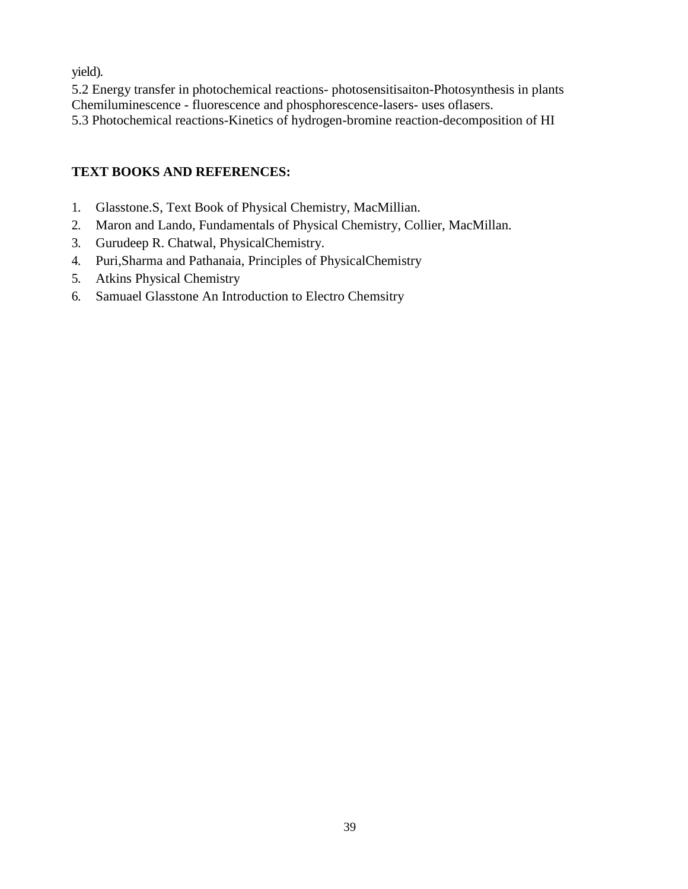yield).

5.2 Energy transfer in photochemical reactions- photosensitisaiton-Photosynthesis in plants Chemiluminescence - fluorescence and phosphorescence-lasers- uses oflasers. 5.3 Photochemical reactions-Kinetics of hydrogen-bromine reaction-decomposition of HI

# **TEXT BOOKS AND REFERENCES:**

- 1. Glasstone.S, Text Book of Physical Chemistry, MacMillian.
- 2. Maron and Lando, Fundamentals of Physical Chemistry, Collier, MacMillan.
- 3. Gurudeep R. Chatwal, PhysicalChemistry.
- 4. Puri,Sharma and Pathanaia, Principles of PhysicalChemistry
- 5. Atkins Physical Chemistry
- 6. Samuael Glasstone An Introduction to Electro Chemsitry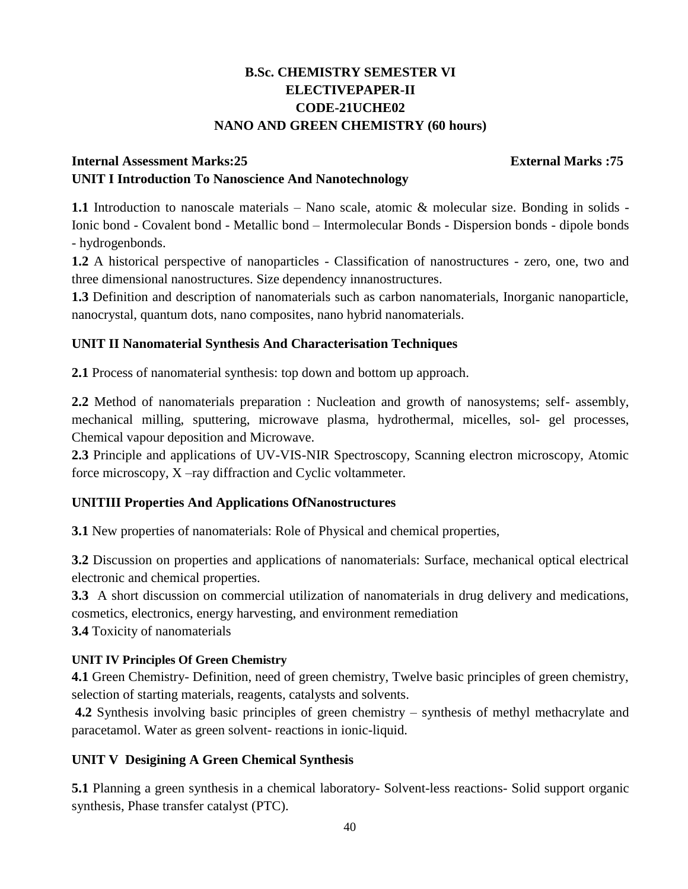# **B.Sc. CHEMISTRY SEMESTER VI ELECTIVEPAPER-II CODE-21UCHE02 NANO AND GREEN CHEMISTRY (60 hours)**

# **Internal Assessment Marks:25 External Marks :75 UNIT I Introduction To Nanoscience And Nanotechnology**

**1.1** Introduction to nanoscale materials – Nano scale, atomic & molecular size. Bonding in solids - Ionic bond - Covalent bond - Metallic bond – Intermolecular Bonds - Dispersion bonds - dipole bonds - hydrogenbonds.

**1.2** A historical perspective of nanoparticles - Classification of nanostructures - zero, one, two and three dimensional nanostructures. Size dependency innanostructures.

**1.3** Definition and description of nanomaterials such as carbon nanomaterials, Inorganic nanoparticle, nanocrystal, quantum dots, nano composites, nano hybrid nanomaterials.

# **UNIT II Nanomaterial Synthesis And Characterisation Techniques**

**2.1** Process of nanomaterial synthesis: top down and bottom up approach.

**2.2** Method of nanomaterials preparation : Nucleation and growth of nanosystems; self- assembly, mechanical milling, sputtering, microwave plasma, hydrothermal, micelles, sol- gel processes, Chemical vapour deposition and Microwave.

**2.3** Principle and applications of UV-VIS-NIR Spectroscopy, Scanning electron microscopy, Atomic force microscopy, X –ray diffraction and Cyclic voltammeter.

# **UNITIII Properties And Applications OfNanostructures**

**3.1** New properties of nanomaterials: Role of Physical and chemical properties,

**3.2** Discussion on properties and applications of nanomaterials: Surface, mechanical optical electrical electronic and chemical properties.

**3.3** A short discussion on commercial utilization of nanomaterials in drug delivery and medications, cosmetics, electronics, energy harvesting, and environment remediation

**3.4** Toxicity of nanomaterials

# **UNIT IV Principles Of Green Chemistry**

**4.1** Green Chemistry- Definition, need of green chemistry, Twelve basic principles of green chemistry, selection of starting materials, reagents, catalysts and solvents.

**4.2** Synthesis involving basic principles of green chemistry – synthesis of methyl methacrylate and paracetamol. Water as green solvent- reactions in ionic-liquid.

# **UNIT V Desigining A Green Chemical Synthesis**

**5.1** Planning a green synthesis in a chemical laboratory- Solvent-less reactions- Solid support organic synthesis, Phase transfer catalyst (PTC).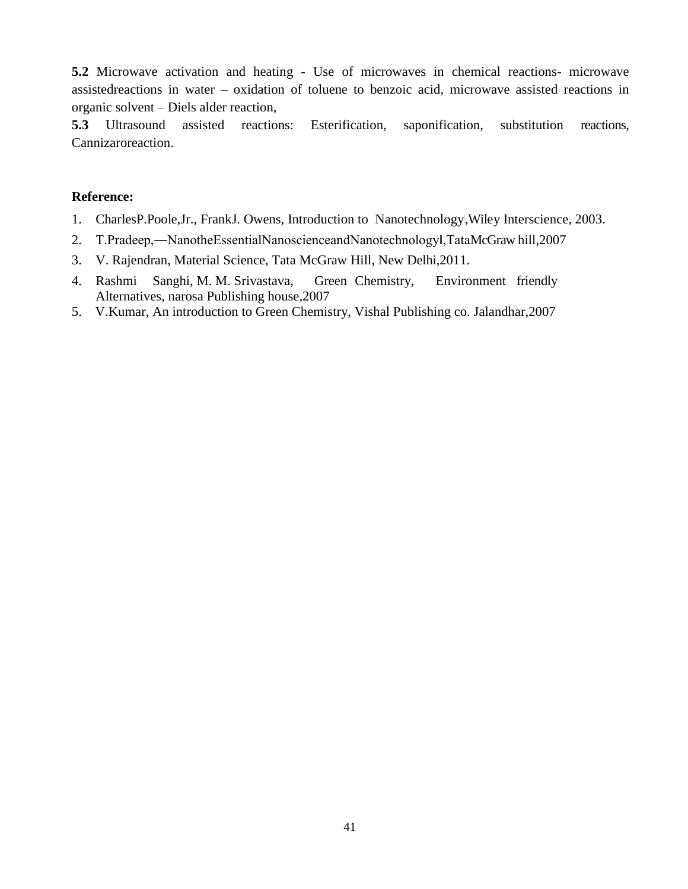**5.2** Microwave activation and heating - Use of microwaves in chemical reactions- microwave assistedreactions in water – oxidation of toluene to benzoic acid, microwave assisted reactions in organic solvent – Diels alder reaction,

**5.3** Ultrasound assisted reactions: Esterification, saponification, substitution reactions, Cannizaroreaction.

### **Reference:**

- 1. CharlesP.Poole,Jr., FrankJ. Owens, Introduction to Nanotechnology, Wiley Interscience, 2003.
- 2. T.Pradeep,―NanotheEssentialNanoscienceandNanotechnology‖,TataMcGraw hill,2007
- 3. V. Rajendran, Material Science, Tata McGraw Hill, New Delhi,2011.
- 4. Rashmi Sanghi, M. M. Srivastava, Green Chemistry, Environment friendly Alternatives, narosa Publishing house,2007
- 5. V.Kumar, An introduction to Green Chemistry, Vishal Publishing co. Jalandhar,2007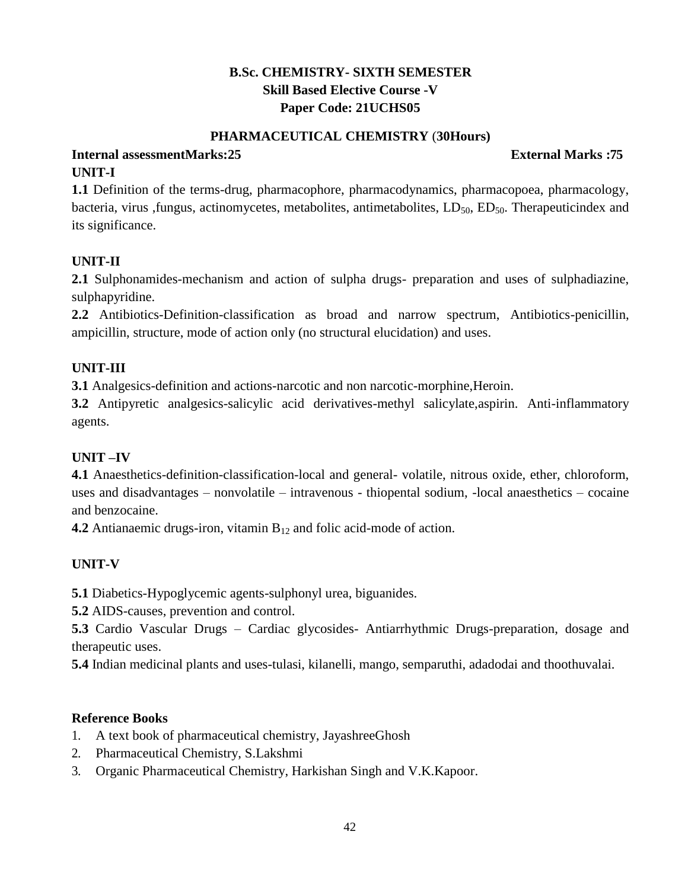# **B.Sc. CHEMISTRY- SIXTH SEMESTER Skill Based Elective Course -V Paper Code: 21UCHS05**

### **PHARMACEUTICAL CHEMISTRY** (**30Hours)**

# **Internal assessmentMarks:25 External Marks :75 UNIT-I**

**1.1** Definition of the terms-drug, pharmacophore, pharmacodynamics, pharmacopoea, pharmacology, bacteria, virus ,fungus, actinomycetes, metabolites, antimetabolites,  $LD_{50}$ ,  $ED_{50}$ . Therapeuticindex and its significance.

# **UNIT-II**

**2.1** Sulphonamides-mechanism and action of sulpha drugs- preparation and uses of sulphadiazine, sulphapyridine.

**2.2** Antibiotics-Definition-classification as broad and narrow spectrum, Antibiotics-penicillin, ampicillin, structure, mode of action only (no structural elucidation) and uses.

# **UNIT-III**

**3.1** Analgesics-definition and actions-narcotic and non narcotic-morphine,Heroin.

**3.2** Antipyretic analgesics-salicylic acid derivatives-methyl salicylate,aspirin. Anti-inflammatory agents.

# **UNIT –IV**

**4.1** Anaesthetics-definition-classification-local and general- volatile, nitrous oxide, ether, chloroform, uses and disadvantages – nonvolatile – intravenous - thiopental sodium, -local anaesthetics – cocaine and benzocaine.

**4.2** Antianaemic drugs-iron, vitamin B<sub>12</sub> and folic acid-mode of action.

# **UNIT-V**

**5.1** Diabetics-Hypoglycemic agents-sulphonyl urea, biguanides.

**5.2** AIDS-causes, prevention and control.

**5.3** Cardio Vascular Drugs – Cardiac glycosides- Antiarrhythmic Drugs-preparation, dosage and therapeutic uses.

**5.4** Indian medicinal plants and uses-tulasi, kilanelli, mango, semparuthi, adadodai and thoothuvalai.

# **Reference Books**

- 1. A text book of pharmaceutical chemistry, JayashreeGhosh
- 2. Pharmaceutical Chemistry, S.Lakshmi
- 3. Organic Pharmaceutical Chemistry, Harkishan Singh and V.K.Kapoor.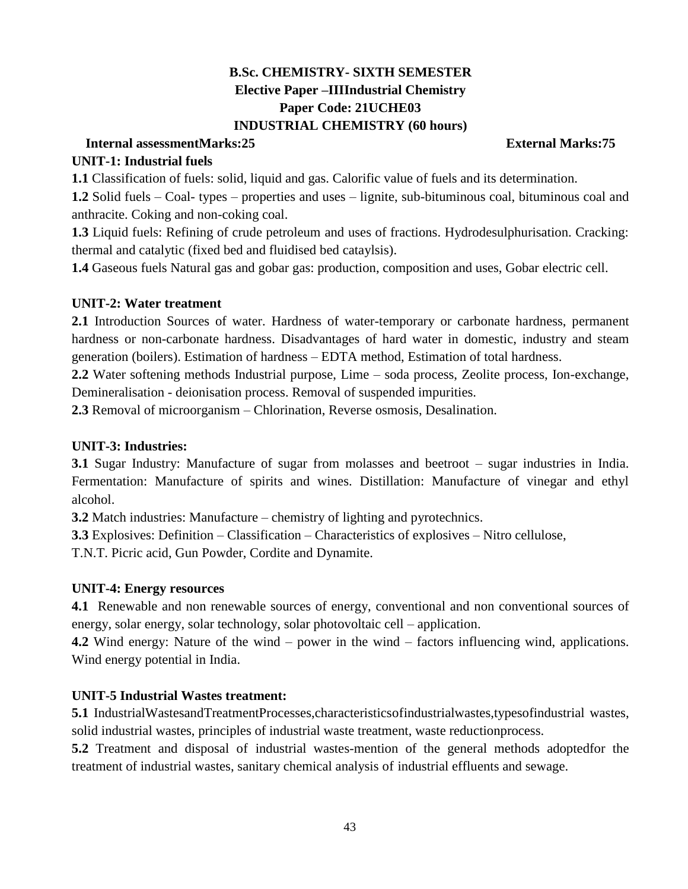# **B.Sc. CHEMISTRY- SIXTH SEMESTER Elective Paper –IIIIndustrial Chemistry Paper Code: 21UCHE03 INDUSTRIAL CHEMISTRY (60 hours)**

# **Internal assessmentMarks:25 External Marks:75**

## **UNIT-1: Industrial fuels**

**1.1** Classification of fuels: solid, liquid and gas. Calorific value of fuels and its determination.

**1.2** Solid fuels – Coal- types – properties and uses – lignite, sub-bituminous coal, bituminous coal and anthracite. Coking and non-coking coal.

**1.3** Liquid fuels: Refining of crude petroleum and uses of fractions. Hydrodesulphurisation. Cracking: thermal and catalytic (fixed bed and fluidised bed cataylsis).

**1.4** Gaseous fuels Natural gas and gobar gas: production, composition and uses, Gobar electric cell.

## **UNIT-2: Water treatment**

**2.1** Introduction Sources of water. Hardness of water-temporary or carbonate hardness, permanent hardness or non-carbonate hardness. Disadvantages of hard water in domestic, industry and steam generation (boilers). Estimation of hardness – EDTA method, Estimation of total hardness.

**2.2** Water softening methods Industrial purpose, Lime – soda process, Zeolite process, Ion-exchange, Demineralisation - deionisation process. Removal of suspended impurities.

**2.3** Removal of microorganism – Chlorination, Reverse osmosis, Desalination.

## **UNIT-3: Industries:**

**3.1** Sugar Industry: Manufacture of sugar from molasses and beetroot – sugar industries in India. Fermentation: Manufacture of spirits and wines. Distillation: Manufacture of vinegar and ethyl alcohol.

**3.2** Match industries: Manufacture – chemistry of lighting and pyrotechnics.

**3.3** Explosives: Definition – Classification – Characteristics of explosives – Nitro cellulose,

T.N.T. Picric acid, Gun Powder, Cordite and Dynamite.

# **UNIT-4: Energy resources**

**4.1** Renewable and non renewable sources of energy, conventional and non conventional sources of energy, solar energy, solar technology, solar photovoltaic cell – application.

**4.2** Wind energy: Nature of the wind – power in the wind – factors influencing wind, applications. Wind energy potential in India.

# **UNIT-5 Industrial Wastes treatment:**

**5.1** IndustrialWastesandTreatmentProcesses,characteristicsofindustrialwastes,typesofindustrial wastes, solid industrial wastes, principles of industrial waste treatment, waste reductionprocess.

**5.2** Treatment and disposal of industrial wastes-mention of the general methods adoptedfor the treatment of industrial wastes, sanitary chemical analysis of industrial effluents and sewage.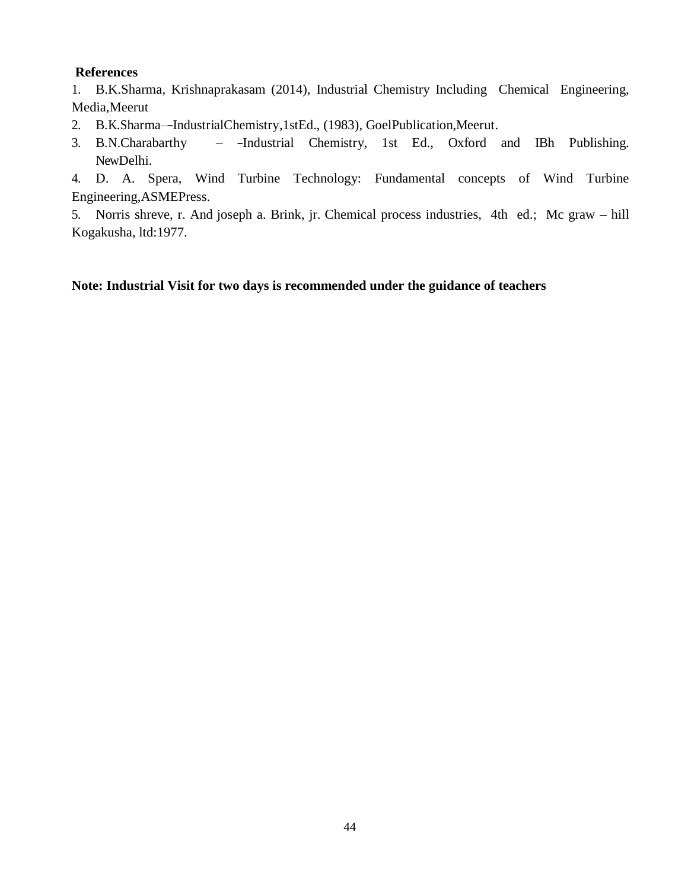## **References**

1. B.K.Sharma, Krishnaprakasam (2014), Industrial Chemistry Including Chemical Engineering, Media,Meerut

- 2. B.K.Sharma--IndustrialChemistry,1stEd., (1983), GoelPublication, Meerut.
- 3. B.N.Charabarthy -Industrial Chemistry, 1st Ed., Oxford and IBh Publishing. NewDelhi.

4. D. A. Spera, Wind Turbine Technology: Fundamental concepts of Wind Turbine Engineering,ASMEPress.

5. Norris shreve, r. And joseph a. Brink, jr. Chemical process industries, 4th ed.; Mc graw – hill Kogakusha, ltd:1977.

## **Note: Industrial Visit for two days is recommended under the guidance of teachers**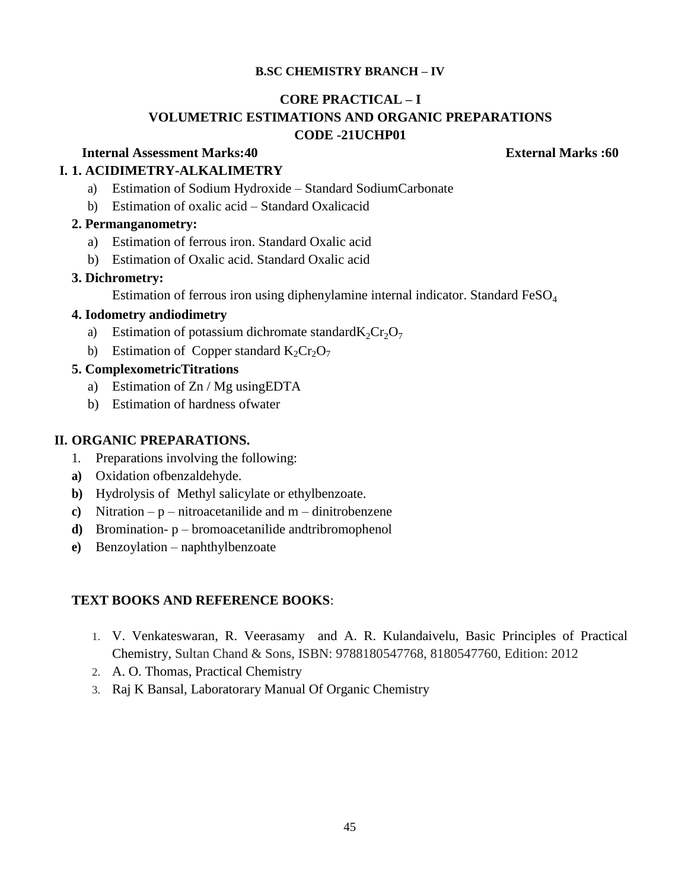### **B.SC CHEMISTRY BRANCH – IV**

#### **CORE PRACTICAL – I**

# **VOLUMETRIC ESTIMATIONS AND ORGANIC PREPARATIONS CODE -21UCHP01**

# **Internal Assessment Marks:40 External Marks :60**

# **I. 1. ACIDIMETRY-ALKALIMETRY**

- a) Estimation of Sodium Hydroxide Standard SodiumCarbonate
- b) Estimation of oxalic acid Standard Oxalicacid

# **2. Permanganometry:**

- a) Estimation of ferrous iron. Standard Oxalic acid
- b) Estimation of Oxalic acid. Standard Oxalic acid

## **3. Dichrometry:**

Estimation of ferrous iron using diphenylamine internal indicator. Standard  $FeSO<sub>4</sub>$ 

## **4. Iodometry andiodimetry**

- a) Estimation of potassium dichromate standard $K_2Cr_2O_7$
- b) Estimation of Copper standard  $K_2Cr_2O_7$

# **5. ComplexometricTitrations**

- a) Estimation of Zn / Mg usingEDTA
- b) Estimation of hardness ofwater

# **II. ORGANIC PREPARATIONS.**

- 1. Preparations involving the following:
- **a)** Oxidation ofbenzaldehyde.
- **b)** Hydrolysis of Methyl salicylate or ethylbenzoate.
- **c)** Nitration p nitroacetanilide and m dinitrobenzene
- **d)** Bromination- p bromoacetanilide andtribromophenol
- **e)** Benzoylation naphthylbenzoate

- 1. V. Venkateswaran, R. Veerasamy and A. R. Kulandaivelu, Basic Principles of Practical Chemistry, Sultan Chand & Sons, ISBN: 9788180547768, 8180547760, Edition: 2012
- 2. A. O. Thomas, Practical Chemistry
- 3. Raj K Bansal, Laboratorary Manual Of Organic Chemistry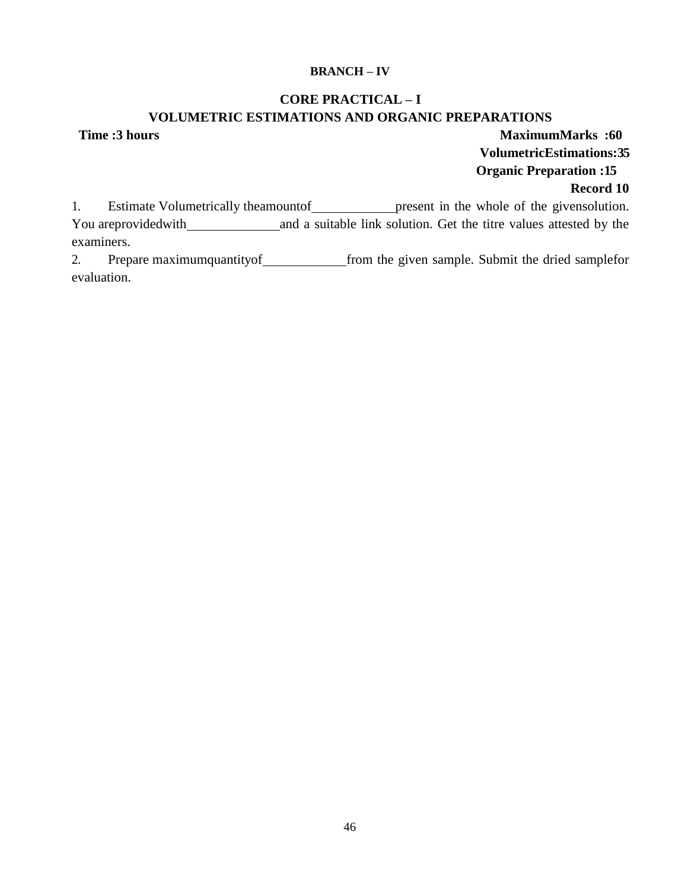#### **BRANCH – IV**

# **CORE PRACTICAL – I VOLUMETRIC ESTIMATIONS AND ORGANIC PREPARATIONS**

**Time :3 hours contract 1.60 MaximumMarks :60 VolumetricEstimations:35 Organic Preparation :15 Record 10**

1. Estimate Volumetrically theamountof present in the whole of the given solution. You areprovided with and a suitable link solution. Get the titre values attested by the examiners.

2. Prepare maximumquantity of from the given sample. Submit the dried samplefor evaluation.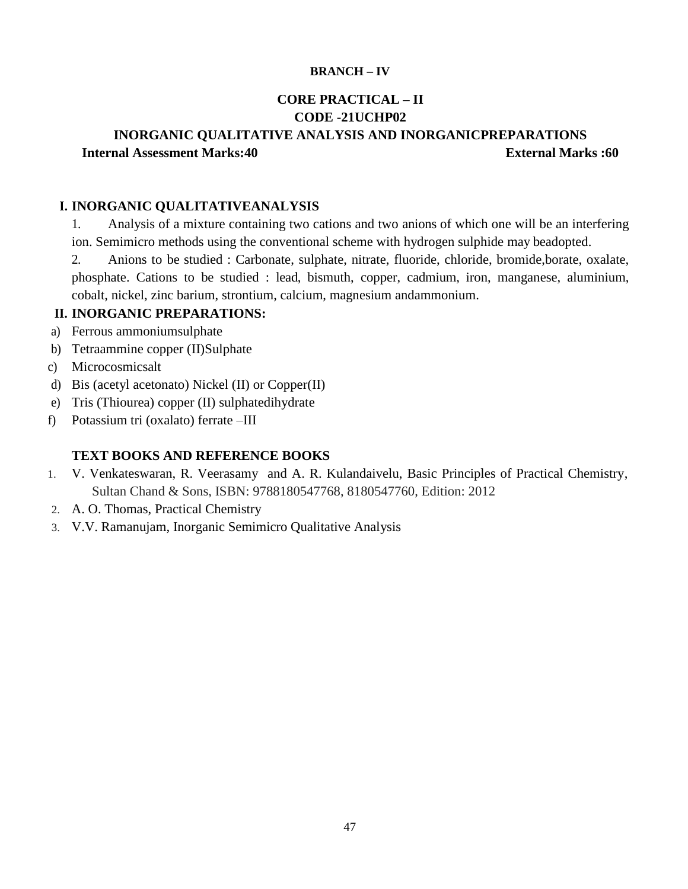#### **BRANCH – IV**

# **CORE PRACTICAL – II CODE -21UCHP02**

# **INORGANIC QUALITATIVE ANALYSIS AND INORGANICPREPARATIONS Internal Assessment Marks:40 External Marks :60**

### **I. INORGANIC QUALITATIVEANALYSIS**

1. Analysis of a mixture containing two cations and two anions of which one will be an interfering ion. Semimicro methods using the conventional scheme with hydrogen sulphide may beadopted.

2. Anions to be studied : Carbonate, sulphate, nitrate, fluoride, chloride, bromide,borate, oxalate, phosphate. Cations to be studied : lead, bismuth, copper, cadmium, iron, manganese, aluminium, cobalt, nickel, zinc barium, strontium, calcium, magnesium andammonium.

## **II. INORGANIC PREPARATIONS:**

- a) Ferrous ammoniumsulphate
- b) Tetraammine copper (II)Sulphate
- c) Microcosmicsalt
- d) Bis (acetyl acetonato) Nickel (II) or Copper(II)
- e) Tris (Thiourea) copper (II) sulphatedihydrate
- f) Potassium tri (oxalato) ferrate –III

- 1. V. Venkateswaran, R. Veerasamy and A. R. Kulandaivelu, Basic Principles of Practical Chemistry, Sultan Chand & Sons, ISBN: 9788180547768, 8180547760, Edition: 2012
- 2. A. O. Thomas, Practical Chemistry
- 3. V.V. Ramanujam, Inorganic Semimicro Qualitative Analysis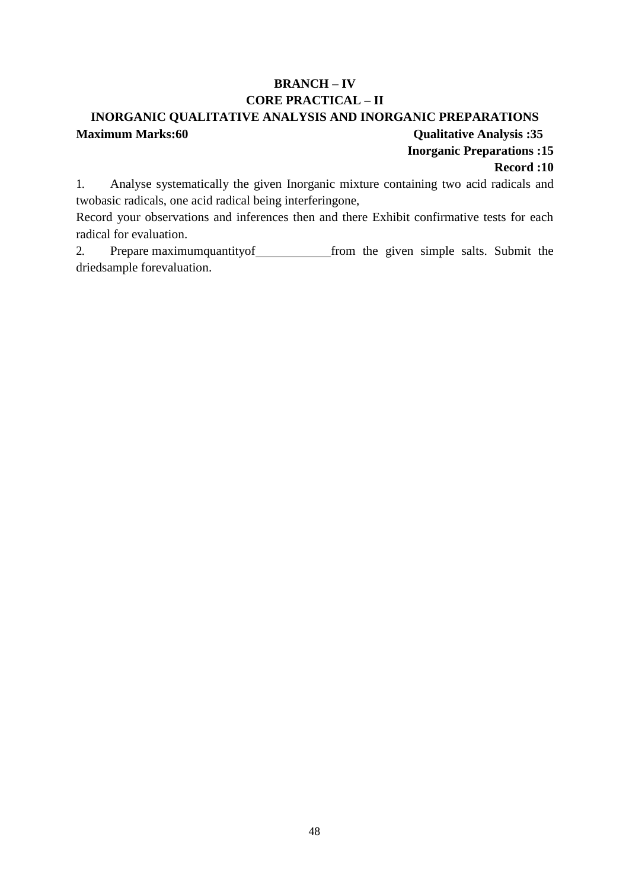# **BRANCH – IV CORE PRACTICAL – II**

# **INORGANIC QUALITATIVE ANALYSIS AND INORGANIC PREPARATIONS Maximum Marks:60 Cualitative Analysis :35**

**Inorganic Preparations :15**

### **Record :10**

1. Analyse systematically the given Inorganic mixture containing two acid radicals and twobasic radicals, one acid radical being interferingone,

Record your observations and inferences then and there Exhibit confirmative tests for each radical for evaluation.

2. Prepare maximumquantity of from the given simple salts. Submit the driedsample forevaluation.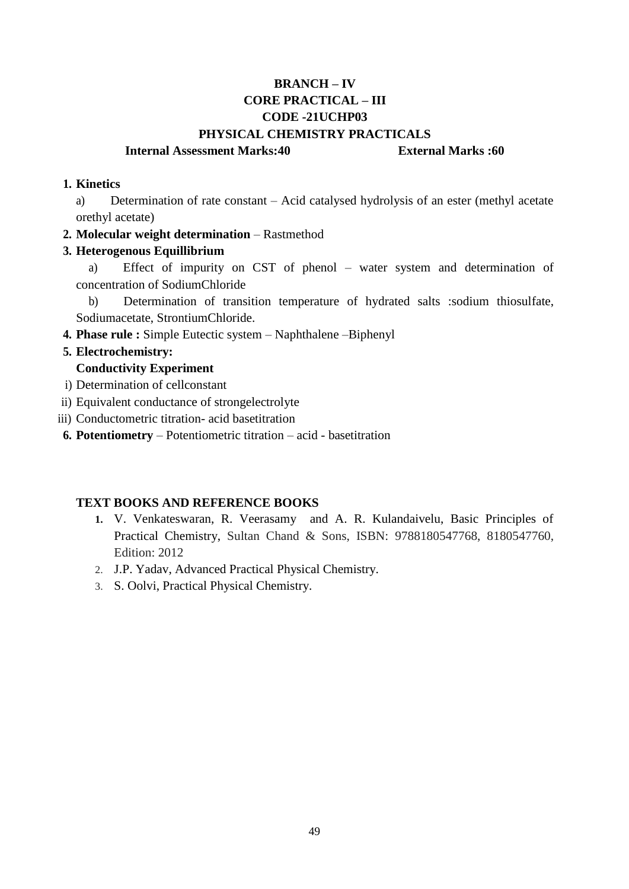# **BRANCH – IV CORE PRACTICAL – III CODE -21UCHP03 PHYSICAL CHEMISTRY PRACTICALS**

### **Internal Assessment Marks:40 External Marks :60**

### **1. Kinetics**

a) Determination of rate constant – Acid catalysed hydrolysis of an ester (methyl acetate orethyl acetate)

### **2. Molecular weight determination** – Rastmethod

#### **3. Heterogenous Equillibrium**

a) Effect of impurity on CST of phenol – water system and determination of concentration of SodiumChloride

b) Determination of transition temperature of hydrated salts :sodium thiosulfate, Sodiumacetate, StrontiumChloride.

**4. Phase rule :** Simple Eutectic system – Naphthalene –Biphenyl

#### **5. Electrochemistry:**

### **Conductivity Experiment**

- i) Determination of cellconstant
- ii) Equivalent conductance of strongelectrolyte
- iii) Conductometric titration- acid basetitration
- **6. Potentiometry**  Potentiometric titration acid basetitration

- **1.** V. Venkateswaran, R. Veerasamy and A. R. Kulandaivelu, Basic Principles of Practical Chemistry, Sultan Chand & Sons, ISBN: 9788180547768, 8180547760, Edition: 2012
- 2. J.P. Yadav, Advanced Practical Physical Chemistry.
- 3. S. Oolvi, Practical Physical Chemistry.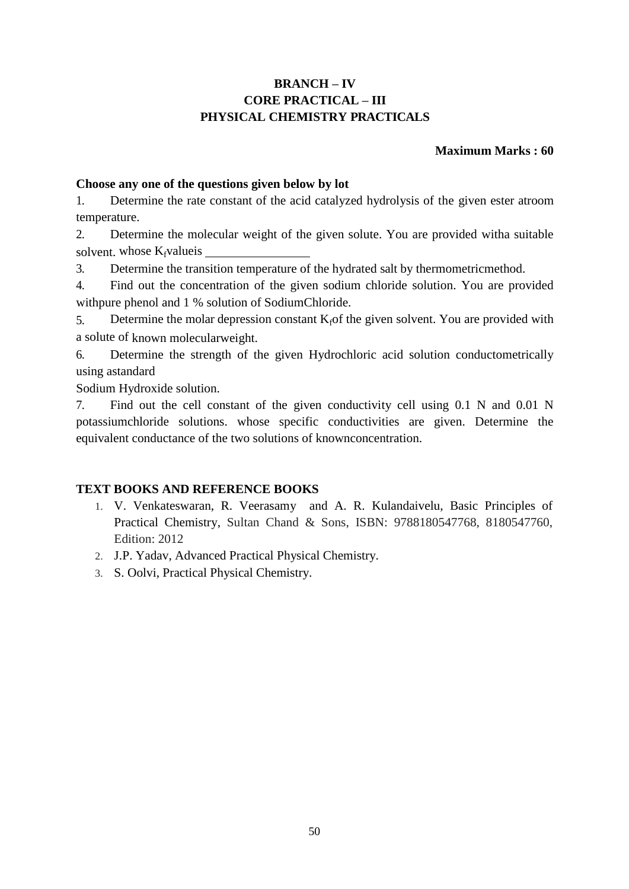# **BRANCH – IV CORE PRACTICAL – III PHYSICAL CHEMISTRY PRACTICALS**

## **Maximum Marks : 60**

## **Choose any one of the questions given below by lot**

1. Determine the rate constant of the acid catalyzed hydrolysis of the given ester atroom temperature.

2. Determine the molecular weight of the given solute. You are provided witha suitable solvent. whose  $K_f$ valueis

3. Determine the transition temperature of the hydrated salt by thermometricmethod.

4. Find out the concentration of the given sodium chloride solution. You are provided withpure phenol and 1 % solution of SodiumChloride.

5. Determine the molar depression constant  $K_f$  of the given solvent. You are provided with a solute of known molecularweight.

6. Determine the strength of the given Hydrochloric acid solution conductometrically using astandard

Sodium Hydroxide solution.

7. Find out the cell constant of the given conductivity cell using 0.1 N and 0.01 N potassiumchloride solutions. whose specific conductivities are given. Determine the equivalent conductance of the two solutions of knownconcentration.

- 1. V. Venkateswaran, R. Veerasamy and A. R. Kulandaivelu, Basic Principles of Practical Chemistry, Sultan Chand & Sons, ISBN: 9788180547768, 8180547760, Edition: 2012
- 2. J.P. Yadav, Advanced Practical Physical Chemistry.
- 3. S. Oolvi, Practical Physical Chemistry.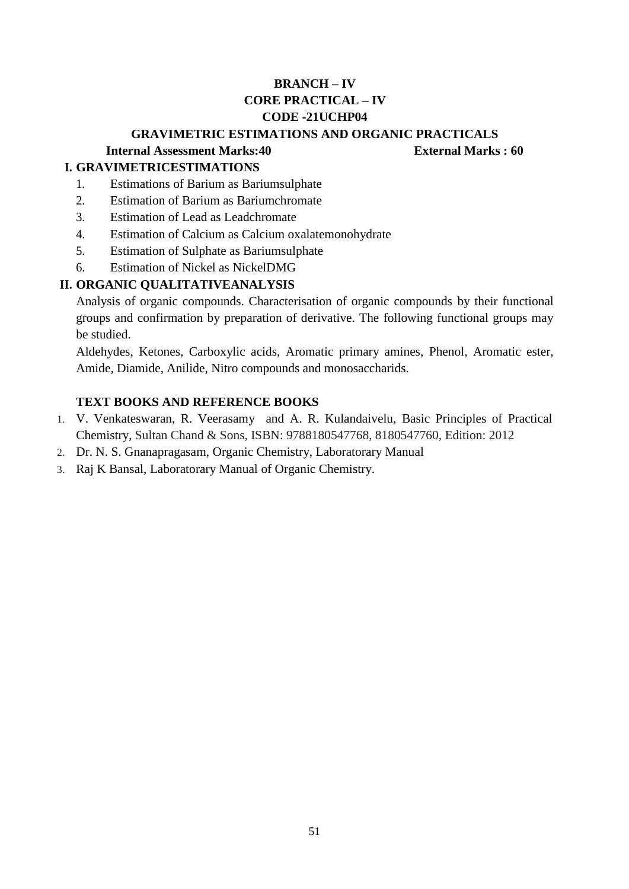# **BRANCH – IV CORE PRACTICAL – IV CODE -21UCHP04**

## **GRAVIMETRIC ESTIMATIONS AND ORGANIC PRACTICALS**

# **Internal Assessment Marks:40 External Marks : 60**

# **I. GRAVIMETRICESTIMATIONS**

- 1. Estimations of Barium as Bariumsulphate
- 2. Estimation of Barium as Bariumchromate
- 3. Estimation of Lead as Leadchromate
- 4. Estimation of Calcium as Calcium oxalatemonohydrate
- 5. Estimation of Sulphate as Bariumsulphate
- 6. Estimation of Nickel as NickelDMG

# **II. ORGANIC QUALITATIVEANALYSIS**

Analysis of organic compounds. Characterisation of organic compounds by their functional groups and confirmation by preparation of derivative. The following functional groups may be studied.

Aldehydes, Ketones, Carboxylic acids, Aromatic primary amines, Phenol, Aromatic ester, Amide, Diamide, Anilide, Nitro compounds and monosaccharids.

- 1. V. Venkateswaran, R. Veerasamy and A. R. Kulandaivelu, Basic Principles of Practical Chemistry, Sultan Chand & Sons, ISBN: 9788180547768, 8180547760, Edition: 2012
- 2. Dr. N. S. Gnanapragasam, Organic Chemistry, Laboratorary Manual
- 3. Raj K Bansal, Laboratorary Manual of Organic Chemistry.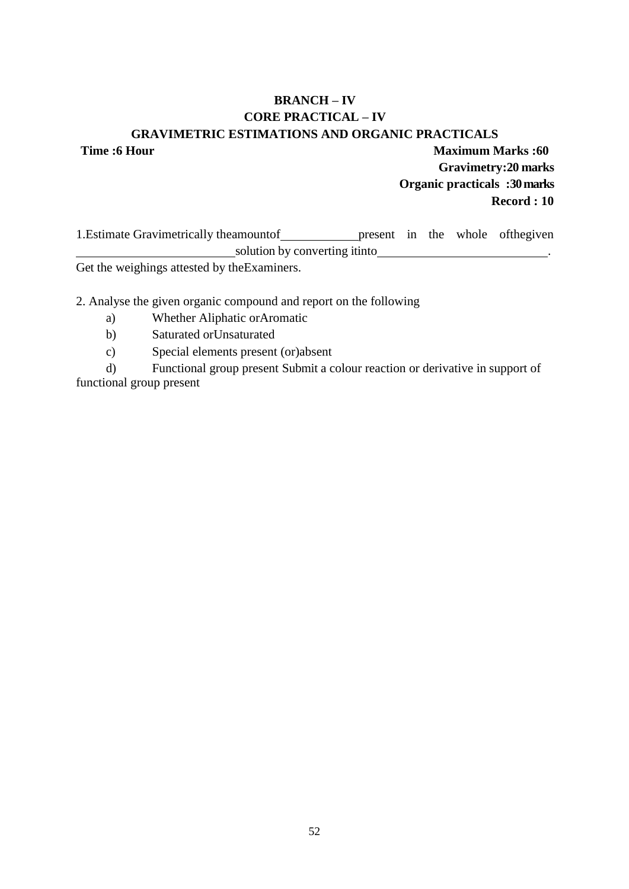# **BRANCH – IV CORE PRACTICAL – IV GRAVIMETRIC ESTIMATIONS AND ORGANIC PRACTICALS**

**Time :6 Hour Maximum Marks :60 Gravimetry:20 marks Organic practicals :30marks Record : 10** 

1. Estimate Gravimetrically theamountof present in the whole ofthegiven solution by converting itinto .

Get the weighings attested by theExaminers.

2. Analyse the given organic compound and report on the following

- a) Whether Aliphatic orAromatic
- b) Saturated orUnsaturated
- c) Special elements present (or)absent

d) Functional group present Submit a colour reaction or derivative in support of functional group present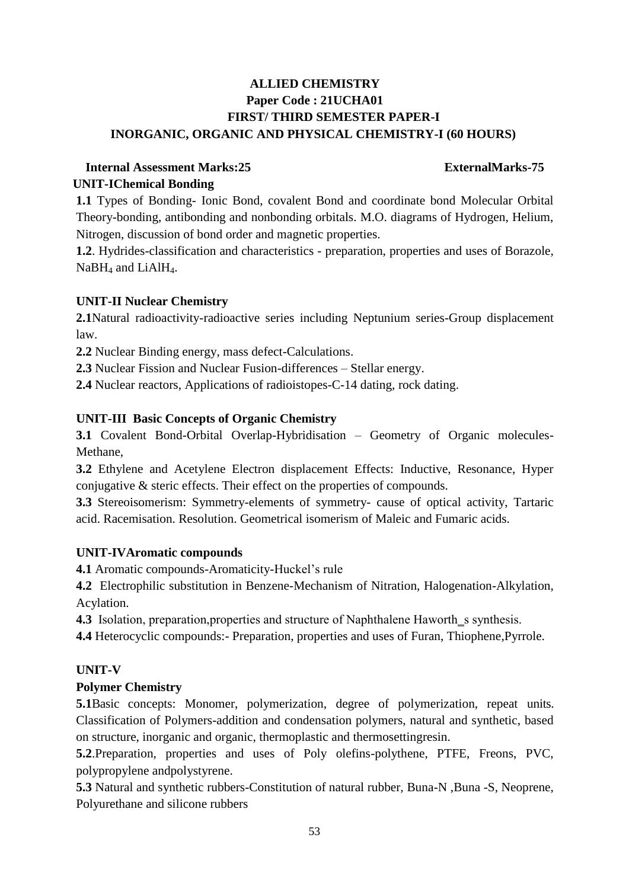# **ALLIED CHEMISTRY Paper Code : 21UCHA01 FIRST/ THIRD SEMESTER PAPER-I INORGANIC, ORGANIC AND PHYSICAL CHEMISTRY-I (60 HOURS)**

# **Internal Assessment Marks:25 ExternalMarks-75 UNIT-IChemical Bonding**

**1.1** Types of Bonding- Ionic Bond, covalent Bond and coordinate bond Molecular Orbital Theory-bonding, antibonding and nonbonding orbitals. M.O. diagrams of Hydrogen, Helium, Nitrogen, discussion of bond order and magnetic properties.

**1.2**. Hydrides-classification and characteristics - preparation, properties and uses of Borazole, NaBH<sub>4</sub> and LiAlH<sub>4</sub>.

# **UNIT-II Nuclear Chemistry**

**2.1**Natural radioactivity-radioactive series including Neptunium series-Group displacement law.

**2.2** Nuclear Binding energy, mass defect-Calculations.

**2.3** Nuclear Fission and Nuclear Fusion-differences – Stellar energy.

**2.4** Nuclear reactors, Applications of radioistopes-C-14 dating, rock dating.

# **UNIT-III Basic Concepts of Organic Chemistry**

**3.1** Covalent Bond-Orbital Overlap-Hybridisation – Geometry of Organic molecules-Methane,

**3.2** Ethylene and Acetylene Electron displacement Effects: Inductive, Resonance, Hyper conjugative & steric effects. Their effect on the properties of compounds.

**3.3** Stereoisomerism: Symmetry-elements of symmetry- cause of optical activity, Tartaric acid. Racemisation. Resolution. Geometrical isomerism of Maleic and Fumaric acids.

# **UNIT-IVAromatic compounds**

**4.1** Aromatic compounds-Aromaticity-Huckel's rule

**4.2** Electrophilic substitution in Benzene-Mechanism of Nitration, Halogenation-Alkylation, Acylation.

**4.3** Isolation, preparation, properties and structure of Naphthalene Haworth s synthesis.

**4.4** Heterocyclic compounds:- Preparation, properties and uses of Furan, Thiophene,Pyrrole.

# **UNIT-V**

# **Polymer Chemistry**

**5.1**Basic concepts: Monomer, polymerization, degree of polymerization, repeat units. Classification of Polymers-addition and condensation polymers, natural and synthetic, based on structure, inorganic and organic, thermoplastic and thermosettingresin.

**5.2**.Preparation, properties and uses of Poly olefins-polythene, PTFE, Freons, PVC, polypropylene andpolystyrene.

**5.3** Natural and synthetic rubbers-Constitution of natural rubber, Buna-N ,Buna -S, Neoprene, Polyurethane and silicone rubbers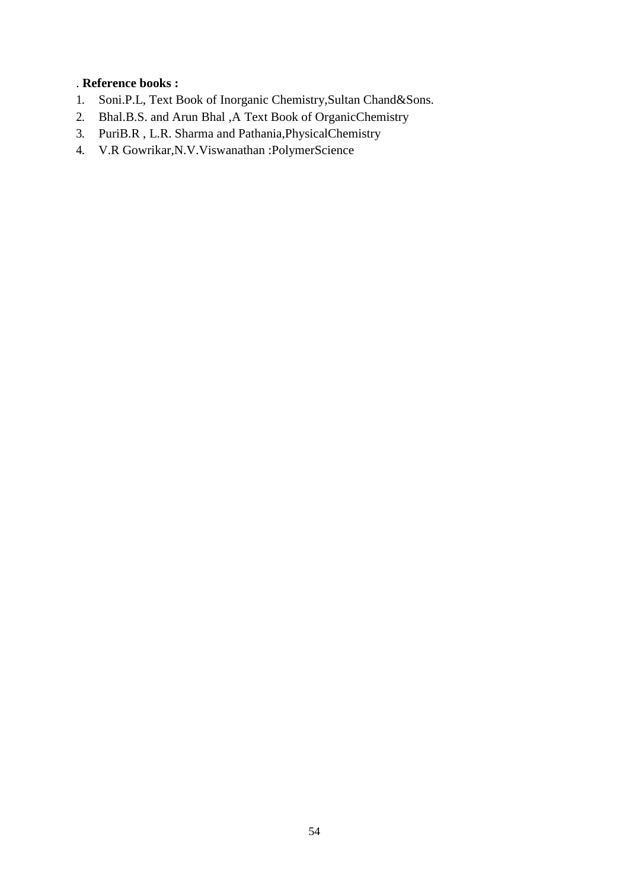# . **Reference books :**

- 1. Soni.P.L, Text Book of Inorganic Chemistry,Sultan Chand&Sons.
- 2. Bhal.B.S. and Arun Bhal ,A Text Book of OrganicChemistry
- 3. PuriB.R , L.R. Sharma and Pathania,PhysicalChemistry
- 4. V.R Gowrikar,N.V.Viswanathan :PolymerScience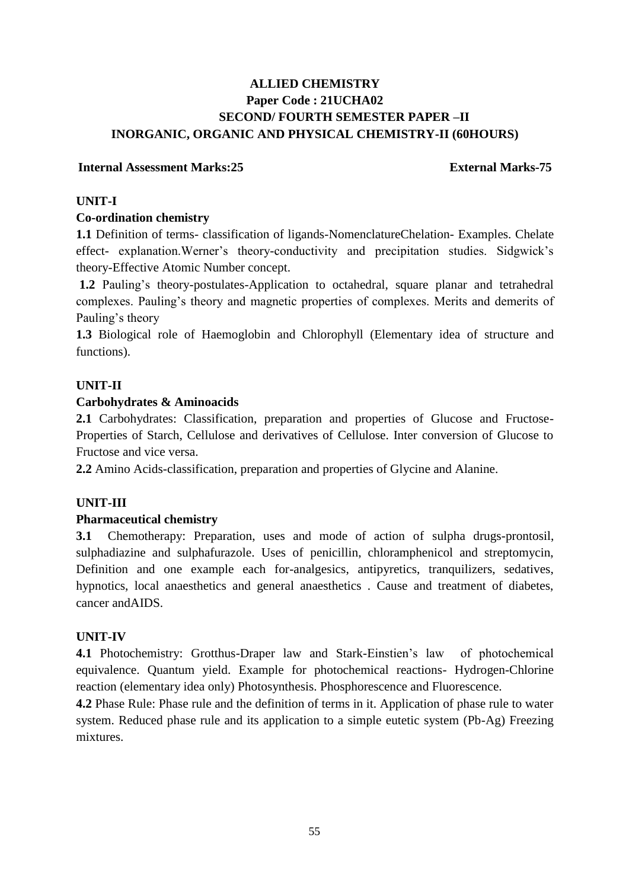# **ALLIED CHEMISTRY Paper Code : 21UCHA02 SECOND/ FOURTH SEMESTER PAPER –II INORGANIC, ORGANIC AND PHYSICAL CHEMISTRY-II (60HOURS)**

## **Internal Assessment Marks:25 External Marks-75**

## **UNIT-I**

## **Co-ordination chemistry**

**1.1** Definition of terms- classification of ligands-NomenclatureChelation- Examples. Chelate effect- explanation.Werner's theory-conductivity and precipitation studies. Sidgwick's theory-Effective Atomic Number concept.

**1.2** Pauling's theory-postulates-Application to octahedral, square planar and tetrahedral complexes. Pauling's theory and magnetic properties of complexes. Merits and demerits of Pauling's theory

**1.3** Biological role of Haemoglobin and Chlorophyll (Elementary idea of structure and functions).

# **UNIT-II**

## **Carbohydrates & Aminoacids**

2.1 Carbohydrates: Classification, preparation and properties of Glucose and Fructose-Properties of Starch, Cellulose and derivatives of Cellulose. Inter conversion of Glucose to Fructose and vice versa.

**2.2** Amino Acids-classification, preparation and properties of Glycine and Alanine.

# **UNIT-III**

### **Pharmaceutical chemistry**

**3.1** Chemotherapy: Preparation, uses and mode of action of sulpha drugs-prontosil, sulphadiazine and sulphafurazole. Uses of penicillin, chloramphenicol and streptomycin, Definition and one example each for-analgesics, antipyretics, tranquilizers, sedatives, hypnotics, local anaesthetics and general anaesthetics . Cause and treatment of diabetes, cancer andAIDS.

### **UNIT-IV**

**4.1** Photochemistry: Grotthus-Draper law and Stark-Einstien's law of photochemical equivalence. Quantum yield. Example for photochemical reactions- Hydrogen-Chlorine reaction (elementary idea only) Photosynthesis. Phosphorescence and Fluorescence.

**4.2** Phase Rule: Phase rule and the definition of terms in it. Application of phase rule to water system. Reduced phase rule and its application to a simple eutetic system (Pb-Ag) Freezing mixtures.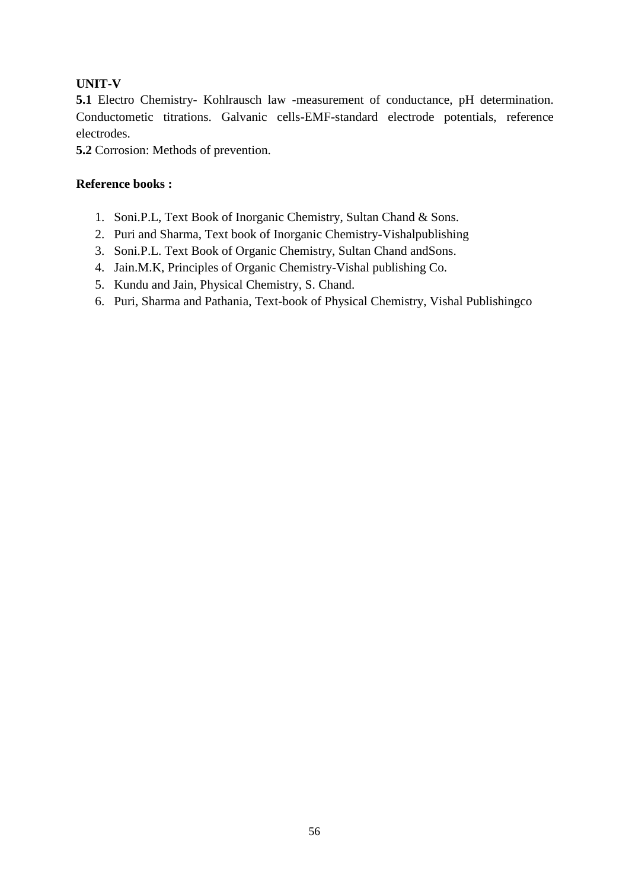# **UNIT-V**

**5.1** Electro Chemistry- Kohlrausch law -measurement of conductance, pH determination. Conductometic titrations. Galvanic cells-EMF-standard electrode potentials, reference electrodes.

**5.2** Corrosion: Methods of prevention.

# **Reference books :**

- 1. Soni.P.L, Text Book of Inorganic Chemistry, Sultan Chand & Sons.
- 2. Puri and Sharma, Text book of Inorganic Chemistry-Vishalpublishing
- 3. Soni.P.L. Text Book of Organic Chemistry, Sultan Chand andSons.
- 4. Jain.M.K, Principles of Organic Chemistry-Vishal publishing Co.
- 5. Kundu and Jain, Physical Chemistry, S. Chand.
- 6. Puri, Sharma and Pathania, Text-book of Physical Chemistry, Vishal Publishingco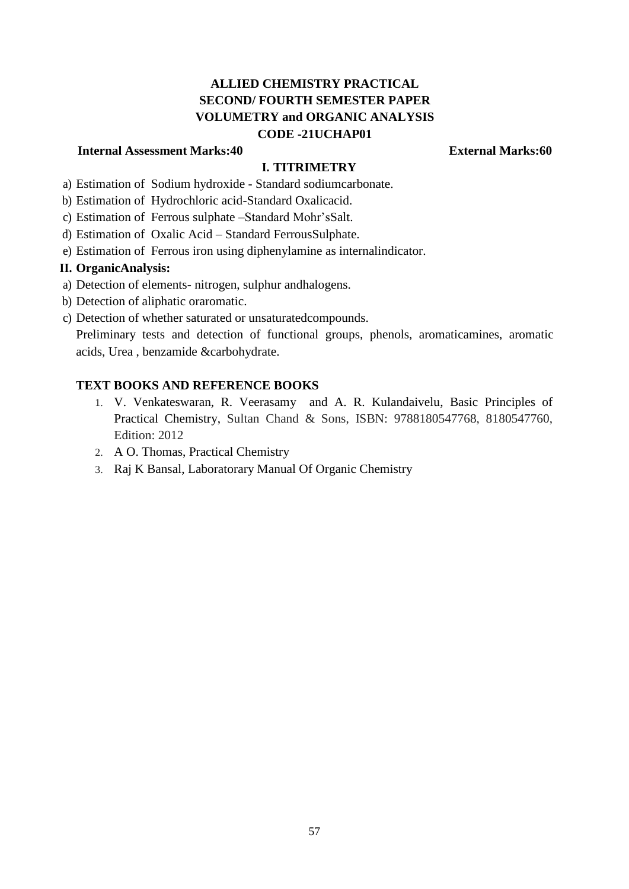# **ALLIED CHEMISTRY PRACTICAL SECOND/ FOURTH SEMESTER PAPER VOLUMETRY and ORGANIC ANALYSIS CODE -21UCHAP01**

## **Internal Assessment Marks:40 External Marks:60**

### **I. TITRIMETRY**

- a) Estimation of Sodium hydroxide Standard sodiumcarbonate.
- b) Estimation of Hydrochloric acid-Standard Oxalicacid.
- c) Estimation of Ferrous sulphate –Standard Mohr'sSalt.
- d) Estimation of Oxalic Acid Standard FerrousSulphate.
- e) Estimation of Ferrous iron using diphenylamine as internalindicator.

#### **II. OrganicAnalysis:**

- a) Detection of elements- nitrogen, sulphur andhalogens.
- b) Detection of aliphatic oraromatic.
- c) Detection of whether saturated or unsaturatedcompounds.

Preliminary tests and detection of functional groups, phenols, aromaticamines, aromatic acids, Urea , benzamide &carbohydrate.

- 1. V. Venkateswaran, R. Veerasamy and A. R. Kulandaivelu, Basic Principles of Practical Chemistry, Sultan Chand & Sons, ISBN: 9788180547768, 8180547760, Edition: 2012
- 2. A O. Thomas, Practical Chemistry
- 3. Raj K Bansal, Laboratorary Manual Of Organic Chemistry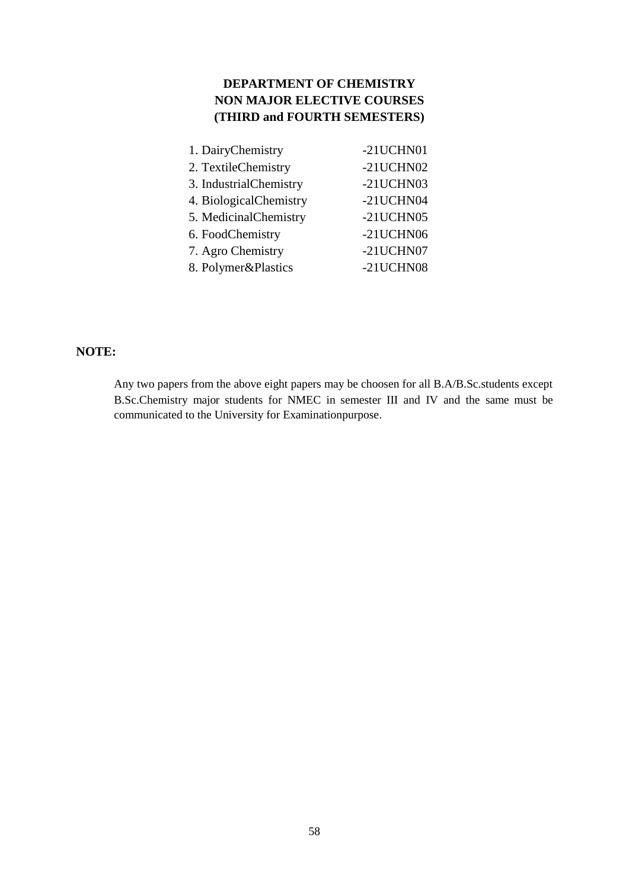# **DEPARTMENT OF CHEMISTRY NON MAJOR ELECTIVE COURSES (THIRD and FOURTH SEMESTERS)**

| 1. DairyChemistry      | -21UCHN01    |
|------------------------|--------------|
| 2. TextileChemistry    | $-21$ UCHN02 |
| 3. IndustrialChemistry | -21UCHN03    |
| 4. BiologicalChemistry | -21UCHN04    |
| 5. MedicinalChemistry  | -21UCHN05    |
| 6. FoodChemistry       | $-21$ UCHN06 |
| 7. Agro Chemistry      | -21UCHN07    |
| 8. Polymer&Plastics    | -21UCHN08    |

# **NOTE:**

Any two papers from the above eight papers may be choosen for all B.A/B.Sc.students except B.Sc.Chemistry major students for NMEC in semester III and IV and the same must be communicated to the University for Examinationpurpose.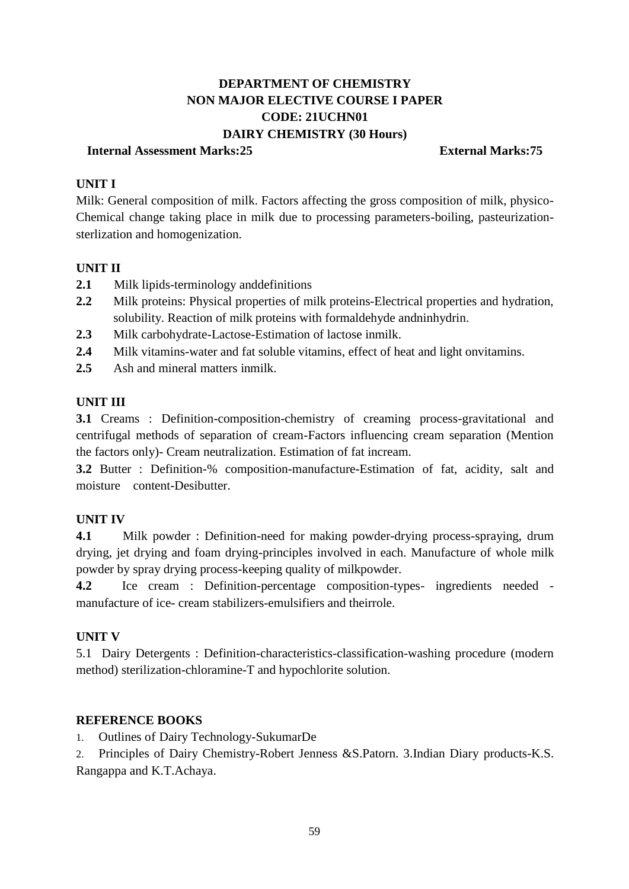# **DEPARTMENT OF CHEMISTRY NON MAJOR ELECTIVE COURSE I PAPER CODE: 21UCHN01 DAIRY CHEMISTRY (30 Hours)**

### **Internal Assessment Marks:25 External Marks:75**

# **UNIT I**

Milk: General composition of milk. Factors affecting the gross composition of milk, physico-Chemical change taking place in milk due to processing parameters-boiling, pasteurizationsterlization and homogenization.

# **UNIT II**

- **2.1** Milk lipids-terminology anddefinitions
- **2.2** Milk proteins: Physical properties of milk proteins-Electrical properties and hydration, solubility. Reaction of milk proteins with formaldehyde andninhydrin.
- **2.3** Milk carbohydrate-Lactose-Estimation of lactose inmilk.
- **2.4** Milk vitamins-water and fat soluble vitamins, effect of heat and light onvitamins.
- **2.5** Ash and mineral matters inmilk.

# **UNIT III**

**3.1** Creams : Definition-composition-chemistry of creaming process-gravitational and centrifugal methods of separation of cream-Factors influencing cream separation (Mention the factors only)- Cream neutralization. Estimation of fat incream.

**3.2** Butter : Definition-% composition-manufacture-Estimation of fat, acidity, salt and moisture content-Desibutter.

# **UNIT IV**

**4.1** Milk powder : Definition-need for making powder-drying process-spraying, drum drying, jet drying and foam drying-principles involved in each. Manufacture of whole milk powder by spray drying process-keeping quality of milkpowder.

**4.2** Ice cream : Definition-percentage composition-types- ingredients needed manufacture of ice- cream stabilizers-emulsifiers and theirrole.

# **UNIT V**

5.1 Dairy Detergents : Definition-characteristics-classification-washing procedure (modern method) sterilization-chloramine-T and hypochlorite solution.

# **REFERENCE BOOKS**

1. Outlines of Dairy Technology-SukumarDe

2. Principles of Dairy Chemistry-Robert Jenness &S.Patorn. 3.Indian Diary products-K.S. Rangappa and K.T.Achaya.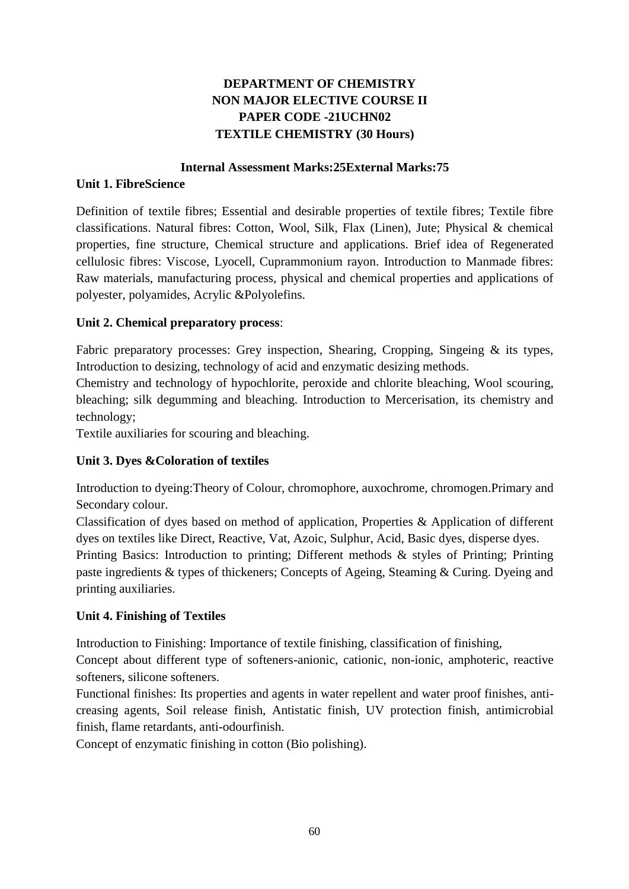# **DEPARTMENT OF CHEMISTRY NON MAJOR ELECTIVE COURSE II PAPER CODE -21UCHN02 TEXTILE CHEMISTRY (30 Hours)**

## **Internal Assessment Marks:25External Marks:75**

# **Unit 1. FibreScience**

Definition of textile fibres; Essential and desirable properties of textile fibres; Textile fibre classifications. Natural fibres: Cotton, Wool, Silk, Flax (Linen), Jute; Physical & chemical properties, fine structure, Chemical structure and applications. Brief idea of Regenerated cellulosic fibres: Viscose, Lyocell, Cuprammonium rayon. Introduction to Manmade fibres: Raw materials, manufacturing process, physical and chemical properties and applications of polyester, polyamides, Acrylic &Polyolefins.

# **Unit 2. Chemical preparatory process**:

Fabric preparatory processes: Grey inspection, Shearing, Cropping, Singeing & its types, Introduction to desizing, technology of acid and enzymatic desizing methods.

Chemistry and technology of hypochlorite, peroxide and chlorite bleaching, Wool scouring, bleaching; silk degumming and bleaching. Introduction to Mercerisation, its chemistry and technology;

Textile auxiliaries for scouring and bleaching.

# **Unit 3. Dyes &Coloration of textiles**

Introduction to dyeing:Theory of Colour, chromophore, auxochrome, chromogen.Primary and Secondary colour.

Classification of dyes based on method of application, Properties & Application of different dyes on textiles like Direct, Reactive, Vat, Azoic, Sulphur, Acid, Basic dyes, disperse dyes.

Printing Basics: Introduction to printing; Different methods & styles of Printing; Printing paste ingredients & types of thickeners; Concepts of Ageing, Steaming & Curing. Dyeing and printing auxiliaries.

# **Unit 4. Finishing of Textiles**

Introduction to Finishing: Importance of textile finishing, classification of finishing,

Concept about different type of softeners-anionic, cationic, non-ionic, amphoteric, reactive softeners, silicone softeners.

Functional finishes: Its properties and agents in water repellent and water proof finishes, anticreasing agents, Soil release finish, Antistatic finish, UV protection finish, antimicrobial finish, flame retardants, anti-odourfinish.

Concept of enzymatic finishing in cotton (Bio polishing).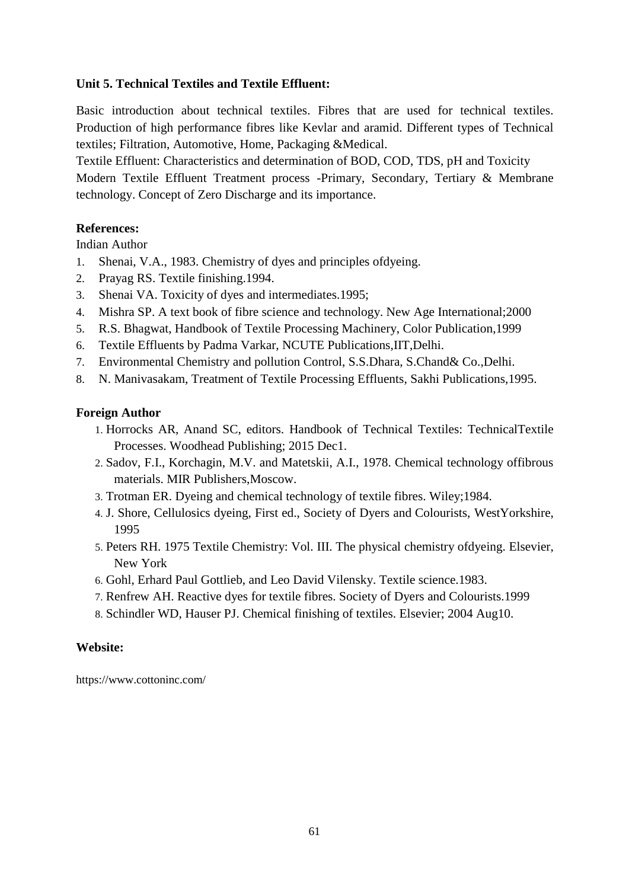# **Unit 5. Technical Textiles and Textile Effluent:**

Basic introduction about technical textiles. Fibres that are used for technical textiles. Production of high performance fibres like Kevlar and aramid. Different types of Technical textiles; Filtration, Automotive, Home, Packaging &Medical.

Textile Effluent: Characteristics and determination of BOD, COD, TDS, pH and Toxicity Modern Textile Effluent Treatment process -Primary, Secondary, Tertiary & Membrane technology. Concept of Zero Discharge and its importance.

## **References:**

Indian Author

- 1. Shenai, V.A., 1983. Chemistry of dyes and principles ofdyeing.
- 2. Prayag RS. Textile finishing.1994.
- 3. Shenai VA. Toxicity of dyes and intermediates.1995;
- 4. Mishra SP. A text book of fibre science and technology. New Age International;2000
- 5. R.S. Bhagwat, Handbook of Textile Processing Machinery, Color Publication,1999
- 6. Textile Effluents by Padma Varkar, NCUTE Publications,IIT,Delhi.
- 7. Environmental Chemistry and pollution Control, S.S.Dhara, S.Chand& Co.,Delhi.
- 8. N. Manivasakam, Treatment of Textile Processing Effluents, Sakhi Publications,1995.

## **Foreign Author**

- 1. Horrocks AR, Anand SC, editors. Handbook of Technical Textiles: TechnicalTextile Processes. Woodhead Publishing; 2015 Dec1.
- 2. Sadov, F.I., Korchagin, M.V. and Matetskii, A.I., 1978. Chemical technology offibrous materials. MIR Publishers,Moscow.
- 3. Trotman ER. Dyeing and chemical technology of textile fibres. Wiley;1984.
- 4. J. Shore, Cellulosics dyeing, First ed., Society of Dyers and Colourists, WestYorkshire, 1995
- 5. Peters RH. 1975 Textile Chemistry: Vol. III. The physical chemistry ofdyeing. Elsevier, New York
- 6. Gohl, Erhard Paul Gottlieb, and Leo David Vilensky. Textile science.1983.
- 7. Renfrew AH. Reactive dyes for textile fibres. Society of Dyers and Colourists.1999
- 8. Schindler WD, Hauser PJ. Chemical finishing of textiles. Elsevier; 2004 Aug10.

# **Website:**

<https://www.cottoninc.com/>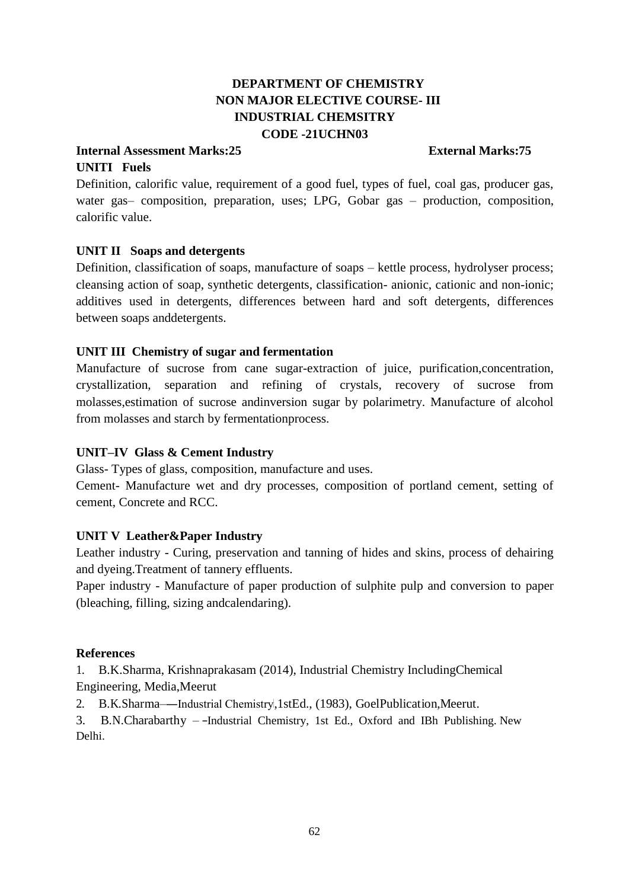# **DEPARTMENT OF CHEMISTRY NON MAJOR ELECTIVE COURSE- III INDUSTRIAL CHEMSITRY CODE -21UCHN03**

## **Internal Assessment Marks:25 External Marks:75**

# **UNITI Fuels**

Definition, calorific value, requirement of a good fuel, types of fuel, coal gas, producer gas, water gas– composition, preparation, uses; LPG, Gobar gas – production, composition, calorific value.

# **UNIT II Soaps and detergents**

Definition, classification of soaps, manufacture of soaps – kettle process, hydrolyser process; cleansing action of soap, synthetic detergents, classification- anionic, cationic and non-ionic; additives used in detergents, differences between hard and soft detergents, differences between soaps anddetergents.

# **UNIT III Chemistry of sugar and fermentation**

Manufacture of sucrose from cane sugar-extraction of juice, purification,concentration, crystallization, separation and refining of crystals, recovery of sucrose from molasses,estimation of sucrose andinversion sugar by polarimetry. Manufacture of alcohol from molasses and starch by fermentationprocess.

# **UNIT–IV Glass & Cement Industry**

Glass- Types of glass, composition, manufacture and uses.

Cement- Manufacture wet and dry processes, composition of portland cement, setting of cement, Concrete and RCC.

# **UNIT V Leather&Paper Industry**

Leather industry - Curing, preservation and tanning of hides and skins, process of dehairing and dyeing.Treatment of tannery effluents.

Paper industry - Manufacture of paper production of sulphite pulp and conversion to paper (bleaching, filling, sizing andcalendaring).

## **References**

1. B.K.Sharma, Krishnaprakasam (2014), Industrial Chemistry IncludingChemical Engineering, Media,Meerut

2. B.K.Sharma--Industrial Chemistry, 1stEd., (1983), GoelPublication, Meerut.

3. B.N.Charabarthy – -Industrial Chemistry, 1st Ed., Oxford and IBh Publishing. New Delhi.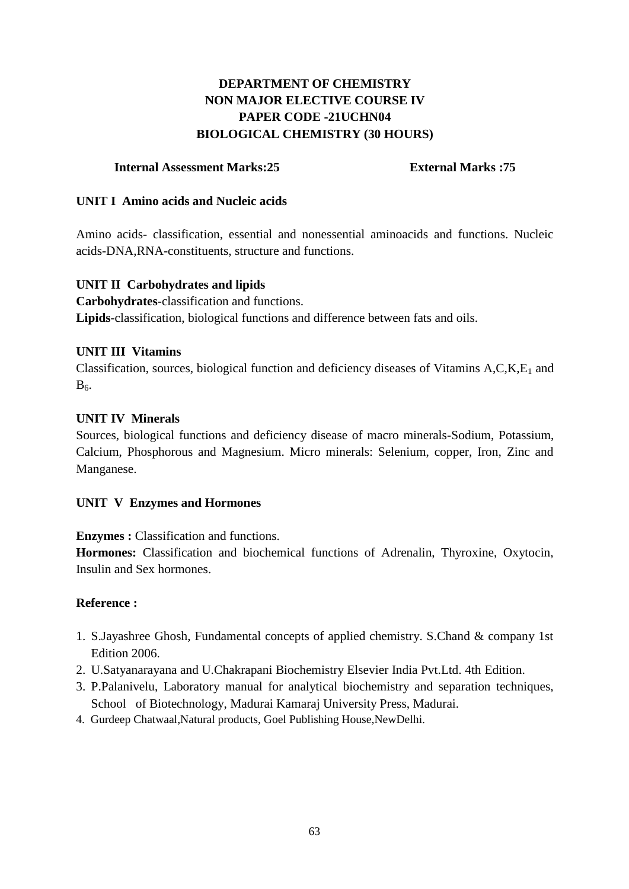# **DEPARTMENT OF CHEMISTRY NON MAJOR ELECTIVE COURSE IV PAPER CODE -21UCHN04 BIOLOGICAL CHEMISTRY (30 HOURS)**

## **Internal Assessment Marks:25 External Marks :75**

## **UNIT I Amino acids and Nucleic acids**

Amino acids- classification, essential and nonessential aminoacids and functions. Nucleic acids-DNA,RNA-constituents, structure and functions.

# **UNIT II Carbohydrates and lipids**

**Carbohydrates**-classification and functions. **Lipids**-classification, biological functions and difference between fats and oils.

# **UNIT III Vitamins**

Classification, sources, biological function and deficiency diseases of Vitamins  $A, C, K, E_1$  and  $B<sub>6</sub>$ .

## **UNIT IV Minerals**

Sources, biological functions and deficiency disease of macro minerals-Sodium, Potassium, Calcium, Phosphorous and Magnesium. Micro minerals: Selenium, copper, Iron, Zinc and Manganese.

# **UNIT V Enzymes and Hormones**

**Enzymes :** Classification and functions.

**Hormones:** Classification and biochemical functions of Adrenalin, Thyroxine, Oxytocin, Insulin and Sex hormones.

# **Reference :**

- 1. S.Jayashree Ghosh, Fundamental concepts of applied chemistry. S.Chand & company 1st Edition 2006.
- 2. U.Satyanarayana and U.Chakrapani Biochemistry Elsevier India Pvt.Ltd. 4th Edition.
- 3. P.Palanivelu, Laboratory manual for analytical biochemistry and separation techniques, School of Biotechnology, Madurai Kamaraj University Press, Madurai.
- 4. Gurdeep Chatwaal,Natural products, Goel Publishing House,NewDelhi.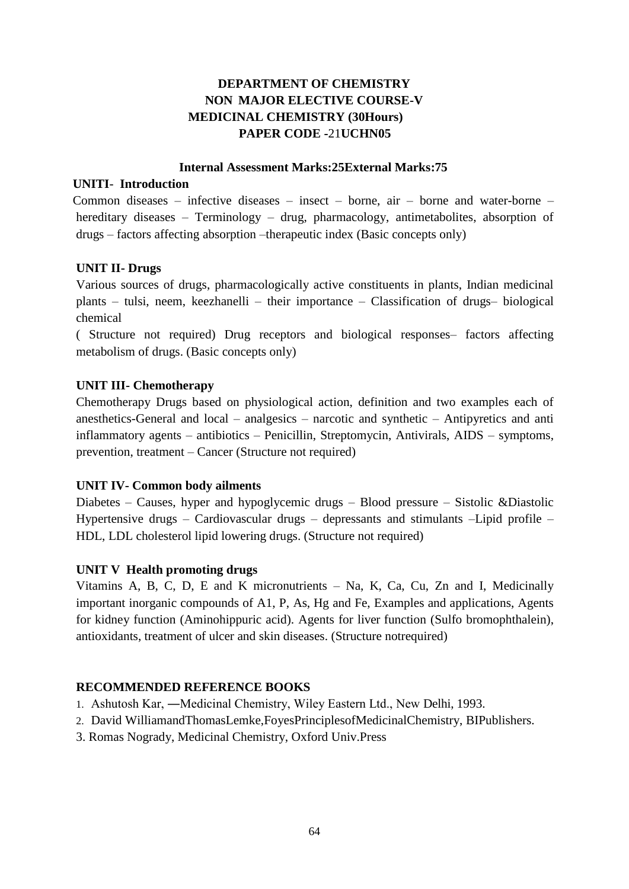# **DEPARTMENT OF CHEMISTRY NON MAJOR ELECTIVE COURSE-V MEDICINAL CHEMISTRY (30Hours) PAPER CODE -**21**UCHN05**

### **Internal Assessment Marks:25External Marks:75**

## **UNITI**- **Introduction**

Common diseases – infective diseases – insect – borne, air – borne and water-borne – hereditary diseases – Terminology – drug, pharmacology, antimetabolites, absorption of drugs – factors affecting absorption –therapeutic index (Basic concepts only)

# **UNIT II- Drugs**

Various sources of drugs, pharmacologically active constituents in plants, Indian medicinal plants – tulsi, neem, keezhanelli – their importance – Classification of drugs– biological chemical

( Structure not required) Drug receptors and biological responses– factors affecting metabolism of drugs. (Basic concepts only)

# **UNIT III- Chemotherapy**

Chemotherapy Drugs based on physiological action, definition and two examples each of anesthetics-General and local – analgesics – narcotic and synthetic – Antipyretics and anti inflammatory agents – antibiotics – Penicillin, Streptomycin, Antivirals, AIDS – symptoms, prevention, treatment – Cancer (Structure not required)

### **UNIT IV- Common body ailments**

Diabetes – Causes, hyper and hypoglycemic drugs – Blood pressure – Sistolic &Diastolic Hypertensive drugs – Cardiovascular drugs – depressants and stimulants –Lipid profile – HDL, LDL cholesterol lipid lowering drugs. (Structure not required)

# **UNIT V Health promoting drugs**

Vitamins A, B, C, D, E and K micronutrients – Na, K, Ca, Cu, Zn and I, Medicinally important inorganic compounds of A1, P, As, Hg and Fe, Examples and applications, Agents for kidney function (Aminohippuric acid). Agents for liver function (Sulfo bromophthalein), antioxidants, treatment of ulcer and skin diseases. (Structure notrequired)

# **RECOMMENDED REFERENCE BOOKS**

- 1. Ashutosh Kar, ―Medicinal Chemistry, Wiley Eastern Ltd., New Delhi, 1993.
- 2. David WilliamandThomasLemke,FoyesPrinciplesofMedicinalChemistry, BIPublishers.
- 3. Romas Nogrady, Medicinal Chemistry, Oxford Univ.Press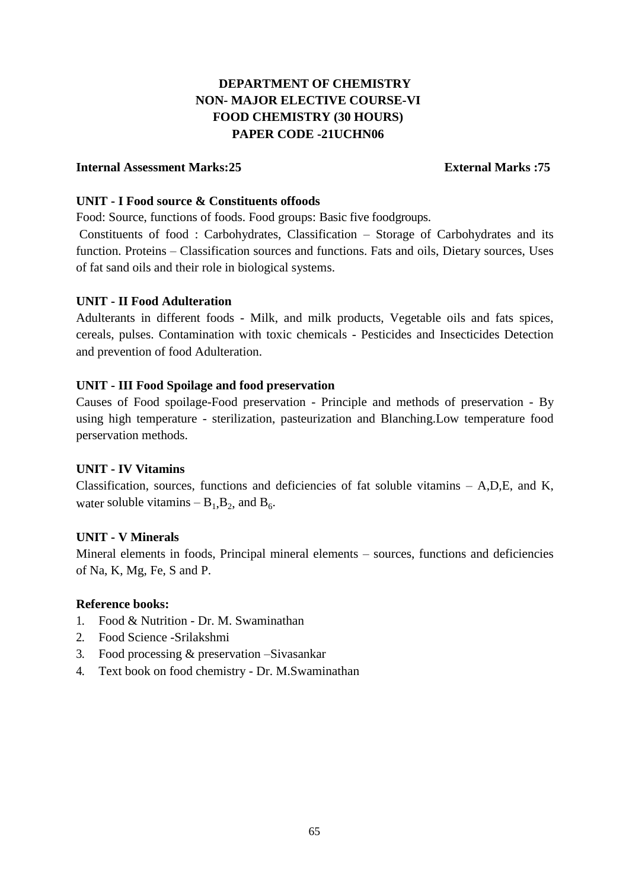# **DEPARTMENT OF CHEMISTRY NON- MAJOR ELECTIVE COURSE-VI FOOD CHEMISTRY (30 HOURS) PAPER CODE -21UCHN06**

## **Internal Assessment Marks:25 External Marks :75**

## **UNIT - I Food source & Constituents offoods**

Food: Source, functions of foods. Food groups: Basic five foodgroups.

Constituents of food : Carbohydrates, Classification – Storage of Carbohydrates and its function. Proteins – Classification sources and functions. Fats and oils, Dietary sources, Uses of fat sand oils and their role in biological systems.

## **UNIT - II Food Adulteration**

Adulterants in different foods - Milk, and milk products, Vegetable oils and fats spices, cereals, pulses. Contamination with toxic chemicals - Pesticides and Insecticides Detection and prevention of food Adulteration.

## **UNIT - III Food Spoilage and food preservation**

Causes of Food spoilage-Food preservation - Principle and methods of preservation - By using high temperature - sterilization, pasteurization and Blanching.Low temperature food perservation methods.

### **UNIT - IV Vitamins**

Classification, sources, functions and deficiencies of fat soluble vitamins – A,D,E, and K, water soluble vitamins  $-B_1, B_2$ , and  $B_6$ .

### **UNIT - V Minerals**

Mineral elements in foods, Principal mineral elements – sources, functions and deficiencies of Na, K, Mg, Fe, S and P.

### **Reference books:**

- 1. Food & Nutrition Dr. M. Swaminathan
- 2. Food Science -Srilakshmi
- 3. Food processing & preservation –Sivasankar
- 4. Text book on food chemistry Dr. M.Swaminathan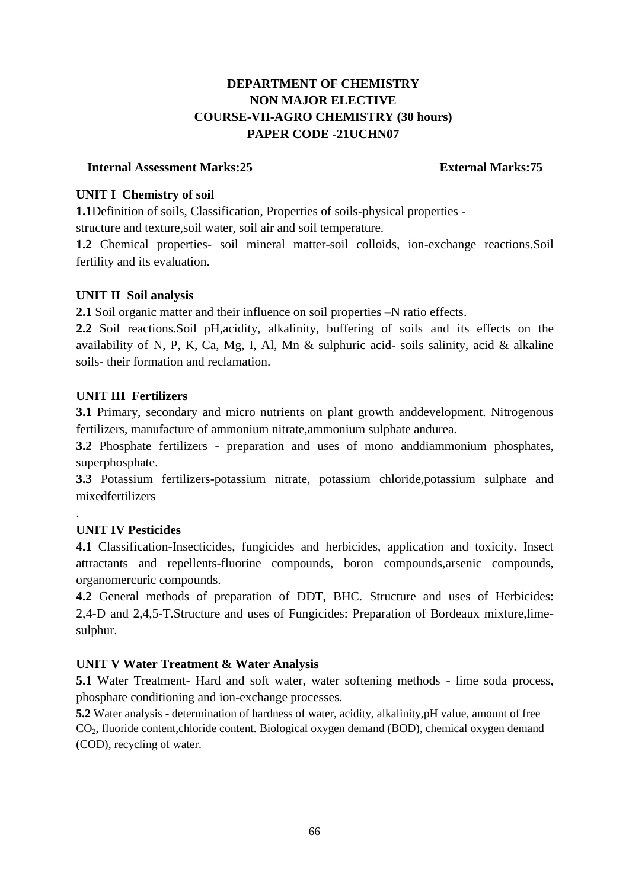# **DEPARTMENT OF CHEMISTRY NON MAJOR ELECTIVE COURSE-VII-AGRO CHEMISTRY (30 hours) PAPER CODE -21UCHN07**

## **Internal Assessment Marks:25 External Marks:75**

# **UNIT I Chemistry of soil**

**1.1**Definition of soils, Classification, Properties of soils-physical properties structure and texture,soil water, soil air and soil temperature.

**1.2** Chemical properties- soil mineral matter-soil colloids, ion-exchange reactions.Soil fertility and its evaluation.

# **UNIT II Soil analysis**

**2.1** Soil organic matter and their influence on soil properties –N ratio effects.

**2.2** Soil reactions.Soil pH,acidity, alkalinity, buffering of soils and its effects on the availability of N, P, K, Ca, Mg, I, Al, Mn & sulphuric acid- soils salinity, acid & alkaline soils- their formation and reclamation.

# **UNIT III Fertilizers**

**3.1** Primary, secondary and micro nutrients on plant growth anddevelopment. Nitrogenous fertilizers, manufacture of ammonium nitrate,ammonium sulphate andurea.

**3.2** Phosphate fertilizers - preparation and uses of mono anddiammonium phosphates, superphosphate.

**3.3** Potassium fertilizers-potassium nitrate, potassium chloride,potassium sulphate and mixedfertilizers

# **UNIT IV Pesticides**

.

**4.1** Classification-Insecticides, fungicides and herbicides, application and toxicity. Insect attractants and repellents-fluorine compounds, boron compounds, arsenic compounds, organomercuric compounds.

**4.2** General methods of preparation of DDT, BHC. Structure and uses of Herbicides: 2,4-D and 2,4,5-T.Structure and uses of Fungicides: Preparation of Bordeaux mixture,limesulphur.

# **UNIT V Water Treatment & Water Analysis**

**5.1** Water Treatment- Hard and soft water, water softening methods - lime soda process, phosphate conditioning and ion-exchange processes.

**5.2** Water analysis - determination of hardness of water, acidity, alkalinity,pH value, amount of free CO2, fluoride content,chloride content. Biological oxygen demand (BOD), chemical oxygen demand (COD), recycling of water.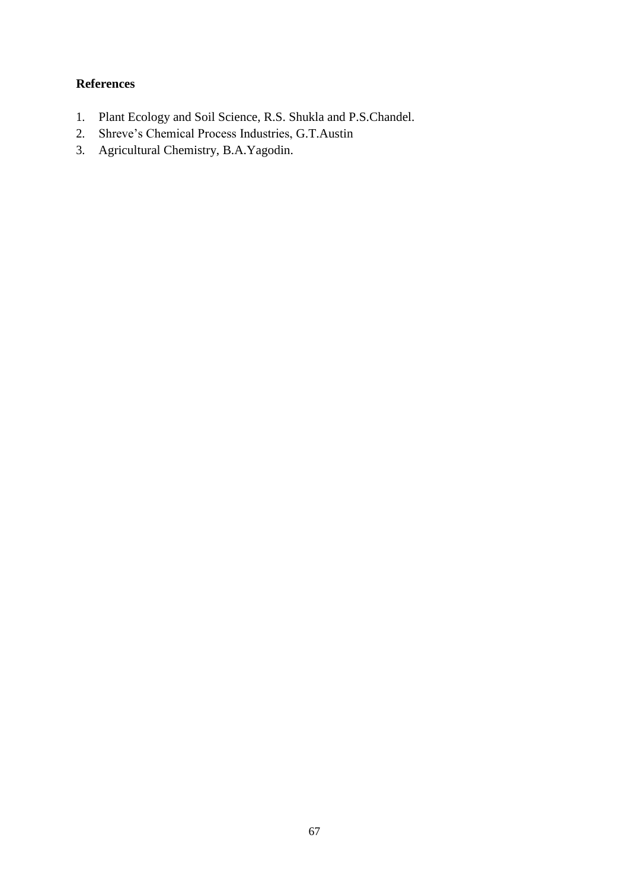# **References**

- 1. Plant Ecology and Soil Science, R.S. Shukla and P.S.Chandel.
- 2. Shreve's Chemical Process Industries, G.T.Austin
- 3. Agricultural Chemistry, B.A.Yagodin.